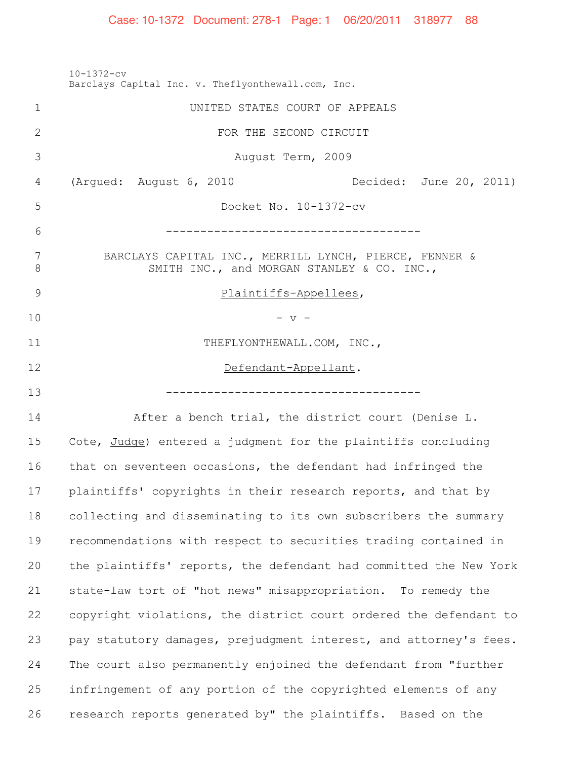10-1372-cv Barclays Capital Inc. v. Theflyonthewall.com, Inc. UNITED STATES COURT OF APPEALS FOR THE SECOND CIRCUIT August Term, 2009 (Argued: August 6, 2010 Decided: June 20, 2011) Docket No. 10-1372-cv ------------------------------------- BARCLAYS CAPITAL INC., MERRILL LYNCH, PIERCE, FENNER & 8 SMITH INC., and MORGAN STANLEY & CO. INC., 9 Plaintiffs-Appellees, - v -11 THEFLYONTHEWALL.COM, INC., 12 Defendant-Appellant. ------------------------------------- After a bench trial, the district court (Denise L. 15 Cote, Judge) entered a judgment for the plaintiffs concluding that on seventeen occasions, the defendant had infringed the plaintiffs' copyrights in their research reports, and that by collecting and disseminating to its own subscribers the summary recommendations with respect to securities trading contained in the plaintiffs' reports, the defendant had committed the New York state-law tort of "hot news" misappropriation. To remedy the copyright violations, the district court ordered the defendant to pay statutory damages, prejudgment interest, and attorney's fees. The court also permanently enjoined the defendant from "further infringement of any portion of the copyrighted elements of any research reports generated by" the plaintiffs. Based on the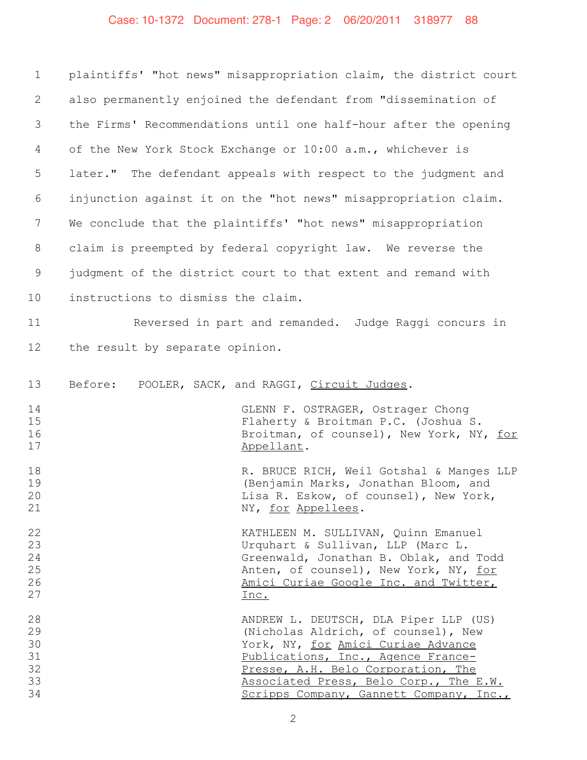# Case: 10-1372 Document: 278-1 Page: 2 06/20/2011 318977 88

| $\mathbf 1$                            | plaintiffs' "hot news" misappropriation claim, the district court                                                                                                                                                                                                                   |
|----------------------------------------|-------------------------------------------------------------------------------------------------------------------------------------------------------------------------------------------------------------------------------------------------------------------------------------|
| 2                                      | also permanently enjoined the defendant from "dissemination of                                                                                                                                                                                                                      |
| 3                                      | the Firms' Recommendations until one half-hour after the opening                                                                                                                                                                                                                    |
| 4                                      | of the New York Stock Exchange or 10:00 a.m., whichever is                                                                                                                                                                                                                          |
| 5                                      | later." The defendant appeals with respect to the judgment and                                                                                                                                                                                                                      |
| 6                                      | injunction against it on the "hot news" misappropriation claim.                                                                                                                                                                                                                     |
| 7                                      | We conclude that the plaintiffs' "hot news" misappropriation                                                                                                                                                                                                                        |
| 8                                      | claim is preempted by federal copyright law. We reverse the                                                                                                                                                                                                                         |
| $\mathsf 9$                            | judgment of the district court to that extent and remand with                                                                                                                                                                                                                       |
| 10                                     | instructions to dismiss the claim.                                                                                                                                                                                                                                                  |
| 11                                     | Reversed in part and remanded. Judge Raggi concurs in                                                                                                                                                                                                                               |
| 12                                     | the result by separate opinion.                                                                                                                                                                                                                                                     |
| 13                                     | Before:<br>POOLER, SACK, and RAGGI, Circuit Judges.                                                                                                                                                                                                                                 |
| 14<br>15<br>16<br>17                   | GLENN F. OSTRAGER, Ostrager Chong<br>Flaherty & Broitman P.C. (Joshua S.<br>Broitman, of counsel), New York, NY, for<br>Appellant.                                                                                                                                                  |
| 18<br>19<br>20<br>21                   | R. BRUCE RICH, Weil Gotshal & Manges LLP<br>(Benjamin Marks, Jonathan Bloom, and<br>Lisa R. Eskow, of counsel), New York,<br>NY, for Appellees.                                                                                                                                     |
| 22<br>23<br>24<br>25<br>26<br>27       | KATHLEEN M. SULLIVAN, Quinn Emanuel<br>Urquhart & Sullivan, LLP (Marc L.<br>Greenwald, Jonathan B. Oblak, and Todd<br>Anten, of counsel), New York, NY, for<br>Amici Curiae Google Inc. and Twitter,<br>Inc.                                                                        |
| 28<br>29<br>30<br>31<br>32<br>33<br>34 | ANDREW L. DEUTSCH, DLA Piper LLP (US)<br>(Nicholas Aldrich, of counsel), New<br>York, NY, for Amici Curiae Advance<br>Publications, Inc., Agence France-<br>Presse, A.H. Belo Corporation, The<br>Associated Press, Belo Corp., The E.W.<br>Scripps Company, Gannett Company, Inc., |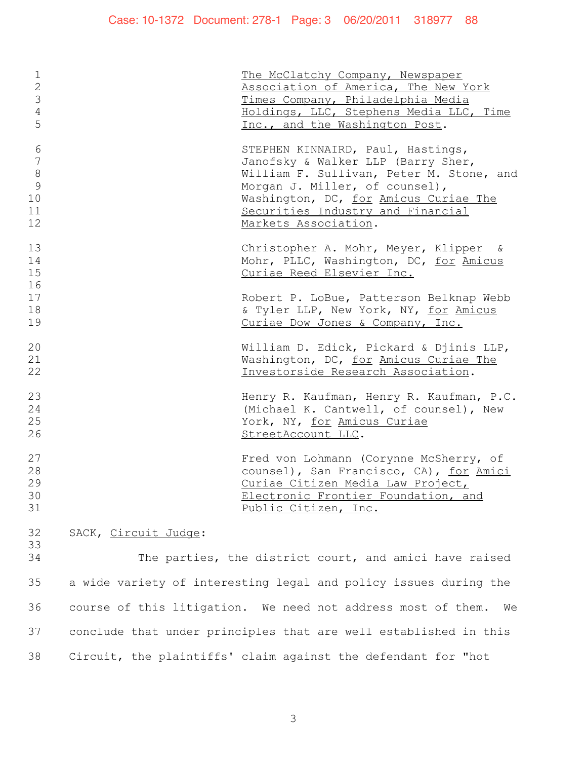| $\mathbf 1$    |                                          | The McClatchy Company, Newspaper         |
|----------------|------------------------------------------|------------------------------------------|
| $\overline{2}$ |                                          | Association of America, The New York     |
| 3              |                                          | Times Company, Philadelphia Media        |
| $\overline{4}$ |                                          | Holdings, LLC, Stephens Media LLC, Time  |
| 5              |                                          | Inc., and the Washington Post.           |
|                |                                          |                                          |
| 6              |                                          | STEPHEN KINNAIRD, Paul, Hastings,        |
| $\overline{7}$ |                                          | Janofsky & Walker LLP (Barry Sher,       |
| $\,8\,$        |                                          | William F. Sullivan, Peter M. Stone, and |
| 9              |                                          | Morgan J. Miller, of counsel),           |
| 10             |                                          | Washington, DC, for Amicus Curiae The    |
| 11             |                                          | Securities Industry and Financial        |
| 12             |                                          | Markets Association.                     |
|                |                                          |                                          |
| 13             |                                          | Christopher A. Mohr, Meyer, Klipper &    |
| 14             |                                          | Mohr, PLLC, Washington, DC, for Amicus   |
| 15             |                                          | Curiae Reed Elsevier Inc.                |
| 16             |                                          |                                          |
| 17             |                                          | Robert P. LoBue, Patterson Belknap Webb  |
| 18             |                                          | & Tyler LLP, New York, NY, for Amicus    |
| 19             |                                          | Curiae Dow Jones & Company, Inc.         |
|                |                                          |                                          |
| 20             |                                          | William D. Edick, Pickard & Djinis LLP,  |
| 21             |                                          | Washington, DC, for Amicus Curiae The    |
| 22             |                                          | Investorside Research Association.       |
|                |                                          |                                          |
| 23             |                                          | Henry R. Kaufman, Henry R. Kaufman, P.C. |
| 24             |                                          | (Michael K. Cantwell, of counsel), New   |
| 25             |                                          | York, NY, for Amicus Curiae              |
| 26             |                                          | StreetAccount LLC.                       |
|                |                                          |                                          |
| 27             |                                          | Fred von Lohmann (Corynne McSherry, of   |
| 28             |                                          | counsel), San Francisco, CA), for Amici  |
| 29             |                                          | Curiae Citizen Media Law Project,        |
| 30             |                                          | Electronic Frontier Foundation, and      |
| 31             |                                          | Public Citizen, Inc.                     |
|                |                                          |                                          |
| つつ             | $C\lambda C V$ $C\lambda C$ $C\lambda C$ |                                          |

32 SACK, <u>Circuit Judge</u>:

 The parties, the district court, and amici have raised a wide variety of interesting legal and policy issues during the course of this litigation. We need not address most of them. We conclude that under principles that are well established in this Circuit, the plaintiffs' claim against the defendant for "hot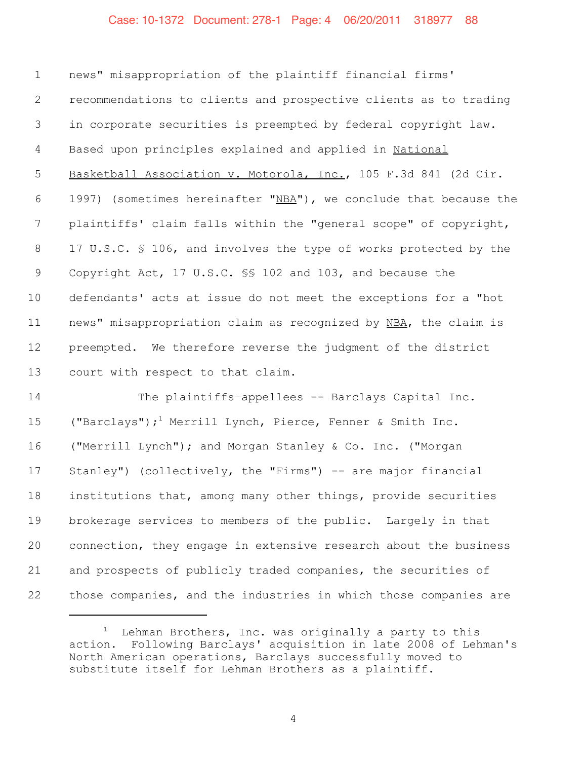#### Case: 10-1372 Document: 278-1 Page: 4 06/20/2011 318977 88

 news" misappropriation of the plaintiff financial firms' recommendations to clients and prospective clients as to trading in corporate securities is preempted by federal copyright law. Based upon principles explained and applied in National Basketball Association v. Motorola, Inc., 105 F.3d 841 (2d Cir. 6 1997) (sometimes hereinafter "NBA"), we conclude that because the plaintiffs' claim falls within the "general scope" of copyright, 8 17 U.S.C. § 106, and involves the type of works protected by the Copyright Act, 17 U.S.C. §§ 102 and 103, and because the defendants' acts at issue do not meet the exceptions for a "hot news" misappropriation claim as recognized by NBA, the claim is preempted. We therefore reverse the judgment of the district court with respect to that claim.

14 The plaintiffs-appellees -- Barclays Capital Inc. 15 ("Barclays");<sup>1</sup> Merrill Lynch, Pierce, Fenner & Smith Inc. ("Merrill Lynch"); and Morgan Stanley & Co. Inc. ("Morgan Stanley") (collectively, the "Firms") -- are major financial institutions that, among many other things, provide securities brokerage services to members of the public. Largely in that connection, they engage in extensive research about the business and prospects of publicly traded companies, the securities of those companies, and the industries in which those companies are

 Lehman Brothers, Inc. was originally a party to this action. Following Barclays' acquisition in late 2008 of Lehman's North American operations, Barclays successfully moved to substitute itself for Lehman Brothers as a plaintiff.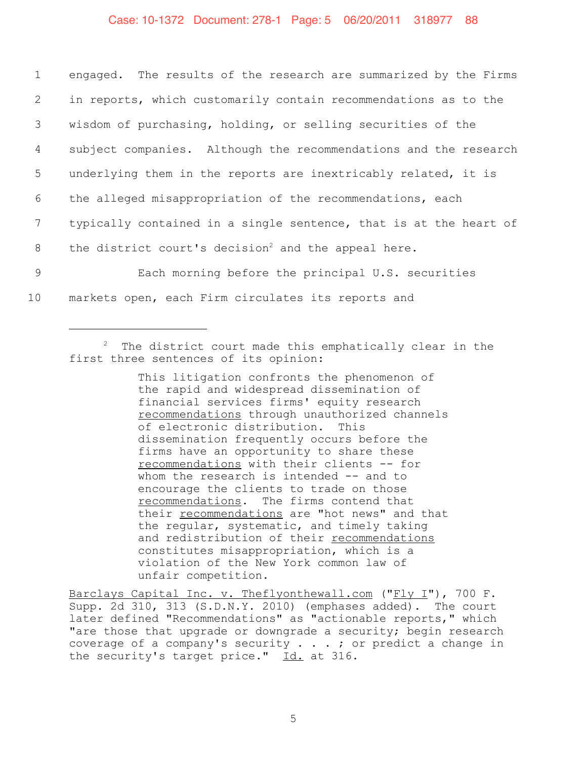#### Case: 10-1372 Document: 278-1 Page: 5 06/20/2011 318977 88

 engaged. The results of the research are summarized by the Firms in reports, which customarily contain recommendations as to the wisdom of purchasing, holding, or selling securities of the subject companies. Although the recommendations and the research underlying them in the reports are inextricably related, it is the alleged misappropriation of the recommendations, each typically contained in a single sentence, that is at the heart of 8 the district court's decision<sup>2</sup> and the appeal here. Each morning before the principal U.S. securities markets open, each Firm circulates its reports and

#### $2$  The district court made this emphatically clear in the first three sentences of its opinion:

This litigation confronts the phenomenon of the rapid and widespread dissemination of financial services firms' equity research recommendations through unauthorized channels of electronic distribution. This dissemination frequently occurs before the firms have an opportunity to share these recommendations with their clients -- for whom the research is intended -- and to encourage the clients to trade on those recommendations. The firms contend that their recommendations are "hot news" and that the regular, systematic, and timely taking and redistribution of their recommendations constitutes misappropriation, which is a violation of the New York common law of unfair competition.

Barclays Capital Inc. v. Theflyonthewall.com ("Fly I"), 700 F. Supp. 2d 310, 313 (S.D.N.Y. 2010) (emphases added). The court later defined "Recommendations" as "actionable reports," which "are those that upgrade or downgrade a security; begin research coverage of a company's security . . . ; or predict a change in the security's target price." Id. at 316.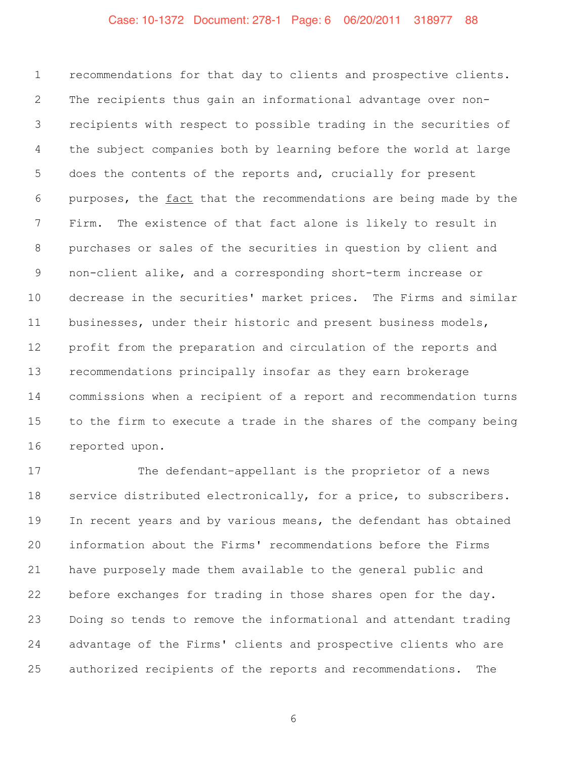### Case: 10-1372 Document: 278-1 Page: 6 06/20/2011 318977 88

 recommendations for that day to clients and prospective clients. The recipients thus gain an informational advantage over non- recipients with respect to possible trading in the securities of the subject companies both by learning before the world at large does the contents of the reports and, crucially for present purposes, the fact that the recommendations are being made by the Firm. The existence of that fact alone is likely to result in purchases or sales of the securities in question by client and non-client alike, and a corresponding short-term increase or decrease in the securities' market prices. The Firms and similar businesses, under their historic and present business models, profit from the preparation and circulation of the reports and recommendations principally insofar as they earn brokerage commissions when a recipient of a report and recommendation turns to the firm to execute a trade in the shares of the company being reported upon.

17 The defendant-appellant is the proprietor of a news service distributed electronically, for a price, to subscribers. In recent years and by various means, the defendant has obtained information about the Firms' recommendations before the Firms have purposely made them available to the general public and before exchanges for trading in those shares open for the day. Doing so tends to remove the informational and attendant trading advantage of the Firms' clients and prospective clients who are authorized recipients of the reports and recommendations. The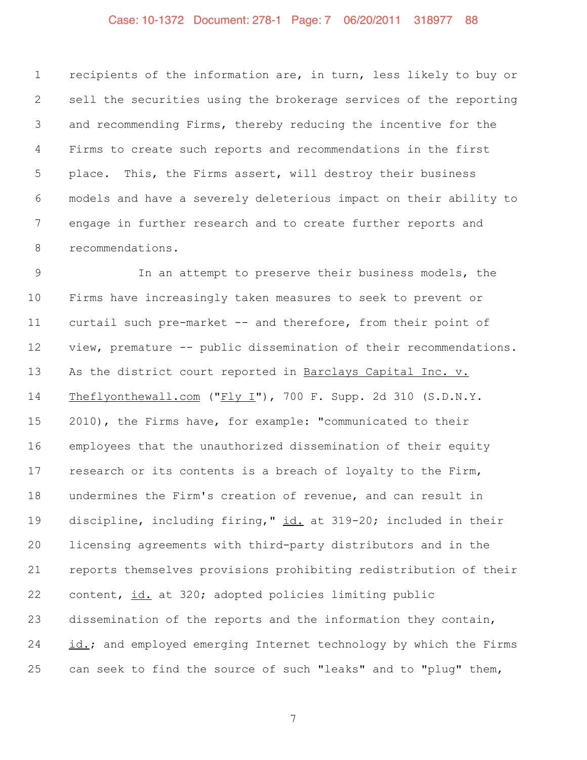# Case: 10-1372 Document: 278-1 Page: 7 06/20/2011 318977 88

 recipients of the information are, in turn, less likely to buy or sell the securities using the brokerage services of the reporting and recommending Firms, thereby reducing the incentive for the Firms to create such reports and recommendations in the first place. This, the Firms assert, will destroy their business models and have a severely deleterious impact on their ability to engage in further research and to create further reports and recommendations.

 In an attempt to preserve their business models, the Firms have increasingly taken measures to seek to prevent or curtail such pre-market -- and therefore, from their point of view, premature -- public dissemination of their recommendations. As the district court reported in Barclays Capital Inc. v. Theflyonthewall.com ("Fly I"), 700 F. Supp. 2d 310 (S.D.N.Y. 2010), the Firms have, for example: "communicated to their employees that the unauthorized dissemination of their equity research or its contents is a breach of loyalty to the Firm, undermines the Firm's creation of revenue, and can result in 19 discipline, including firing," id. at 319-20; included in their licensing agreements with third-party distributors and in the reports themselves provisions prohibiting redistribution of their content, id. at 320; adopted policies limiting public dissemination of the reports and the information they contain, id.; and employed emerging Internet technology by which the Firms can seek to find the source of such "leaks" and to "plug" them,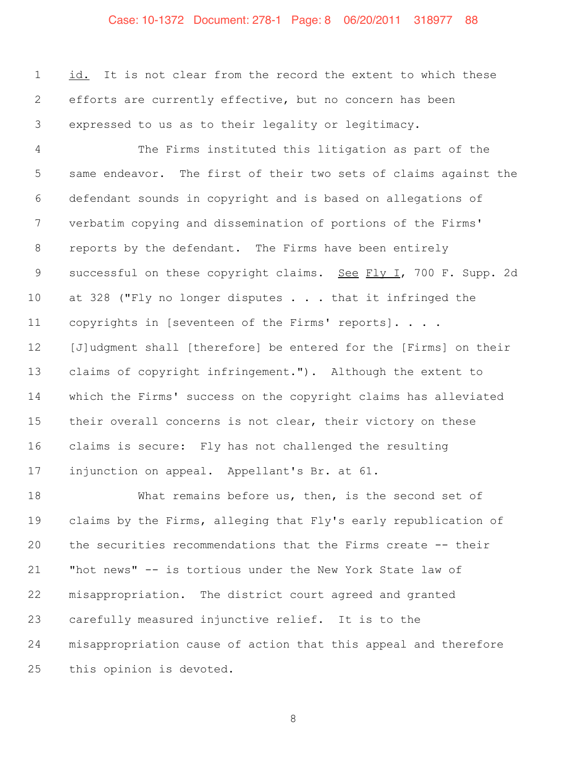# Case: 10-1372 Document: 278-1 Page: 8 06/20/2011 318977 88

 id. It is not clear from the record the extent to which these efforts are currently effective, but no concern has been expressed to us as to their legality or legitimacy.

 The Firms instituted this litigation as part of the same endeavor. The first of their two sets of claims against the defendant sounds in copyright and is based on allegations of verbatim copying and dissemination of portions of the Firms' reports by the defendant. The Firms have been entirely successful on these copyright claims. See Fly I, 700 F. Supp. 2d 10 at 328 ("Fly no longer disputes . . . that it infringed the copyrights in [seventeen of the Firms' reports]. . . . [J]udgment shall [therefore] be entered for the [Firms] on their claims of copyright infringement."). Although the extent to which the Firms' success on the copyright claims has alleviated 15 their overall concerns is not clear, their victory on these claims is secure: Fly has not challenged the resulting injunction on appeal. Appellant's Br. at 61.

 What remains before us, then, is the second set of claims by the Firms, alleging that Fly's early republication of the securities recommendations that the Firms create -- their "hot news" -- is tortious under the New York State law of misappropriation. The district court agreed and granted carefully measured injunctive relief. It is to the misappropriation cause of action that this appeal and therefore this opinion is devoted.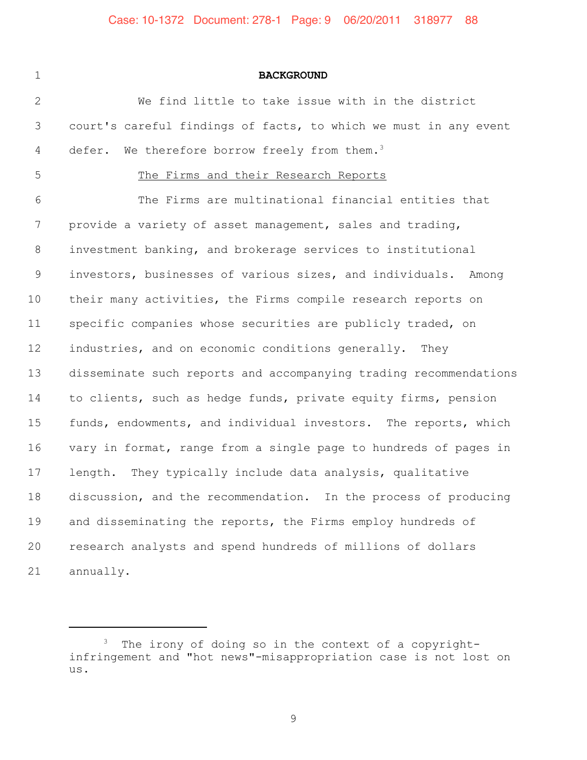#### **BACKGROUND**

 We find little to take issue with in the district court's careful findings of facts, to which we must in any event 4 defer. We therefore borrow freely from them.<sup>3</sup>

#### The Firms and their Research Reports

 The Firms are multinational financial entities that provide a variety of asset management, sales and trading, investment banking, and brokerage services to institutional investors, businesses of various sizes, and individuals. Among their many activities, the Firms compile research reports on specific companies whose securities are publicly traded, on industries, and on economic conditions generally. They disseminate such reports and accompanying trading recommendations to clients, such as hedge funds, private equity firms, pension funds, endowments, and individual investors. The reports, which vary in format, range from a single page to hundreds of pages in length. They typically include data analysis, qualitative discussion, and the recommendation. In the process of producing 19 and disseminating the reports, the Firms employ hundreds of research analysts and spend hundreds of millions of dollars annually.

 The irony of doing so in the context of a copyrightinfringement and "hot news"-misappropriation case is not lost on us.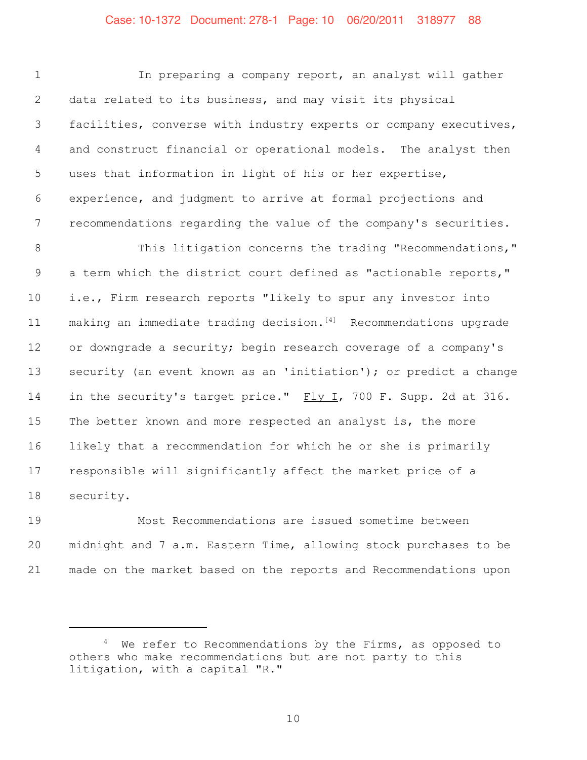# Case: 10-1372 Document: 278-1 Page: 10 06/20/2011 318977 88

 In preparing a company report, an analyst will gather data related to its business, and may visit its physical facilities, converse with industry experts or company executives, and construct financial or operational models. The analyst then uses that information in light of his or her expertise, experience, and judgment to arrive at formal projections and recommendations regarding the value of the company's securities. 8 This litigation concerns the trading "Recommendations," 9 a term which the district court defined as "actionable reports," i.e., Firm research reports "likely to spur any investor into  $making$  an immediate trading decision.<sup>[4]</sup> Recommendations upgrade or downgrade a security; begin research coverage of a company's security (an event known as an 'initiation'); or predict a change 14 in the security's target price." Fly I, 700 F. Supp. 2d at 316. 15 The better known and more respected an analyst is, the more likely that a recommendation for which he or she is primarily responsible will significantly affect the market price of a security.

 Most Recommendations are issued sometime between midnight and 7 a.m. Eastern Time, allowing stock purchases to be made on the market based on the reports and Recommendations upon

<sup>&</sup>lt;sup>4</sup> We refer to Recommendations by the Firms, as opposed to others who make recommendations but are not party to this litigation, with a capital "R."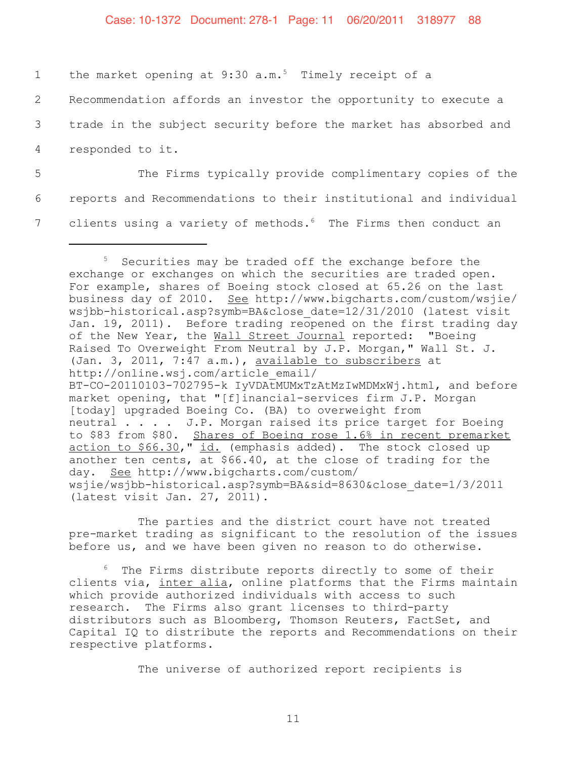#### Case: 10-1372 Document: 278-1 Page: 11 06/20/2011 318977 88

| 1               | the market opening at 9:30 $a.m.^5$ Timely receipt of a                    |
|-----------------|----------------------------------------------------------------------------|
| $\mathbf{2}$    | Recommendation affords an investor the opportunity to execute a            |
| 3 <sup>7</sup>  | trade in the subject security before the market has absorbed and           |
| $4\overline{ }$ | responded to it.                                                           |
| 5               | The Firms typically provide complimentary copies of the                    |
| 6               | reports and Recommendations to their institutional and individual          |
|                 | clients using a variety of methods. <sup>6</sup> The Firms then conduct an |

The parties and the district court have not treated pre-market trading as significant to the resolution of the issues before us, and we have been given no reason to do otherwise.

<sup>6</sup> The Firms distribute reports directly to some of their clients via, inter alia, online platforms that the Firms maintain which provide authorized individuals with access to such research. The Firms also grant licenses to third-party distributors such as Bloomberg, Thomson Reuters, FactSet, and Capital IQ to distribute the reports and Recommendations on their respective platforms.

The universe of authorized report recipients is

<sup>&</sup>lt;sup>5</sup> Securities may be traded off the exchange before the exchange or exchanges on which the securities are traded open. For example, shares of Boeing stock closed at 65.26 on the last business day of 2010. See http://www.bigcharts.com/custom/wsjie/ wsjbb-historical.asp?symb=BA&close\_date=12/31/2010 (latest visit Jan. 19, 2011). Before trading reopened on the first trading day of the New Year, the Wall Street Journal reported: "Boeing Raised To Overweight From Neutral by J.P. Morgan," Wall St. J. (Jan. 3, 2011, 7:47 a.m.), available to subscribers at http://online.wsj.com/article\_email/ BT-CO-20110103-702795-k IyVDAtMUMxTzAtMzIwMDMxWj.html, and before market opening, that "[f]inancial-services firm J.P. Morgan [today] upgraded Boeing Co. (BA) to overweight from neutral . . . . J.P. Morgan raised its price target for Boeing to \$83 from \$80. Shares of Boeing rose 1.6% in recent premarket action to \$66.30," id. (emphasis added). The stock closed up another ten cents, at \$66.40, at the close of trading for the day. See http://www.bigcharts.com/custom/ wsjie/wsjbb-historical.asp?symb=BA&sid=8630&close\_date=1/3/2011 (latest visit Jan. 27, 2011).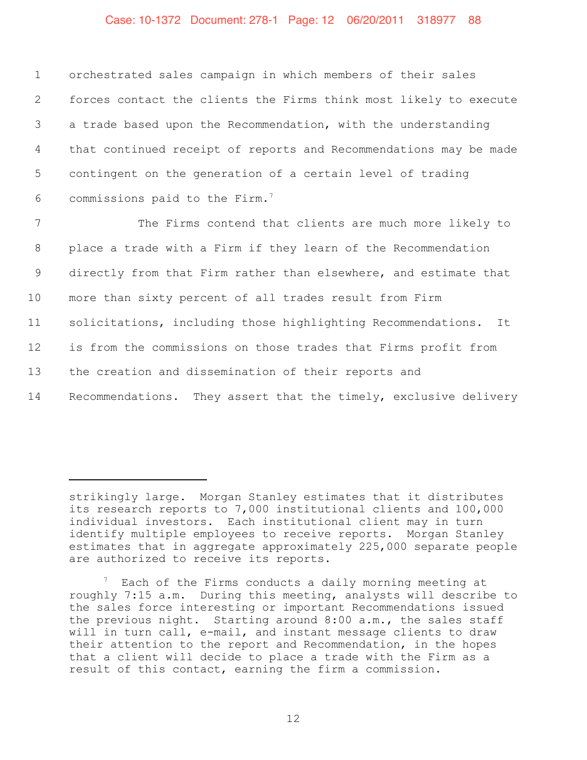#### Case: 10-1372 Document: 278-1 Page: 12 06/20/2011 318977 88

 orchestrated sales campaign in which members of their sales forces contact the clients the Firms think most likely to execute a trade based upon the Recommendation, with the understanding that continued receipt of reports and Recommendations may be made contingent on the generation of a certain level of trading 6 commissions paid to the Firm.<sup>7</sup>

 The Firms contend that clients are much more likely to place a trade with a Firm if they learn of the Recommendation directly from that Firm rather than elsewhere, and estimate that more than sixty percent of all trades result from Firm solicitations, including those highlighting Recommendations. It is from the commissions on those trades that Firms profit from the creation and dissemination of their reports and Recommendations. They assert that the timely, exclusive delivery

strikingly large. Morgan Stanley estimates that it distributes its research reports to 7,000 institutional clients and 100,000 individual investors. Each institutional client may in turn identify multiple employees to receive reports. Morgan Stanley estimates that in aggregate approximately 225,000 separate people are authorized to receive its reports.

 $^7$  Each of the Firms conducts a daily morning meeting at roughly 7:15 a.m. During this meeting, analysts will describe to the sales force interesting or important Recommendations issued the previous night. Starting around 8:00 a.m., the sales staff will in turn call, e-mail, and instant message clients to draw their attention to the report and Recommendation, in the hopes that a client will decide to place a trade with the Firm as a result of this contact, earning the firm a commission.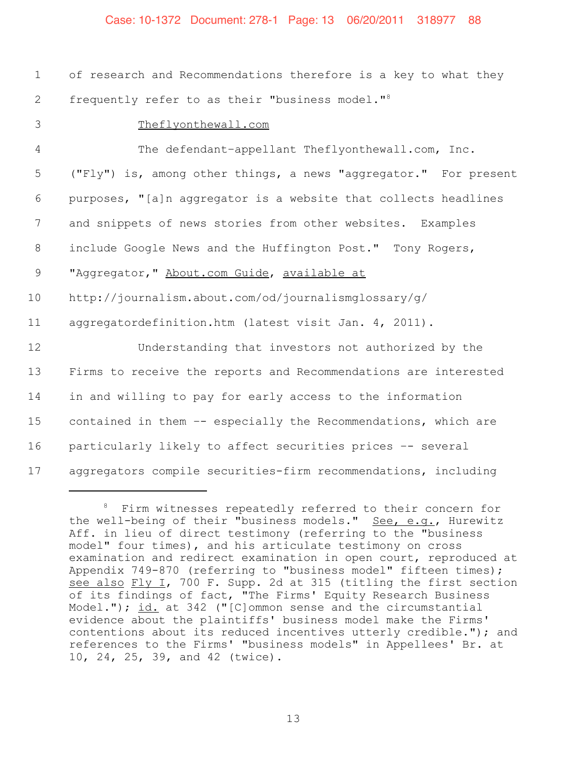#### Case: 10-1372 Document: 278-1 Page: 13 06/20/2011 318977 88

| $\mathbf{1}$    | of research and Recommendations therefore is a key to what they  |
|-----------------|------------------------------------------------------------------|
| $\mathbf{2}$    | frequently refer to as their "business model." <sup>8</sup>      |
| 3               | Theflyonthewall.com                                              |
| $\overline{4}$  | The defendant-appellant Theflyonthewall.com, Inc.                |
| 5               | ("Fly") is, among other things, a news "aggregator." For present |
| 6               | purposes, "[a]n aggregator is a website that collects headlines  |
| $7\phantom{.0}$ | and snippets of news stories from other websites. Examples       |
| 8               | include Google News and the Huffington Post." Tony Rogers,       |
| 9               | "Aggregator, " About.com Guide, available at                     |
| 10              | http://journalism.about.com/od/journalismglossary/g/             |
| 11              | aggregatordefinition.htm (latest visit Jan. 4, 2011).            |
| 12              | Understanding that investors not authorized by the               |
| 13              | Firms to receive the reports and Recommendations are interested  |
| 14              | in and willing to pay for early access to the information        |
| 15              | contained in them -- especially the Recommendations, which are   |
| 16              | particularly likely to affect securities prices -- several       |
| 17              | aggregators compile securities-firm recommendations, including   |

<sup>8</sup> Firm witnesses repeatedly referred to their concern for the well-being of their "business models." See, e.g., Hurewitz Aff. in lieu of direct testimony (referring to the "business model" four times), and his articulate testimony on cross examination and redirect examination in open court, reproduced at Appendix 749-870 (referring to "business model" fifteen times); see also Fly I, 700 F. Supp. 2d at 315 (titling the first section of its findings of fact, "The Firms' Equity Research Business Model."); id. at 342 ("[C]ommon sense and the circumstantial evidence about the plaintiffs' business model make the Firms' contentions about its reduced incentives utterly credible."); and references to the Firms' "business models" in Appellees' Br. at 10, 24, 25, 39, and 42 (twice).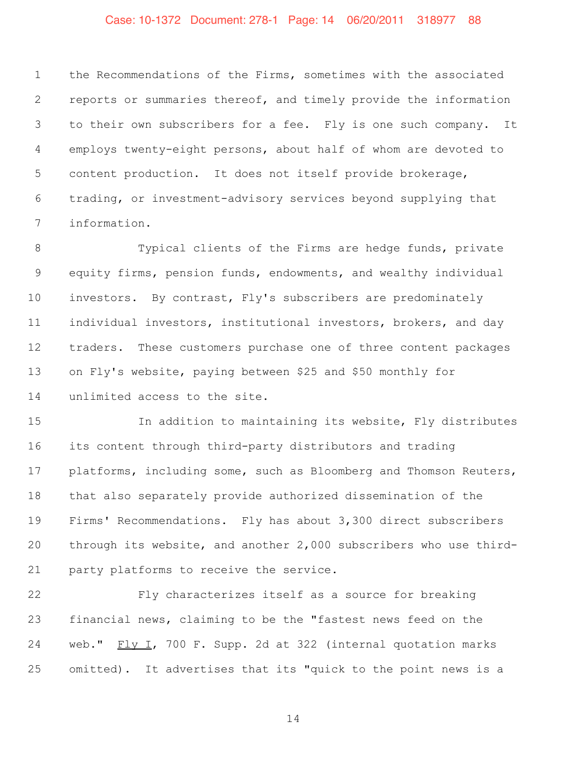#### Case: 10-1372 Document: 278-1 Page: 14 06/20/2011 318977 88

 the Recommendations of the Firms, sometimes with the associated reports or summaries thereof, and timely provide the information to their own subscribers for a fee. Fly is one such company. It employs twenty-eight persons, about half of whom are devoted to content production. It does not itself provide brokerage, trading, or investment-advisory services beyond supplying that information.

8 Typical clients of the Firms are hedge funds, private equity firms, pension funds, endowments, and wealthy individual investors. By contrast, Fly's subscribers are predominately individual investors, institutional investors, brokers, and day traders. These customers purchase one of three content packages on Fly's website, paying between \$25 and \$50 monthly for unlimited access to the site.

 In addition to maintaining its website, Fly distributes its content through third-party distributors and trading platforms, including some, such as Bloomberg and Thomson Reuters, that also separately provide authorized dissemination of the Firms' Recommendations. Fly has about 3,300 direct subscribers through its website, and another 2,000 subscribers who use third-party platforms to receive the service.

 Fly characterizes itself as a source for breaking financial news, claiming to be the "fastest news feed on the 24 web." Fly I, 700 F. Supp. 2d at 322 (internal quotation marks omitted). It advertises that its "quick to the point news is a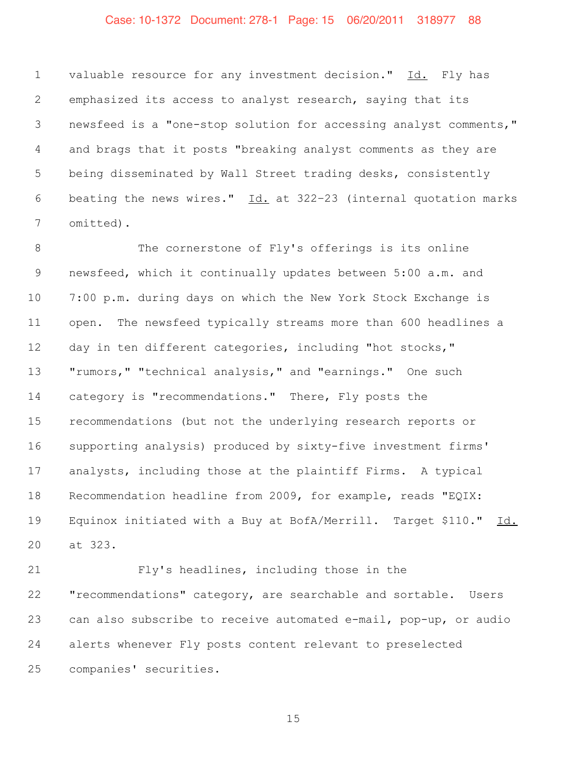# Case: 10-1372 Document: 278-1 Page: 15 06/20/2011 318977 88

 valuable resource for any investment decision." Id. Fly has emphasized its access to analyst research, saying that its newsfeed is a "one-stop solution for accessing analyst comments," and brags that it posts "breaking analyst comments as they are being disseminated by Wall Street trading desks, consistently 6 beating the news wires."  $\underline{Id.}$  at 322-23 (internal quotation marks omitted).

8 The cornerstone of Fly's offerings is its online newsfeed, which it continually updates between 5:00 a.m. and 7:00 p.m. during days on which the New York Stock Exchange is open. The newsfeed typically streams more than 600 headlines a day in ten different categories, including "hot stocks," "rumors," "technical analysis," and "earnings." One such category is "recommendations." There, Fly posts the recommendations (but not the underlying research reports or supporting analysis) produced by sixty-five investment firms' analysts, including those at the plaintiff Firms. A typical Recommendation headline from 2009, for example, reads "EQIX: 19 Equinox initiated with a Buy at BofA/Merrill. Target \$110." Id. at 323.

 Fly's headlines, including those in the "recommendations" category, are searchable and sortable. Users can also subscribe to receive automated e-mail, pop-up, or audio alerts whenever Fly posts content relevant to preselected companies' securities.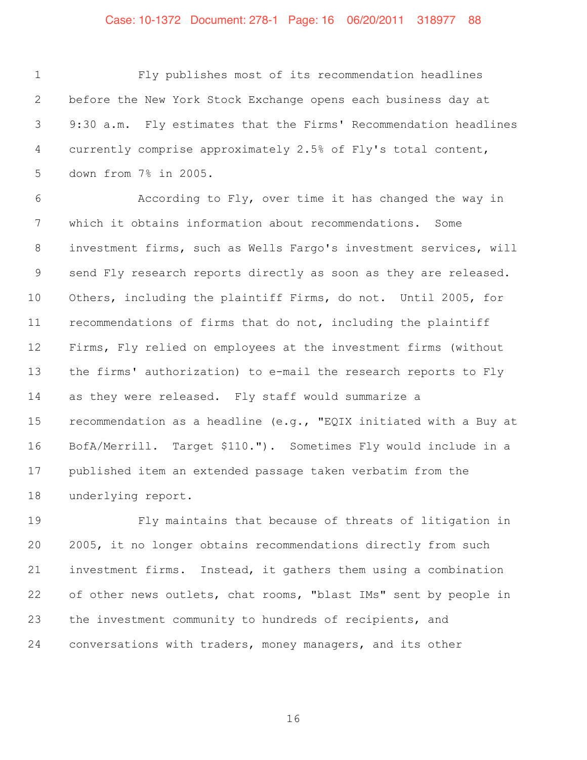### Case: 10-1372 Document: 278-1 Page: 16 06/20/2011 318977 88

 Fly publishes most of its recommendation headlines before the New York Stock Exchange opens each business day at 9:30 a.m. Fly estimates that the Firms' Recommendation headlines currently comprise approximately 2.5% of Fly's total content, down from 7% in 2005.

 According to Fly, over time it has changed the way in which it obtains information about recommendations. Some investment firms, such as Wells Fargo's investment services, will send Fly research reports directly as soon as they are released. Others, including the plaintiff Firms, do not. Until 2005, for recommendations of firms that do not, including the plaintiff Firms, Fly relied on employees at the investment firms (without the firms' authorization) to e-mail the research reports to Fly as they were released. Fly staff would summarize a recommendation as a headline (e.g., "EQIX initiated with a Buy at BofA/Merrill. Target \$110."). Sometimes Fly would include in a published item an extended passage taken verbatim from the underlying report.

 Fly maintains that because of threats of litigation in 2005, it no longer obtains recommendations directly from such investment firms. Instead, it gathers them using a combination of other news outlets, chat rooms, "blast IMs" sent by people in the investment community to hundreds of recipients, and conversations with traders, money managers, and its other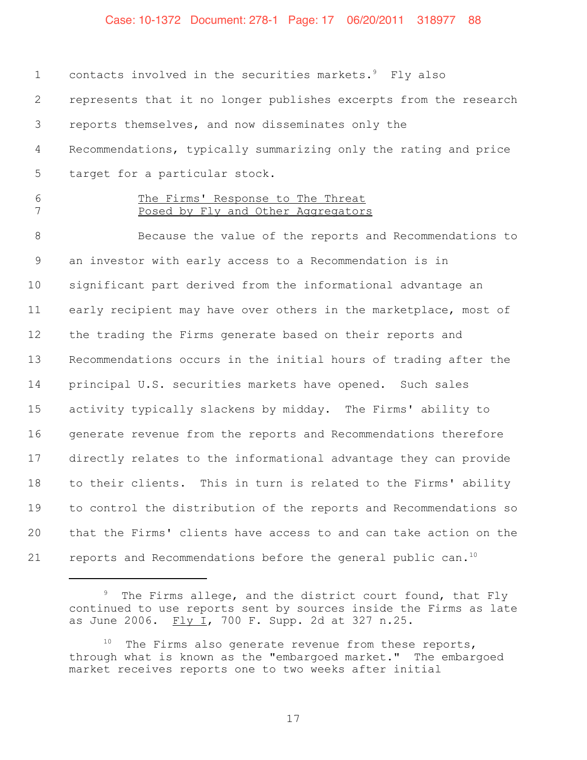#### Case: 10-1372 Document: 278-1 Page: 17 06/20/2011 318977 88

1 contacts involved in the securities markets.<sup>9</sup> Fly also represents that it no longer publishes excerpts from the research reports themselves, and now disseminates only the Recommendations, typically summarizing only the rating and price target for a particular stock. The Firms' Response to The Threat 7 Posed by Fly and Other Aggregators Because the value of the reports and Recommendations to an investor with early access to a Recommendation is in significant part derived from the informational advantage an early recipient may have over others in the marketplace, most of the trading the Firms generate based on their reports and Recommendations occurs in the initial hours of trading after the principal U.S. securities markets have opened. Such sales activity typically slackens by midday. The Firms' ability to generate revenue from the reports and Recommendations therefore directly relates to the informational advantage they can provide to their clients. This in turn is related to the Firms' ability to control the distribution of the reports and Recommendations so that the Firms' clients have access to and can take action on the

<sup>21</sup>  $\pm$  reports and Recommendations before the general public can.<sup>10</sup>

 The Firms allege, and the district court found, that Fly continued to use reports sent by sources inside the Firms as late as June 2006.  $\frac{Fly I}{I}$ , 700 F. Supp. 2d at 327 n.25.

 The Firms also generate revenue from these reports, through what is known as the "embargoed market." The embargoed market receives reports one to two weeks after initial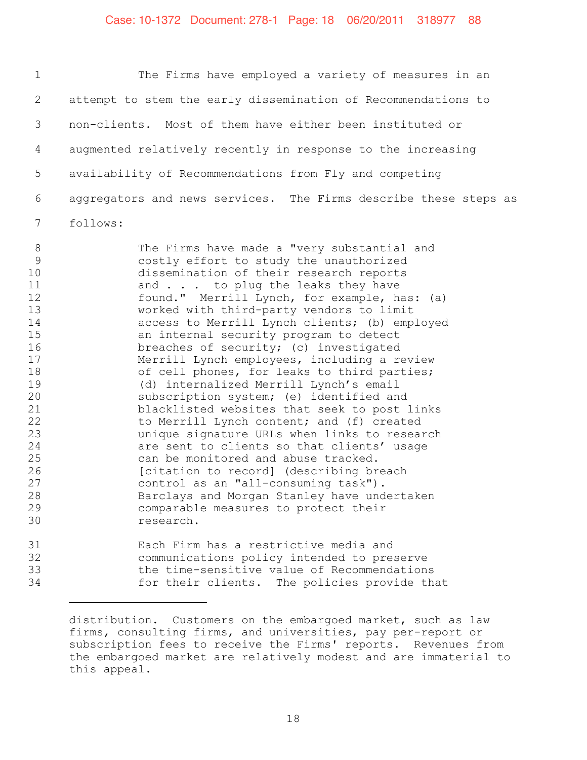#### Case: 10-1372 Document: 278-1 Page: 18 06/20/2011 318977 88

 The Firms have employed a variety of measures in an attempt to stem the early dissemination of Recommendations to non-clients. Most of them have either been instituted or augmented relatively recently in response to the increasing availability of Recommendations from Fly and competing aggregators and news services. The Firms describe these steps as 7 follows:

8 The Firms have made a "very substantial and 9 costly effort to study the unauthorized 10 dissemination of their research reports<br>11 and . . . to plug the leaks they have 11 and . . . to plug the leaks they have<br>12 found." Merrill Lynch, for example, have found." Merrill Lynch, for example, has: (a) 13 worked with third-party vendors to limit 14 access to Merrill Lynch clients; (b) employed<br>15 an internal security program to detect an internal security program to detect 16 breaches of security; (c) investigated<br>17 Merrill Lynch employees, including a re Merrill Lynch employees, including a review 18 of cell phones, for leaks to third parties; 19 (d) internalized Merrill Lynch's email<br>20 subscription system; (e) identified and 20 Subscription system; (e) identified and<br>21 Selecklisted websites that seek to post 21 blacklisted websites that seek to post links<br>22 to Merrill Lynch content; and (f) created to Merrill Lynch content; and (f) created 23 unique signature URLs when links to research 24 are sent to clients so that clients' usage<br>25 can be monitored and abuse tracked. 25 can be monitored and abuse tracked.<br>26 [citation to record] (describing bre 26 [citation to record] (describing breach<br>27 control as an "all-consuming task"). control as an "all-consuming task"). 28 Barclays and Morgan Stanley have undertaken 29 comparable measures to protect their 30 research. 31 Each Firm has a restrictive media and

32 communications policy intended to preserve 33 the time-sensitive value of Recommendations<br>34 for their clients. The policies provide the for their clients. The policies provide that

distribution. Customers on the embargoed market, such as law firms, consulting firms, and universities, pay per-report or subscription fees to receive the Firms' reports. Revenues from the embargoed market are relatively modest and are immaterial to this appeal.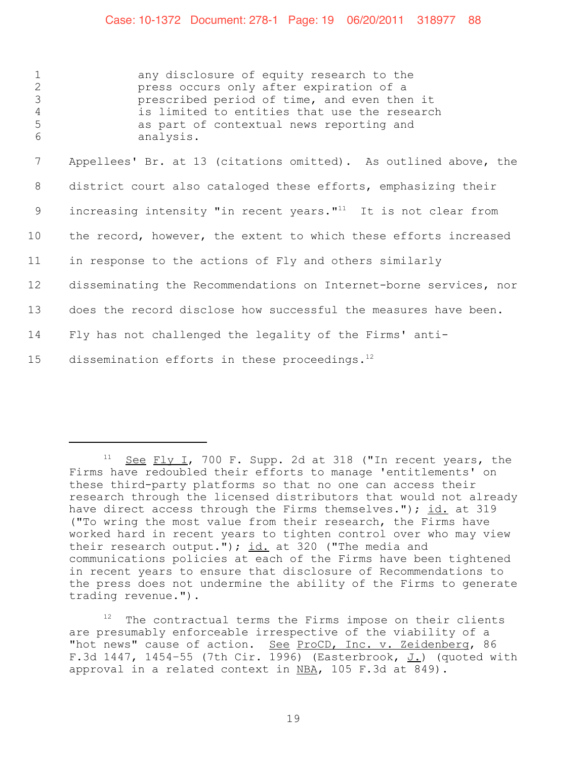#### Case: 10-1372 Document: 278-1 Page: 19 06/20/2011 318977 88

 any disclosure of equity research to the press occurs only after expiration of a **prescribed period of time, and even then it**<br>4 **is limited to entities that use the research** is limited to entities that use the research as part of contextual news reporting and analysis. Appellees' Br. at 13 (citations omitted). As outlined above, the district court also cataloged these efforts, emphasizing their 9 increasing intensity "in recent years." $11$  It is not clear from the record, however, the extent to which these efforts increased in response to the actions of Fly and others similarly disseminating the Recommendations on Internet-borne services, nor does the record disclose how successful the measures have been. Fly has not challenged the legality of the Firms' anti-15 dissemination efforts in these proceedings. $^{12}$ 

The contractual terms the Firms impose on their clients are presumably enforceable irrespective of the viability of a "hot news" cause of action. See ProCD, Inc. v. Zeidenberg, 86 F.3d 1447, 1454-55 (7th Cir. 1996) (Easterbrook,  $J.$ ) (quoted with approval in a related context in  $NBA$ , 105 F.3d at 849).

<sup>&</sup>lt;sup>11</sup> See Fly I, 700 F. Supp. 2d at 318 ("In recent years, the Firms have redoubled their efforts to manage 'entitlements' on these third-party platforms so that no one can access their research through the licensed distributors that would not already have direct access through the Firms themselves."); id. at 319 ("To wring the most value from their research, the Firms have worked hard in recent years to tighten control over who may view their research output."); id. at 320 ("The media and communications policies at each of the Firms have been tightened in recent years to ensure that disclosure of Recommendations to the press does not undermine the ability of the Firms to generate trading revenue.").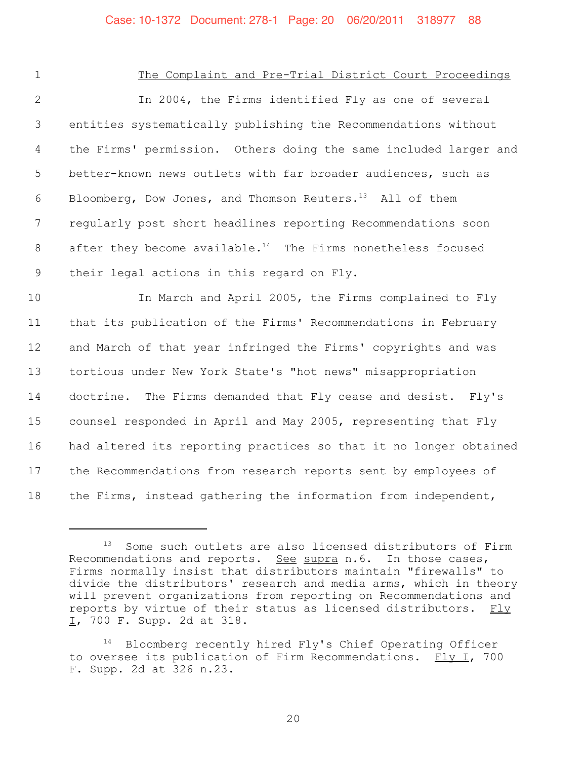#### 1 The Complaint and Pre-Trial District Court Proceedings

 In 2004, the Firms identified Fly as one of several entities systematically publishing the Recommendations without the Firms' permission. Others doing the same included larger and better-known news outlets with far broader audiences, such as 6 Bloomberg, Dow Jones, and Thomson Reuters.<sup>13</sup> All of them regularly post short headlines reporting Recommendations soon 8 after they become available.<sup>14</sup> The Firms nonetheless focused their legal actions in this regard on Fly.

 In March and April 2005, the Firms complained to Fly that its publication of the Firms' Recommendations in February and March of that year infringed the Firms' copyrights and was tortious under New York State's "hot news" misappropriation doctrine. The Firms demanded that Fly cease and desist. Fly's counsel responded in April and May 2005, representing that Fly had altered its reporting practices so that it no longer obtained the Recommendations from research reports sent by employees of the Firms, instead gathering the information from independent,

<sup>13</sup> Some such outlets are also licensed distributors of Firm Recommendations and reports. See supra n.6. In those cases, Firms normally insist that distributors maintain "firewalls" to divide the distributors' research and media arms, which in theory will prevent organizations from reporting on Recommendations and reports by virtue of their status as licensed distributors. Fly I, 700 F. Supp. 2d at 318.

<sup>&</sup>lt;sup>14</sup> Bloomberg recently hired Fly's Chief Operating Officer to oversee its publication of Firm Recommendations. Fly I, 700 F. Supp. 2d at 326 n.23.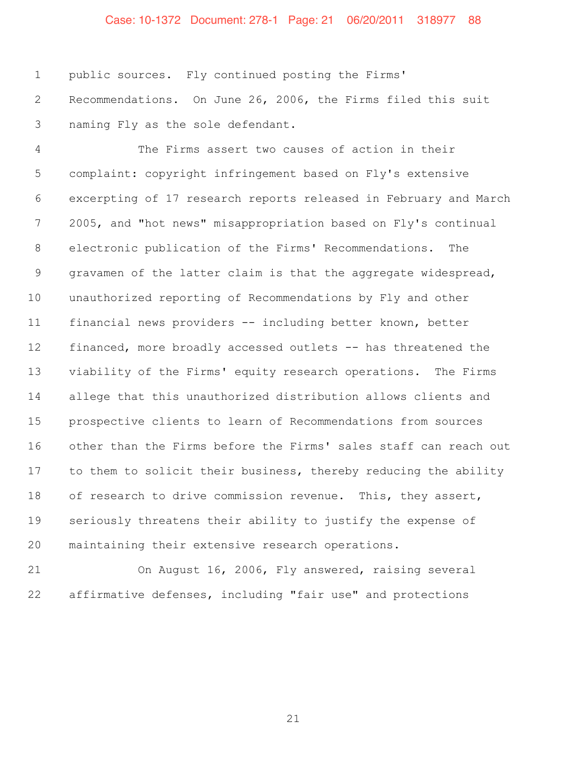# Case: 10-1372 Document: 278-1 Page: 21 06/20/2011 318977 88

 public sources. Fly continued posting the Firms' Recommendations. On June 26, 2006, the Firms filed this suit naming Fly as the sole defendant.

 The Firms assert two causes of action in their complaint: copyright infringement based on Fly's extensive excerpting of 17 research reports released in February and March 2005, and "hot news" misappropriation based on Fly's continual electronic publication of the Firms' Recommendations. The gravamen of the latter claim is that the aggregate widespread, unauthorized reporting of Recommendations by Fly and other financial news providers -- including better known, better financed, more broadly accessed outlets -- has threatened the viability of the Firms' equity research operations. The Firms allege that this unauthorized distribution allows clients and prospective clients to learn of Recommendations from sources other than the Firms before the Firms' sales staff can reach out to them to solicit their business, thereby reducing the ability 18 of research to drive commission revenue. This, they assert, seriously threatens their ability to justify the expense of maintaining their extensive research operations.

 On August 16, 2006, Fly answered, raising several affirmative defenses, including "fair use" and protections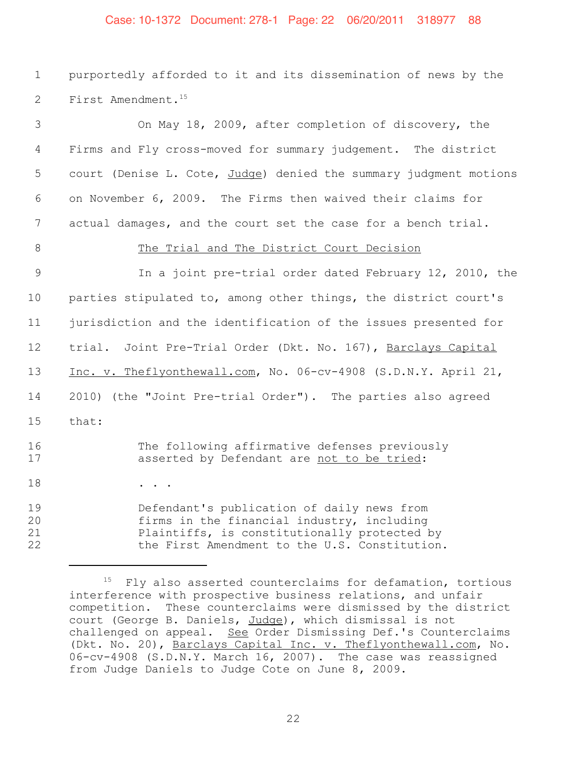### Case: 10-1372 Document: 278-1 Page: 22 06/20/2011 318977 88

 purportedly afforded to it and its dissemination of news by the 2 First Amendment.<sup>15</sup>

| 3                    | On May 18, 2009, after completion of discovery, the                                                                                                                                       |
|----------------------|-------------------------------------------------------------------------------------------------------------------------------------------------------------------------------------------|
| 4                    | Firms and Fly cross-moved for summary judgement. The district                                                                                                                             |
| 5                    | court (Denise L. Cote, Judge) denied the summary judgment motions                                                                                                                         |
| 6                    | on November 6, 2009. The Firms then waived their claims for                                                                                                                               |
| 7                    | actual damages, and the court set the case for a bench trial.                                                                                                                             |
| 8                    | The Trial and The District Court Decision                                                                                                                                                 |
| $\mathsf 9$          | In a joint pre-trial order dated February 12, 2010, the                                                                                                                                   |
| 10                   | parties stipulated to, among other things, the district court's                                                                                                                           |
| 11                   | jurisdiction and the identification of the issues presented for                                                                                                                           |
| 12                   | trial. Joint Pre-Trial Order (Dkt. No. 167), Barclays Capital                                                                                                                             |
| 13                   | Inc. v. Theflyonthewall.com, No. 06-cv-4908 (S.D.N.Y. April 21,                                                                                                                           |
| 14                   | 2010) (the "Joint Pre-trial Order"). The parties also agreed                                                                                                                              |
| 15                   | that:                                                                                                                                                                                     |
| 16<br>17             | The following affirmative defenses previously<br>asserted by Defendant are not to be tried:                                                                                               |
| 18                   | $\bullet$ , $\bullet$ , $\bullet$ , $\bullet$ , $\bullet$                                                                                                                                 |
| 19<br>20<br>21<br>22 | Defendant's publication of daily news from<br>firms in the financial industry, including<br>Plaintiffs, is constitutionally protected by<br>the First Amendment to the U.S. Constitution. |

 Fly also asserted counterclaims for defamation, tortious interference with prospective business relations, and unfair competition. These counterclaims were dismissed by the district court (George B. Daniels, Judge), which dismissal is not challenged on appeal. See Order Dismissing Def.'s Counterclaims (Dkt. No. 20), Barclays Capital Inc. v. Theflyonthewall.com, No. 06-cv-4908 (S.D.N.Y. March 16, 2007). The case was reassigned from Judge Daniels to Judge Cote on June 8, 2009.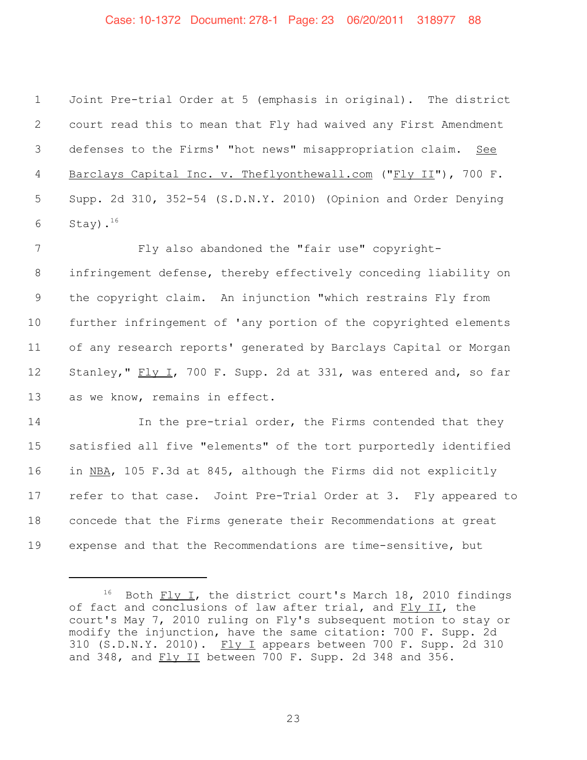### Case: 10-1372 Document: 278-1 Page: 23 06/20/2011 318977 88

 Joint Pre-trial Order at 5 (emphasis in original). The district court read this to mean that Fly had waived any First Amendment defenses to the Firms' "hot news" misappropriation claim. See Barclays Capital Inc. v. Theflyonthewall.com ("Fly II"), 700 F. Supp. 2d 310, 352-54 (S.D.N.Y. 2010) (Opinion and Order Denying 6 Stay). $^{16}$ 

 Fly also abandoned the "fair use" copyright- infringement defense, thereby effectively conceding liability on the copyright claim. An injunction "which restrains Fly from further infringement of 'any portion of the copyrighted elements of any research reports' generated by Barclays Capital or Morgan Stanley," Fly I, 700 F. Supp. 2d at 331, was entered and, so far as we know, remains in effect.

14 In the pre-trial order, the Firms contended that they satisfied all five "elements" of the tort purportedly identified in NBA, 105 F.3d at 845, although the Firms did not explicitly refer to that case. Joint Pre-Trial Order at 3. Fly appeared to concede that the Firms generate their Recommendations at great expense and that the Recommendations are time-sensitive, but

 Both Fly I, the district court's March 18, 2010 findings of fact and conclusions of law after trial, and Fly II, the court's May 7, 2010 ruling on Fly's subsequent motion to stay or modify the injunction, have the same citation: 700 F. Supp. 2d 310 (S.D.N.Y. 2010). Fly I appears between 700 F. Supp. 2d 310 and 348, and Fly II between 700 F. Supp. 2d 348 and 356.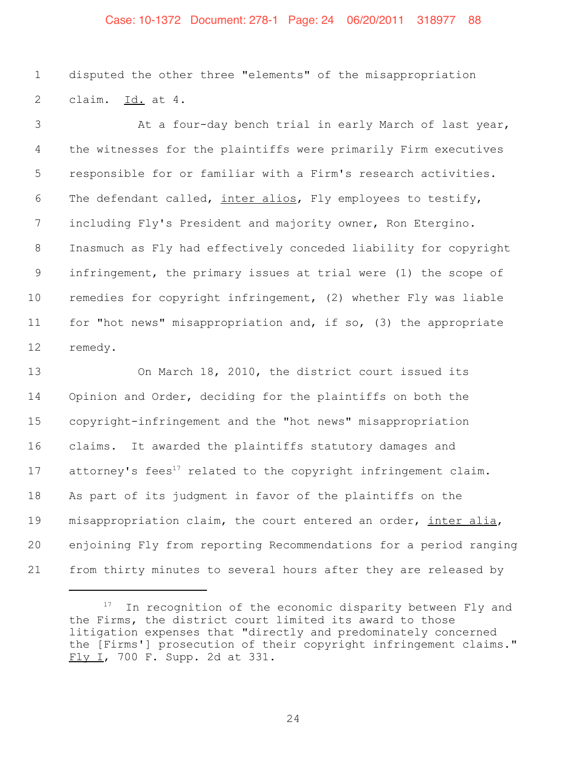#### Case: 10-1372 Document: 278-1 Page: 24 06/20/2011 318977 88

 disputed the other three "elements" of the misappropriation claim. Id. at 4.

3 At a four-day bench trial in early March of last year, the witnesses for the plaintiffs were primarily Firm executives responsible for or familiar with a Firm's research activities. The defendant called, inter alios, Fly employees to testify, including Fly's President and majority owner, Ron Etergino. Inasmuch as Fly had effectively conceded liability for copyright infringement, the primary issues at trial were (1) the scope of remedies for copyright infringement, (2) whether Fly was liable for "hot news" misappropriation and, if so, (3) the appropriate remedy.

 On March 18, 2010, the district court issued its Opinion and Order, deciding for the plaintiffs on both the copyright-infringement and the "hot news" misappropriation claims. It awarded the plaintiffs statutory damages and 17 attorney's fees<sup>17</sup> related to the copyright infringement claim. As part of its judgment in favor of the plaintiffs on the 19 misappropriation claim, the court entered an order, inter alia, enjoining Fly from reporting Recommendations for a period ranging from thirty minutes to several hours after they are released by

 In recognition of the economic disparity between Fly and the Firms, the district court limited its award to those litigation expenses that "directly and predominately concerned the [Firms'] prosecution of their copyright infringement claims." Fly I, 700 F. Supp. 2d at 331.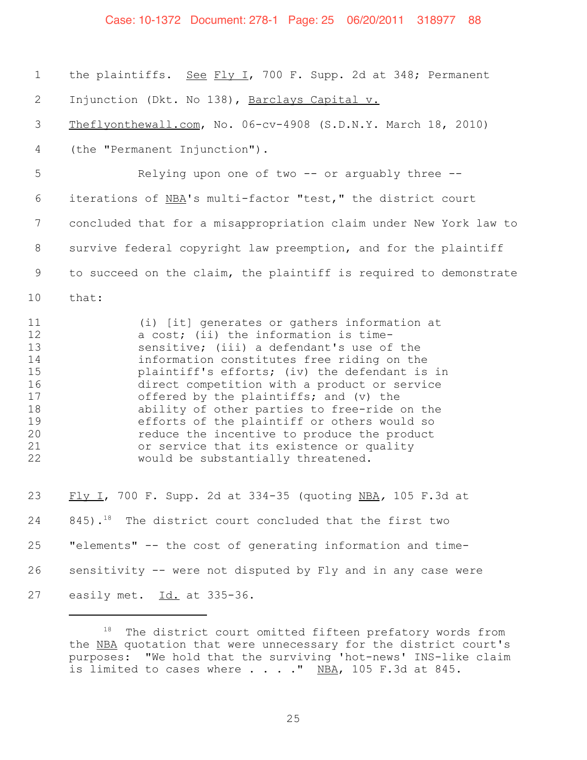#### Case: 10-1372 Document: 278-1 Page: 25 06/20/2011 318977 88

 the plaintiffs. See Fly I, 700 F. Supp. 2d at 348; Permanent 2 Injunction (Dkt. No 138), Barclays Capital v. Theflyonthewall.com, No. 06-cv-4908 (S.D.N.Y. March 18, 2010) (the "Permanent Injunction"). Relying upon one of two -- or arguably three -- iterations of NBA's multi-factor "test," the district court concluded that for a misappropriation claim under New York law to survive federal copyright law preemption, and for the plaintiff to succeed on the claim, the plaintiff is required to demonstrate 10 that: 11 (i) [it] generates or gathers information at<br>12 a cost: (ii) the information is timea cost; (ii) the information is time-13 sensitive; (iii) a defendant's use of the<br>14 information constitutes free riding on the information constitutes free riding on the plaintiff's efforts; (iv) the defendant is in 16 direct competition with a product or service<br>17 offered by the plaintiffs; and (v) the offered by the plaintiffs; and  $(v)$  the ability of other parties to free-ride on the efforts of the plaintiff or others would so reduce the incentive to produce the product 21 or service that its existence or quality<br>22 would be substantially threatened. would be substantially threatened. Fly I, 700 F. Supp. 2d at 334-35 (quoting NBA*,* 105 F.3d at 845).<sup>18</sup> The district court concluded that the first two "elements" -- the cost of generating information and time- sensitivity -- were not disputed by Fly and in any case were easily met. Id. at 335-36.

<sup>&</sup>lt;sup>18</sup> The district court omitted fifteen prefatory words from the NBA quotation that were unnecessary for the district court's purposes: "We hold that the surviving 'hot-news' INS-like claim is limited to cases where  $\ldots$  . . " NBA, 105 F.3d at 845.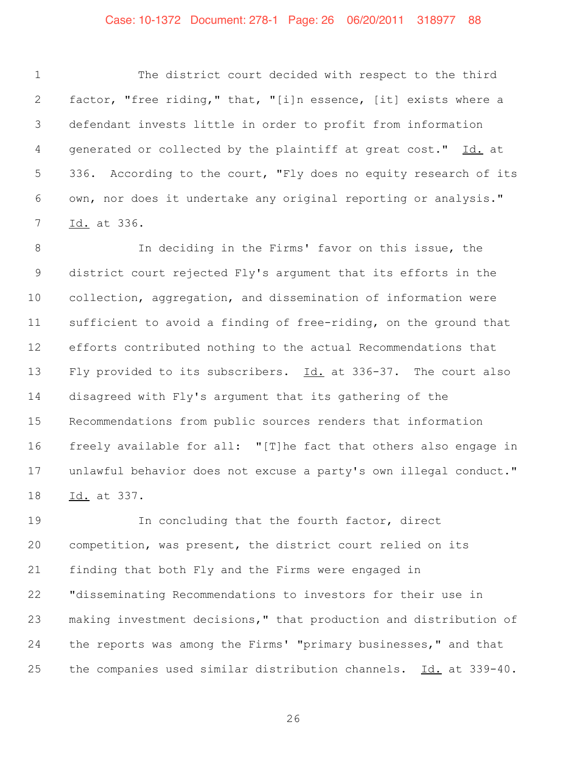#### Case: 10-1372 Document: 278-1 Page: 26 06/20/2011 318977 88

 The district court decided with respect to the third factor, "free riding," that, "[i]n essence, [it] exists where a defendant invests little in order to profit from information generated or collected by the plaintiff at great cost." Id. at 336. According to the court, "Fly does no equity research of its own, nor does it undertake any original reporting or analysis." Id. at 336.

 In deciding in the Firms' favor on this issue, the district court rejected Fly's argument that its efforts in the collection, aggregation, and dissemination of information were sufficient to avoid a finding of free-riding, on the ground that efforts contributed nothing to the actual Recommendations that Fly provided to its subscribers. Id. at 336-37. The court also disagreed with Fly's argument that its gathering of the Recommendations from public sources renders that information freely available for all: "[T]he fact that others also engage in unlawful behavior does not excuse a party's own illegal conduct." Id. at 337.

 In concluding that the fourth factor, direct competition, was present, the district court relied on its finding that both Fly and the Firms were engaged in "disseminating Recommendations to investors for their use in making investment decisions," that production and distribution of the reports was among the Firms' "primary businesses," and that the companies used similar distribution channels. Id. at 339-40.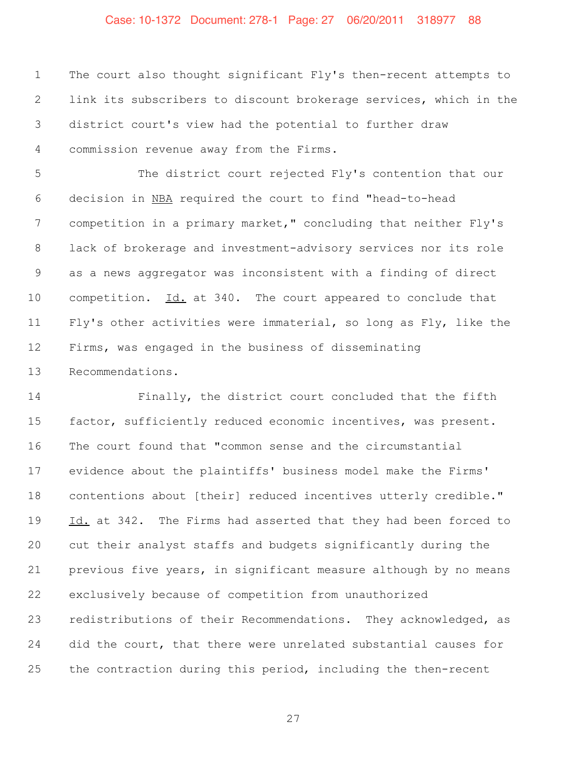### Case: 10-1372 Document: 278-1 Page: 27 06/20/2011 318977 88

 The court also thought significant Fly's then-recent attempts to link its subscribers to discount brokerage services, which in the district court's view had the potential to further draw commission revenue away from the Firms.

 The district court rejected Fly's contention that our decision in NBA required the court to find "head-to-head competition in a primary market," concluding that neither Fly's lack of brokerage and investment-advisory services nor its role as a news aggregator was inconsistent with a finding of direct competition. Id. at 340. The court appeared to conclude that Fly's other activities were immaterial, so long as Fly, like the Firms, was engaged in the business of disseminating Recommendations.

 Finally, the district court concluded that the fifth factor, sufficiently reduced economic incentives, was present. The court found that "common sense and the circumstantial evidence about the plaintiffs' business model make the Firms' contentions about [their] reduced incentives utterly credible." 19 Id. at 342. The Firms had asserted that they had been forced to cut their analyst staffs and budgets significantly during the previous five years, in significant measure although by no means exclusively because of competition from unauthorized redistributions of their Recommendations. They acknowledged, as did the court, that there were unrelated substantial causes for the contraction during this period, including the then-recent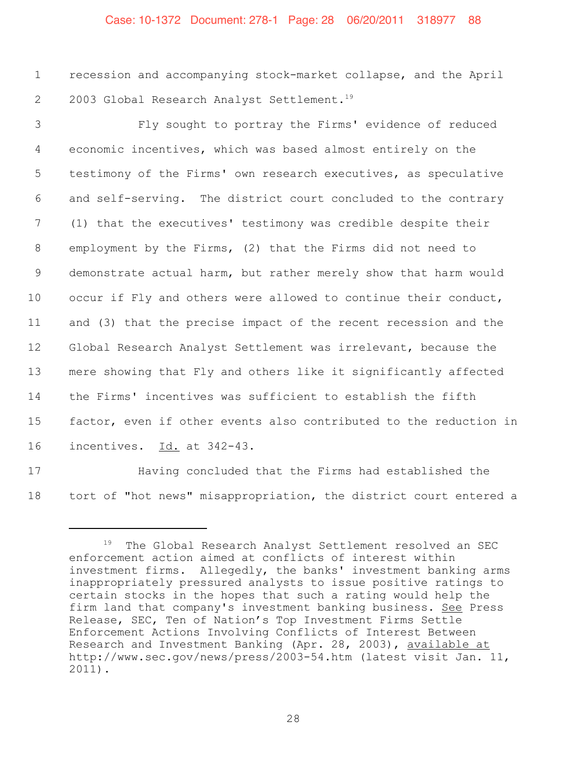#### Case: 10-1372 Document: 278-1 Page: 28 06/20/2011 318977 88

1 recession and accompanying stock-market collapse, and the April 2 2003 Global Research Analyst Settlement.<sup>19</sup>

 Fly sought to portray the Firms' evidence of reduced economic incentives, which was based almost entirely on the testimony of the Firms' own research executives, as speculative and self-serving. The district court concluded to the contrary (1) that the executives' testimony was credible despite their employment by the Firms, (2) that the Firms did not need to demonstrate actual harm, but rather merely show that harm would occur if Fly and others were allowed to continue their conduct, and (3) that the precise impact of the recent recession and the Global Research Analyst Settlement was irrelevant, because the mere showing that Fly and others like it significantly affected the Firms' incentives was sufficient to establish the fifth factor, even if other events also contributed to the reduction in incentives. Id. at 342-43.

17 Having concluded that the Firms had established the 18 tort of "hot news" misappropriation, the district court entered a

<sup>&</sup>lt;sup>19</sup> The Global Research Analyst Settlement resolved an SEC enforcement action aimed at conflicts of interest within investment firms. Allegedly, the banks' investment banking arms inappropriately pressured analysts to issue positive ratings to certain stocks in the hopes that such a rating would help the firm land that company's investment banking business. See Press Release, SEC, Ten of Nation's Top Investment Firms Settle Enforcement Actions Involving Conflicts of Interest Between Research and Investment Banking (Apr. 28, 2003), available at http://www.sec.gov/news/press/2003-54.htm (latest visit Jan. 11, 2011).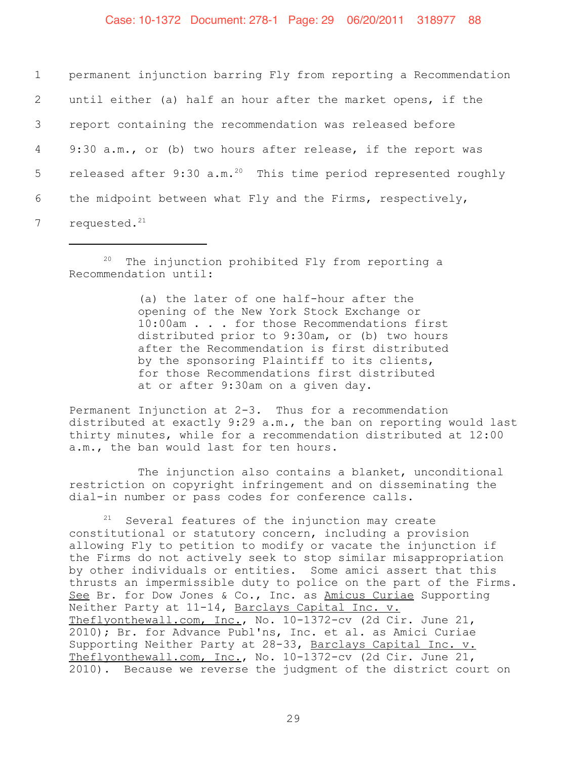permanent injunction barring Fly from reporting a Recommendation until either (a) half an hour after the market opens, if the report containing the recommendation was released before 9:30 a.m., or (b) two hours after release, if the report was 5 released after  $9:30$  a.m.<sup>20</sup> This time period represented roughly the midpoint between what Fly and the Firms, respectively, requested. $21$ 

 $20$  The injunction prohibited Fly from reporting a Recommendation until:

> (a) the later of one half-hour after the opening of the New York Stock Exchange or 10:00am . . . for those Recommendations first distributed prior to 9:30am, or (b) two hours after the Recommendation is first distributed by the sponsoring Plaintiff to its clients, for those Recommendations first distributed at or after 9:30am on a given day.

Permanent Injunction at 2-3. Thus for a recommendation distributed at exactly 9:29 a.m., the ban on reporting would last thirty minutes, while for a recommendation distributed at 12:00 a.m., the ban would last for ten hours.

The injunction also contains a blanket, unconditional restriction on copyright infringement and on disseminating the dial-in number or pass codes for conference calls.

 $21$  Several features of the injunction may create constitutional or statutory concern, including a provision allowing Fly to petition to modify or vacate the injunction if the Firms do not actively seek to stop similar misappropriation by other individuals or entities. Some amici assert that this thrusts an impermissible duty to police on the part of the Firms. See Br. for Dow Jones & Co., Inc. as Amicus Curiae Supporting Neither Party at 11-14, Barclays Capital Inc. v. Theflyonthewall.com, Inc., No. 10-1372-cv (2d Cir. June 21, 2010); Br. for Advance Publ'ns, Inc. et al. as Amici Curiae Supporting Neither Party at 28-33, Barclays Capital Inc. v. Theflyonthewall.com, Inc., No. 10-1372-cv (2d Cir. June 21, 2010). Because we reverse the judgment of the district court on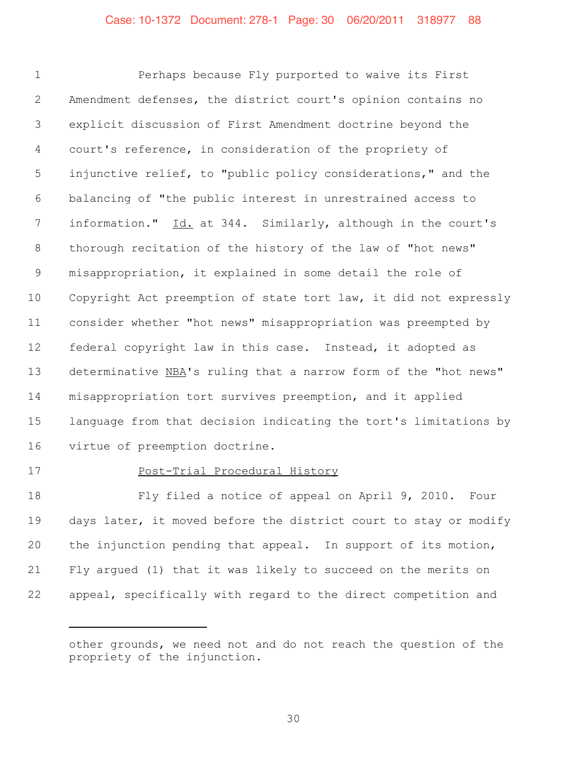Perhaps because Fly purported to waive its First Amendment defenses, the district court's opinion contains no explicit discussion of First Amendment doctrine beyond the court's reference, in consideration of the propriety of injunctive relief, to "public policy considerations," and the balancing of "the public interest in unrestrained access to 7 information." Id. at 344. Similarly, although in the court's thorough recitation of the history of the law of "hot news" misappropriation, it explained in some detail the role of Copyright Act preemption of state tort law, it did not expressly consider whether "hot news" misappropriation was preempted by federal copyright law in this case. Instead, it adopted as determinative NBA's ruling that a narrow form of the "hot news" misappropriation tort survives preemption, and it applied language from that decision indicating the tort's limitations by virtue of preemption doctrine.

#### Post-Trial Procedural History

 Fly filed a notice of appeal on April 9, 2010. Four days later, it moved before the district court to stay or modify the injunction pending that appeal. In support of its motion, Fly argued (1) that it was likely to succeed on the merits on appeal, specifically with regard to the direct competition and

other grounds, we need not and do not reach the question of the propriety of the injunction.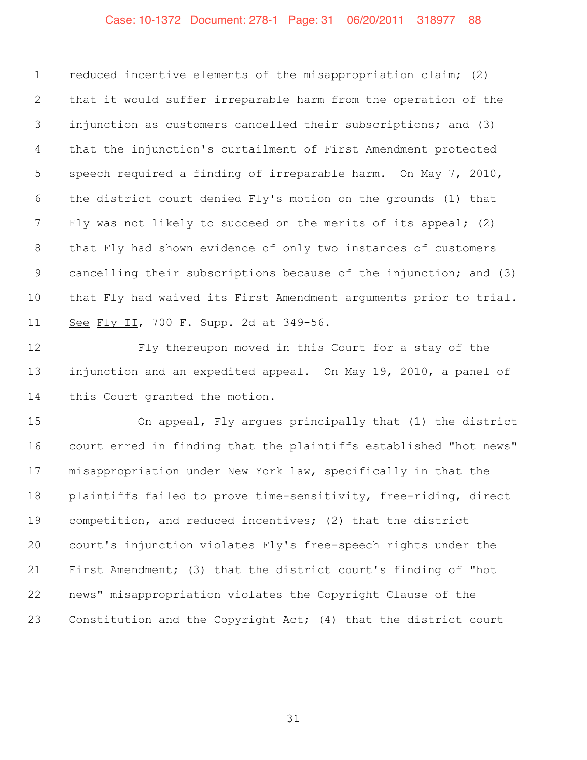# Case: 10-1372 Document: 278-1 Page: 31 06/20/2011 318977 88

 reduced incentive elements of the misappropriation claim; (2) that it would suffer irreparable harm from the operation of the injunction as customers cancelled their subscriptions; and (3) that the injunction's curtailment of First Amendment protected speech required a finding of irreparable harm. On May 7, 2010, the district court denied Fly's motion on the grounds (1) that Fly was not likely to succeed on the merits of its appeal; (2) that Fly had shown evidence of only two instances of customers cancelling their subscriptions because of the injunction; and (3) that Fly had waived its First Amendment arguments prior to trial. See Fly II, 700 F. Supp. 2d at 349-56.

 Fly thereupon moved in this Court for a stay of the injunction and an expedited appeal. On May 19, 2010, a panel of this Court granted the motion.

 On appeal, Fly argues principally that (1) the district court erred in finding that the plaintiffs established "hot news" misappropriation under New York law, specifically in that the plaintiffs failed to prove time-sensitivity, free-riding, direct competition, and reduced incentives; (2) that the district court's injunction violates Fly's free-speech rights under the First Amendment; (3) that the district court's finding of "hot news" misappropriation violates the Copyright Clause of the Constitution and the Copyright Act; (4) that the district court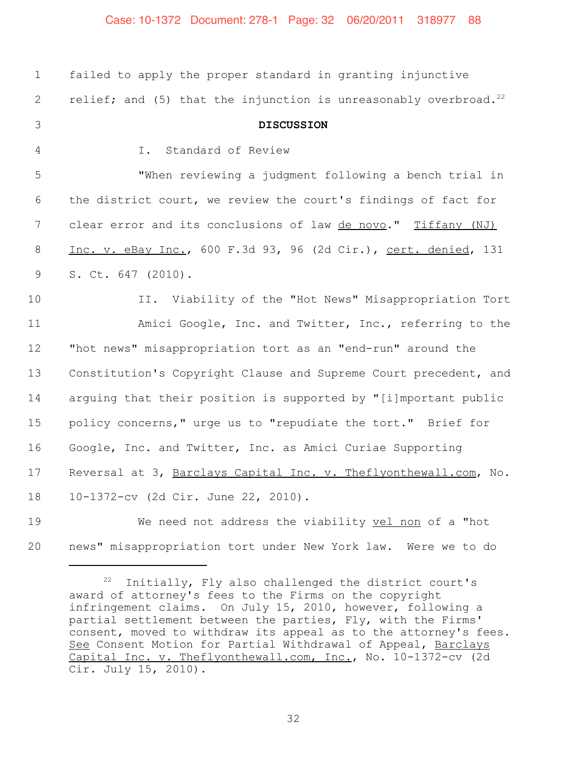#### Case: 10-1372 Document: 278-1 Page: 32 06/20/2011 318977 88

| 1               | failed to apply the proper standard in granting injunctive                   |
|-----------------|------------------------------------------------------------------------------|
| 2               | relief; and (5) that the injunction is unreasonably overbroad. <sup>22</sup> |
| 3               | <b>DISCUSSION</b>                                                            |
| 4               | Standard of Review<br>I.                                                     |
| 5               | "When reviewing a judgment following a bench trial in                        |
| 6               | the district court, we review the court's findings of fact for               |
| $7\phantom{.0}$ | clear error and its conclusions of law de novo." Tiffany (NJ)                |
| 8               | Inc. v. eBay Inc., 600 F.3d 93, 96 (2d Cir.), cert. denied, 131              |
| 9               | S. Ct. 647 (2010).                                                           |
| 10              | II. Viability of the "Hot News" Misappropriation Tort                        |
| 11              | Amici Google, Inc. and Twitter, Inc., referring to the                       |
| 12              | "hot news" misappropriation tort as an "end-run" around the                  |
| 13              | Constitution's Copyright Clause and Supreme Court precedent, and             |
| 14              | arquing that their position is supported by "[i]mportant public              |
| 15              | policy concerns," urge us to "repudiate the tort." Brief for                 |
| 16              | Google, Inc. and Twitter, Inc. as Amici Curiae Supporting                    |
| 17              | Reversal at 3, Barclays Capital Inc. v. Theflyonthewall.com, No.             |
| 18              | 10-1372-cv (2d Cir. June 22, 2010).                                          |
| 19              | We need not address the viability vel non of a "hot                          |
| 20              | news" misappropriation tort under New York law. Were we to do                |

<sup>22</sup> Initially, Fly also challenged the district court's award of attorney's fees to the Firms on the copyright infringement claims. On July 15, 2010, however, following a partial settlement between the parties, Fly, with the Firms' consent, moved to withdraw its appeal as to the attorney's fees. See Consent Motion for Partial Withdrawal of Appeal, Barclays Capital Inc. v. Theflyonthewall.com, Inc., No. 10-1372-cv (2d Cir. July 15, 2010).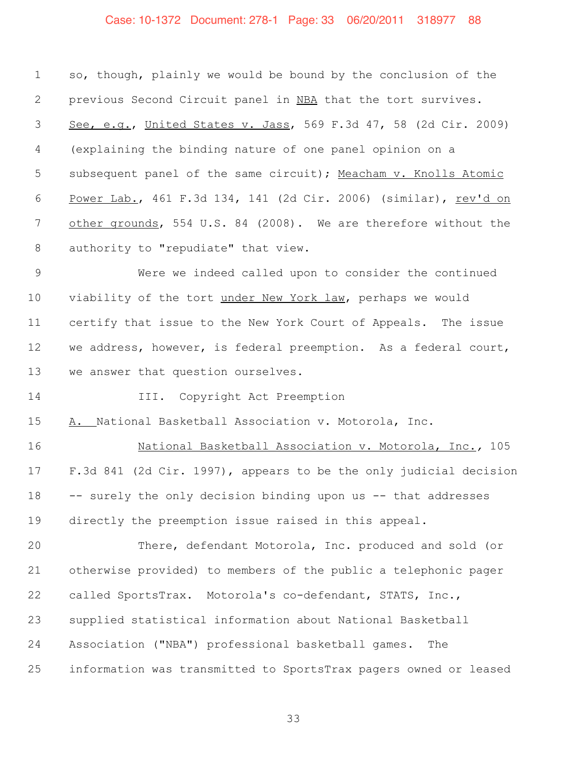#### Case: 10-1372 Document: 278-1 Page: 33 06/20/2011 318977 88

 so, though, plainly we would be bound by the conclusion of the 2 previous Second Circuit panel in NBA that the tort survives. See, e.g., United States v. Jass, 569 F.3d 47, 58 (2d Cir. 2009) (explaining the binding nature of one panel opinion on a subsequent panel of the same circuit); Meacham v. Knolls Atomic Power Lab., 461 F.3d 134, 141 (2d Cir. 2006) (similar), rev'd on 7 other grounds, 554 U.S. 84 (2008). We are therefore without the authority to "repudiate" that view.

 Were we indeed called upon to consider the continued viability of the tort under New York law, perhaps we would certify that issue to the New York Court of Appeals. The issue we address, however, is federal preemption. As a federal court, we answer that question ourselves.

III. Copyright Act Preemption

A. National Basketball Association v. Motorola, Inc.

 National Basketball Association v. Motorola, Inc.*,* 105 F.3d 841 (2d Cir. 1997), appears to be the only judicial decision -- surely the only decision binding upon us -- that addresses directly the preemption issue raised in this appeal.

 There, defendant Motorola, Inc. produced and sold (or otherwise provided) to members of the public a telephonic pager called SportsTrax. Motorola's co-defendant, STATS, Inc., supplied statistical information about National Basketball Association ("NBA") professional basketball games. The information was transmitted to SportsTrax pagers owned or leased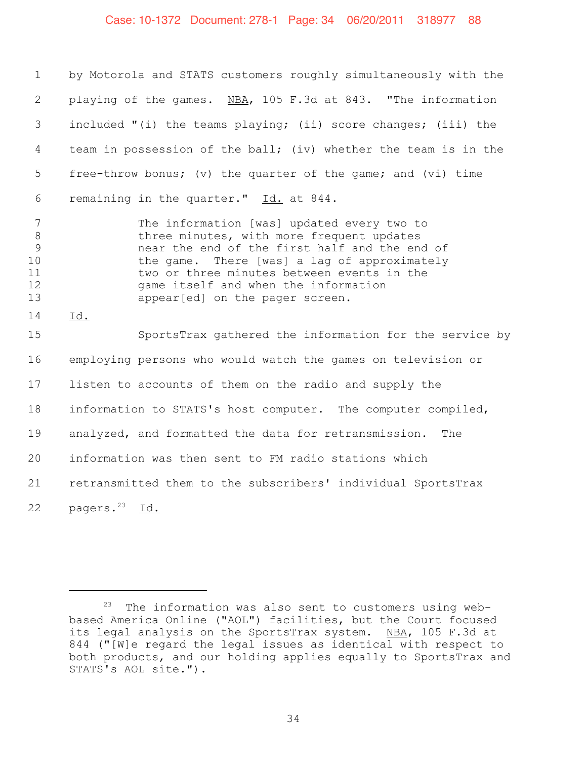#### Case: 10-1372 Document: 278-1 Page: 34 06/20/2011 318977 88

 by Motorola and STATS customers roughly simultaneously with the 2 playing of the games. NBA, 105 F.3d at 843. "The information included "(i) the teams playing; (ii) score changes; (iii) the team in possession of the ball; (iv) whether the team is in the free-throw bonus; (v) the quarter of the game; and (vi) time 6 remaining in the quarter." Id. at 844.

 The information [was] updated every two to **b** three minutes, with more frequent updates near the end of the first half and the end of the game. There [was] a lag of approximately 11 two or three minutes between events in the<br>12 eame itself and when the information game itself and when the information appear[ed] on the pager screen.

14 Id.

 SportsTrax gathered the information for the service by employing persons who would watch the games on television or listen to accounts of them on the radio and supply the information to STATS's host computer. The computer compiled, analyzed, and formatted the data for retransmission. The information was then sent to FM radio stations which retransmitted them to the subscribers' individual SportsTrax 22 pagers. $^{23}$  Id.

The information was also sent to customers using webbased America Online ("AOL") facilities, but the Court focused its legal analysis on the SportsTrax system. NBA, 105 F.3d at 844 ("[W]e regard the legal issues as identical with respect to both products, and our holding applies equally to SportsTrax and STATS's AOL site.").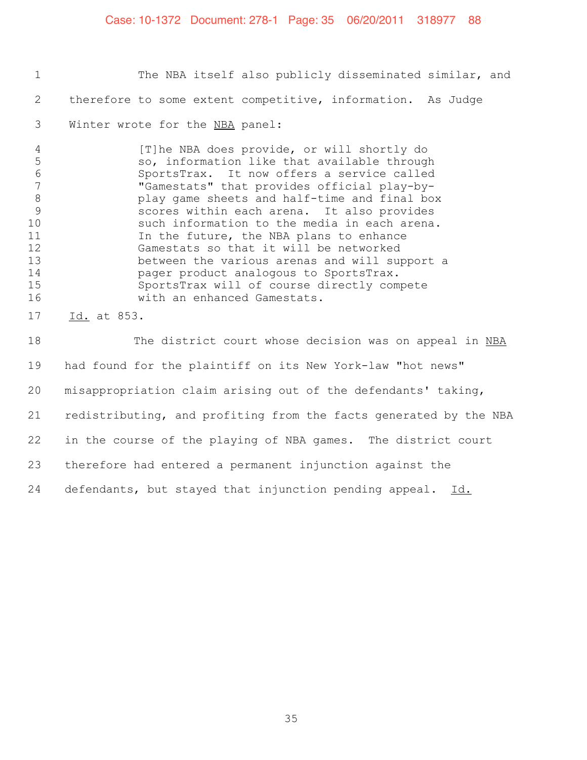#### Case: 10-1372 Document: 278-1 Page: 35 06/20/2011 318977 88

1 The NBA itself also publicly disseminated similar, and 2 therefore to some extent competitive, information. As Judge 3 Winter wrote for the NBA panel:

4 [T]he NBA does provide, or will shortly do 5 so, information like that available through<br>6 SportsTrax. It now offers a service called SportsTrax. It now offers a service called 7 "Gamestats" that provides official play-by-8 play game sheets and half-time and final box<br>9 scores within each arena. It also provides scores within each arena. It also provides 10 such information to the media in each arena. 11 11 In the future, the NBA plans to enhance 12 Gamestats so that it will be networked 13 between the various arenas and will support a 14 **14** pager product analogous to SportsTrax.<br>15 SportsTrax will of course directly com SportsTrax will of course directly compete 16 With an enhanced Gamestats.

17 Id. at 853.

18 The district court whose decision was on appeal in NBA had found for the plaintiff on its New York-law "hot news" misappropriation claim arising out of the defendants' taking, redistributing, and profiting from the facts generated by the NBA in the course of the playing of NBA games. The district court therefore had entered a permanent injunction against the 24 defendants, but stayed that injunction pending appeal. Id.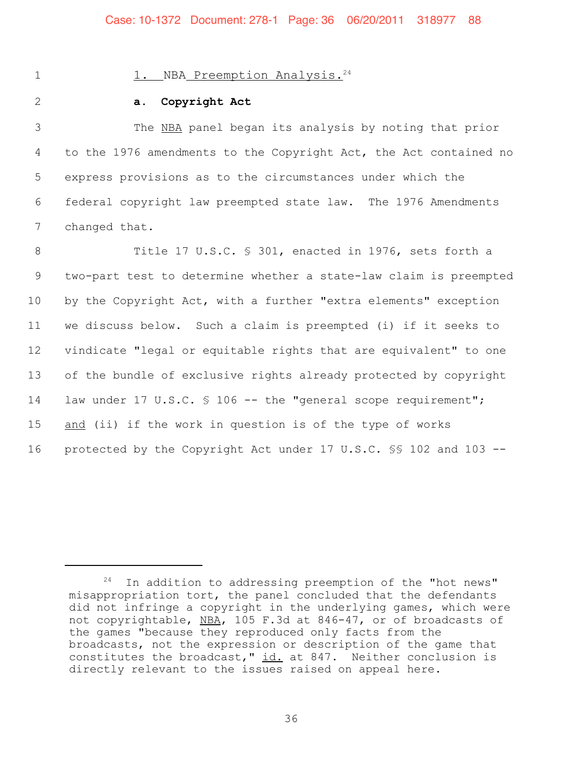#### 1. NBA Preemption Analysis.<sup>24</sup>

#### 2 **a. Copyright Act**

 The NBA panel began its analysis by noting that prior to the 1976 amendments to the Copyright Act, the Act contained no express provisions as to the circumstances under which the federal copyright law preempted state law. The 1976 Amendments changed that.

 Title 17 U.S.C. § 301, enacted in 1976, sets forth a two-part test to determine whether a state-law claim is preempted by the Copyright Act, with a further "extra elements" exception we discuss below. Such a claim is preempted (i) if it seeks to vindicate "legal or equitable rights that are equivalent" to one of the bundle of exclusive rights already protected by copyright 14 law under 17 U.S.C. § 106 -- the "general scope requirement"; 15 and (ii) if the work in question is of the type of works protected by the Copyright Act under 17 U.S.C. §§ 102 and 103 --

 $24$  In addition to addressing preemption of the "hot news" misappropriation tort, the panel concluded that the defendants did not infringe a copyright in the underlying games, which were not copyrightable, NBA, 105 F.3d at 846-47, or of broadcasts of the games "because they reproduced only facts from the broadcasts, not the expression or description of the game that constitutes the broadcast,"  $id.$  at 847. Neither conclusion is directly relevant to the issues raised on appeal here.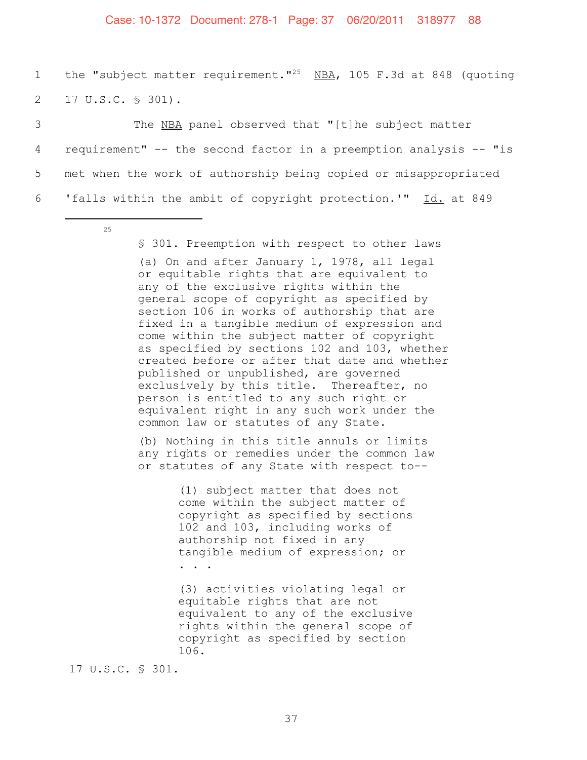#### Case: 10-1372 Document: 278-1 Page: 37 06/20/2011 318977 88

1 the "subject matter requirement."<sup>25</sup> NBA, 105 F.3d at 848 (quoting 2 17 U.S.C. § 301).

3 The NBA panel observed that "[t]he subject matter requirement" -- the second factor in a preemption analysis -- "is met when the work of authorship being copied or misappropriated 'falls within the ambit of copyright protection.'" Id. at 849

§ 301. Preemption with respect to other laws (a) On and after January 1, 1978, all legal or equitable rights that are equivalent to any of the exclusive rights within the general scope of copyright as specified by section 106 in works of authorship that are fixed in a tangible medium of expression and come within the subject matter of copyright as specified by sections 102 and 103, whether created before or after that date and whether published or unpublished, are governed exclusively by this title. Thereafter, no person is entitled to any such right or equivalent right in any such work under the common law or statutes of any State.

(b) Nothing in this title annuls or limits any rights or remedies under the common law or statutes of any State with respect to--

> (1) subject matter that does not come within the subject matter of copyright as specified by sections 102 and 103, including works of authorship not fixed in any tangible medium of expression; or

. . .

(3) activities violating legal or equitable rights that are not equivalent to any of the exclusive rights within the general scope of copyright as specified by section 106.

17 U.S.C. § 301.

<sup>25</sup>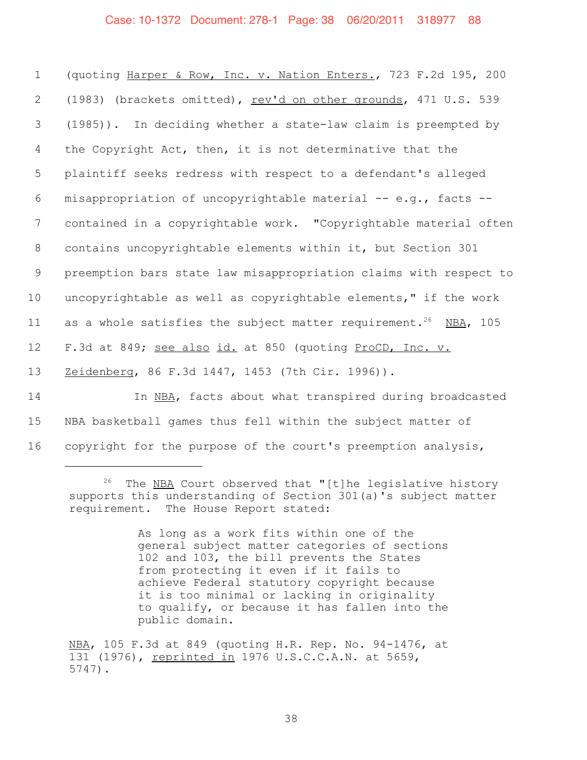#### Case: 10-1372 Document: 278-1 Page: 38 06/20/2011 318977 88

 (quoting Harper & Row, Inc. v. Nation Enters., 723 F.2d 195, 200 2 (1983) (brackets omitted), rev'd on other grounds, 471 U.S. 539 (1985)). In deciding whether a state-law claim is preempted by the Copyright Act, then, it is not determinative that the plaintiff seeks redress with respect to a defendant's alleged misappropriation of uncopyrightable material -- e.g., facts -- contained in a copyrightable work. "Copyrightable material often contains uncopyrightable elements within it, but Section 301 preemption bars state law misappropriation claims with respect to uncopyrightable as well as copyrightable elements," if the work 11 as a whole satisfies the subject matter requirement.<sup>26</sup> NBA, 105 12 F.3d at 849; see also id. at 850 (quoting ProCD, Inc. v. Zeidenberg, 86 F.3d 1447, 1453 (7th Cir. 1996)). In NBA, facts about what transpired during broadcasted

15 NBA basketball games thus fell within the subject matter of 16 copyright for the purpose of the court's preemption analysis,

As long as a work fits within one of the general subject matter categories of sections 102 and 103, the bill prevents the States from protecting it even if it fails to achieve Federal statutory copyright because it is too minimal or lacking in originality to qualify, or because it has fallen into the public domain.

 $26$  The NBA Court observed that "[t]he legislative history supports this understanding of Section 301(a)'s subject matter requirement. The House Report stated:

NBA, 105 F.3d at 849 (quoting H.R. Rep. No. 94-1476, at 131 (1976), reprinted in 1976 U.S.C.C.A.N. at 5659, 5747).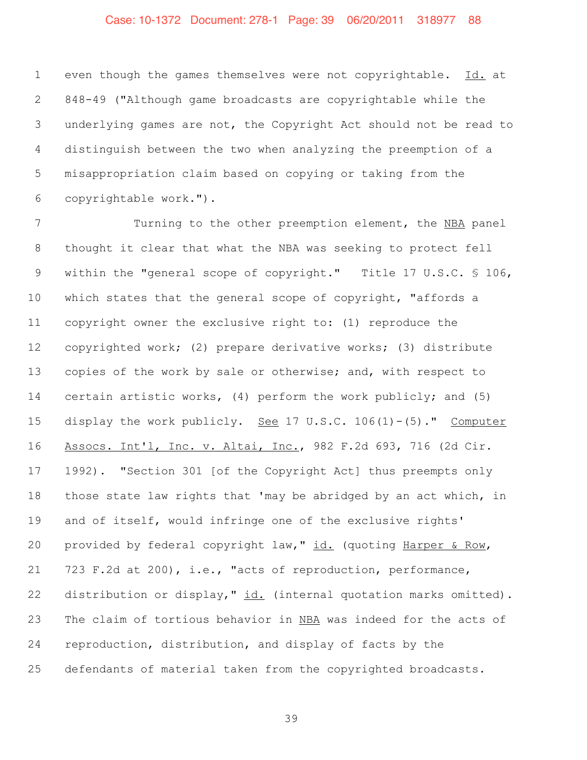# Case: 10-1372 Document: 278-1 Page: 39 06/20/2011 318977 88

 even though the games themselves were not copyrightable. Id. at 848-49 ("Although game broadcasts are copyrightable while the underlying games are not, the Copyright Act should not be read to distinguish between the two when analyzing the preemption of a misappropriation claim based on copying or taking from the copyrightable work.").

 Turning to the other preemption element, the NBA panel thought it clear that what the NBA was seeking to protect fell within the "general scope of copyright." Title 17 U.S.C. § 106, which states that the general scope of copyright, "affords a copyright owner the exclusive right to: (1) reproduce the copyrighted work; (2) prepare derivative works; (3) distribute copies of the work by sale or otherwise; and, with respect to certain artistic works, (4) perform the work publicly; and (5) display the work publicly. See 17 U.S.C. 106(1)-(5)." Computer Assocs. Int'l, Inc. v. Altai, Inc., 982 F.2d 693, 716 (2d Cir. 1992). "Section 301 [of the Copyright Act] thus preempts only those state law rights that 'may be abridged by an act which, in and of itself, would infringe one of the exclusive rights' provided by federal copyright law," id. (quoting Harper & Row, 723 F.2d at 200), i.e., "acts of reproduction, performance, 22 distribution or display," id. (internal quotation marks omitted). The claim of tortious behavior in NBA was indeed for the acts of reproduction, distribution, and display of facts by the defendants of material taken from the copyrighted broadcasts.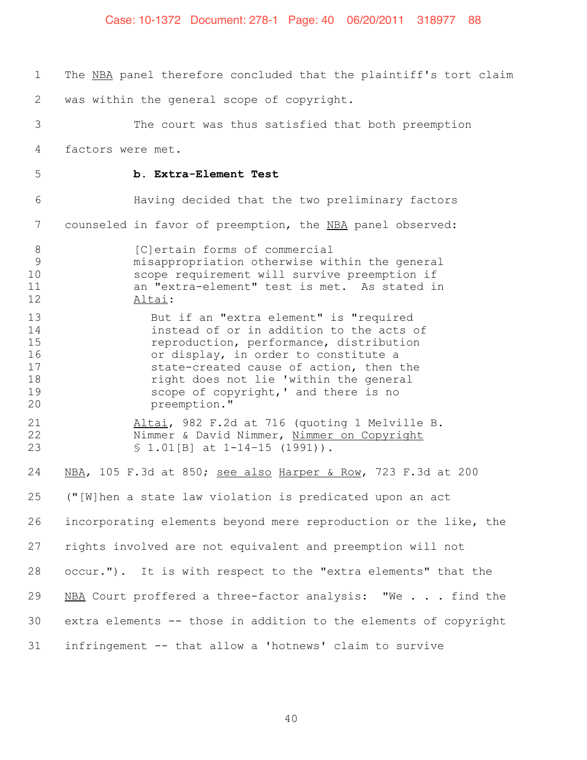| $\mathbf 1$                                  | The NBA panel therefore concluded that the plaintiff's tort claim                                                                                                                                                                                                                                                   |
|----------------------------------------------|---------------------------------------------------------------------------------------------------------------------------------------------------------------------------------------------------------------------------------------------------------------------------------------------------------------------|
| 2                                            | was within the general scope of copyright.                                                                                                                                                                                                                                                                          |
| 3                                            | The court was thus satisfied that both preemption                                                                                                                                                                                                                                                                   |
| 4                                            | factors were met.                                                                                                                                                                                                                                                                                                   |
| 5                                            | b. Extra-Element Test                                                                                                                                                                                                                                                                                               |
| 6                                            | Having decided that the two preliminary factors                                                                                                                                                                                                                                                                     |
| 7                                            | counseled in favor of preemption, the NBA panel observed:                                                                                                                                                                                                                                                           |
| $8\,$<br>9<br>10<br>11<br>12                 | [C]ertain forms of commercial<br>misappropriation otherwise within the general<br>scope requirement will survive preemption if<br>an "extra-element" test is met. As stated in<br>Altai:                                                                                                                            |
| 13<br>14<br>15<br>16<br>17<br>18<br>19<br>20 | But if an "extra element" is "required<br>instead of or in addition to the acts of<br>reproduction, performance, distribution<br>or display, in order to constitute a<br>state-created cause of action, then the<br>right does not lie 'within the general<br>scope of copyright, ' and there is no<br>preemption." |
| 21<br>22<br>23                               | Altai, 982 F.2d at 716 (quoting 1 Melville B.<br>Nimmer & David Nimmer, Nimmer on Copyright<br>$$1.01[B]$ at $1-14-15$ (1991)).                                                                                                                                                                                     |
| 24                                           | NBA, 105 F.3d at 850; see also Harper & Row, 723 F.3d at 200                                                                                                                                                                                                                                                        |
| 25                                           | ("[W]hen a state law violation is predicated upon an act                                                                                                                                                                                                                                                            |
| 26                                           | incorporating elements beyond mere reproduction or the like, the                                                                                                                                                                                                                                                    |
| 27                                           | rights involved are not equivalent and preemption will not                                                                                                                                                                                                                                                          |
| 28                                           | occur."). It is with respect to the "extra elements" that the                                                                                                                                                                                                                                                       |
| 29                                           | NBA Court proffered a three-factor analysis: "We find the                                                                                                                                                                                                                                                           |
| 30                                           | extra elements -- those in addition to the elements of copyright                                                                                                                                                                                                                                                    |
| 31                                           | infringement -- that allow a 'hotnews' claim to survive                                                                                                                                                                                                                                                             |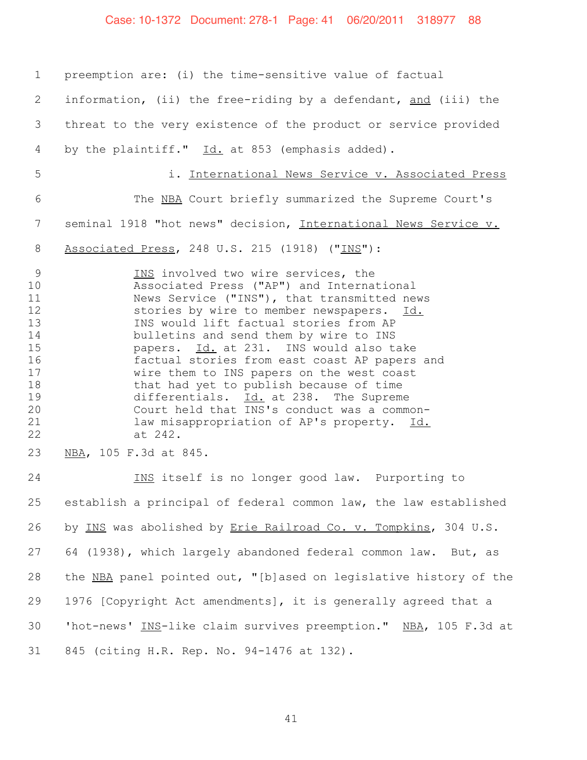# Case: 10-1372 Document: 278-1 Page: 41 06/20/2011 318977 88

| $\mathbf 1$                                                                                        | preemption are: (i) the time-sensitive value of factual                                                                                                                                                                                                                                                                                                                                                                                                                                                                                                                                                                         |
|----------------------------------------------------------------------------------------------------|---------------------------------------------------------------------------------------------------------------------------------------------------------------------------------------------------------------------------------------------------------------------------------------------------------------------------------------------------------------------------------------------------------------------------------------------------------------------------------------------------------------------------------------------------------------------------------------------------------------------------------|
| 2                                                                                                  | information, (ii) the free-riding by a defendant, and (iii) the                                                                                                                                                                                                                                                                                                                                                                                                                                                                                                                                                                 |
| 3                                                                                                  | threat to the very existence of the product or service provided                                                                                                                                                                                                                                                                                                                                                                                                                                                                                                                                                                 |
| 4                                                                                                  | by the plaintiff." Id. at 853 (emphasis added).                                                                                                                                                                                                                                                                                                                                                                                                                                                                                                                                                                                 |
| 5                                                                                                  | i. International News Service v. Associated Press                                                                                                                                                                                                                                                                                                                                                                                                                                                                                                                                                                               |
| 6                                                                                                  | The NBA Court briefly summarized the Supreme Court's                                                                                                                                                                                                                                                                                                                                                                                                                                                                                                                                                                            |
| 7                                                                                                  | seminal 1918 "hot news" decision, International News Service v.                                                                                                                                                                                                                                                                                                                                                                                                                                                                                                                                                                 |
| 8                                                                                                  | Associated Press, 248 U.S. 215 (1918) ("INS"):                                                                                                                                                                                                                                                                                                                                                                                                                                                                                                                                                                                  |
| $\overline{9}$<br>10<br>11<br>12<br>13<br>14<br>15<br>16<br>17<br>18<br>19<br>20<br>21<br>22<br>23 | INS involved two wire services, the<br>Associated Press ("AP") and International<br>News Service ("INS"), that transmitted news<br>stories by wire to member newspapers. Id.<br>INS would lift factual stories from AP<br>bulletins and send them by wire to INS<br>papers. Id. at 231. INS would also take<br>factual stories from east coast AP papers and<br>wire them to INS papers on the west coast<br>that had yet to publish because of time<br>differentials. Id. at 238. The Supreme<br>Court held that INS's conduct was a common-<br>law misappropriation of AP's property. Id.<br>at 242.<br>NBA, 105 F.3d at 845. |
| 24                                                                                                 | INS itself is no longer good law. Purporting to                                                                                                                                                                                                                                                                                                                                                                                                                                                                                                                                                                                 |
| 25                                                                                                 | establish a principal of federal common law, the law established                                                                                                                                                                                                                                                                                                                                                                                                                                                                                                                                                                |
| 26                                                                                                 | by INS was abolished by Erie Railroad Co. v. Tompkins, 304 U.S.                                                                                                                                                                                                                                                                                                                                                                                                                                                                                                                                                                 |
| 27                                                                                                 | 64 (1938), which largely abandoned federal common law. But, as                                                                                                                                                                                                                                                                                                                                                                                                                                                                                                                                                                  |
| 28                                                                                                 | the NBA panel pointed out, "[b]ased on legislative history of the                                                                                                                                                                                                                                                                                                                                                                                                                                                                                                                                                               |
| 29                                                                                                 | 1976 [Copyright Act amendments], it is generally agreed that a                                                                                                                                                                                                                                                                                                                                                                                                                                                                                                                                                                  |
| 30                                                                                                 | 'hot-news' INS-like claim survives preemption." NBA, 105 F.3d at                                                                                                                                                                                                                                                                                                                                                                                                                                                                                                                                                                |
| 31                                                                                                 | 845 (citing H.R. Rep. No. 94-1476 at 132).                                                                                                                                                                                                                                                                                                                                                                                                                                                                                                                                                                                      |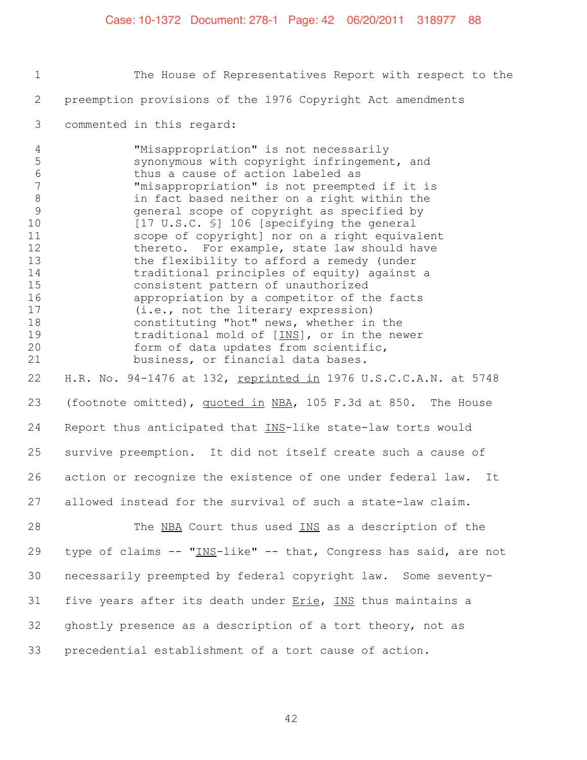1 The House of Representatives Report with respect to the 2 preemption provisions of the 1976 Copyright Act amendments 3 commented in this regard: 4 "Misappropriation" is not necessarily 5 synonymous with copyright infringement, and<br>6 thus a cause of action labeled as thus a cause of action labeled as 7 "misappropriation" is not preempted if it is 8 in fact based neither on a right within the<br>9 general scope of copyright as specified by 9 general scope of copyright as specified by 10 [17 U.S.C. §] 106 [specifying the general 11 scope of copyright] nor on a right equivalent 12 thereto. For example, state law should have 13 the flexibility to afford a remedy (under<br>14 traditional principles of equity) against 14 traditional principles of equity) against a<br>15 consistent pattern of unauthorized 15 consistent pattern of unauthorized<br>16 appropriation by a competitor of th appropriation by a competitor of the facts 17 (i.e., not the literary expression) 18 constituting "hot" news, whether in the<br>19 traditional mold of [INS], or in the new traditional mold of  $[INS]$ , or in the newer 20 form of data updates from scientific,<br>21 business, or financial data bases. business, or financial data bases. 22 H.R. No. 94-1476 at 132, reprinted in 1976 U.S.C.C.A.N. at 5748 23 (footnote omitted), quoted in NBA, 105 F.3d at 850. The House 24 Report thus anticipated that INS-like state-law torts would 25 survive preemption. It did not itself create such a cause of 26 action or recognize the existence of one under federal law. It 27 allowed instead for the survival of such a state-law claim.

28 The NBA Court thus used INS as a description of the 29 type of claims -- "INS-like" -- that, Congress has said, are not 30 necessarily preempted by federal copyright law. Some seventy-31 five years after its death under Erie, INS thus maintains a 32 ghostly presence as a description of a tort theory, not as 33 precedential establishment of a tort cause of action.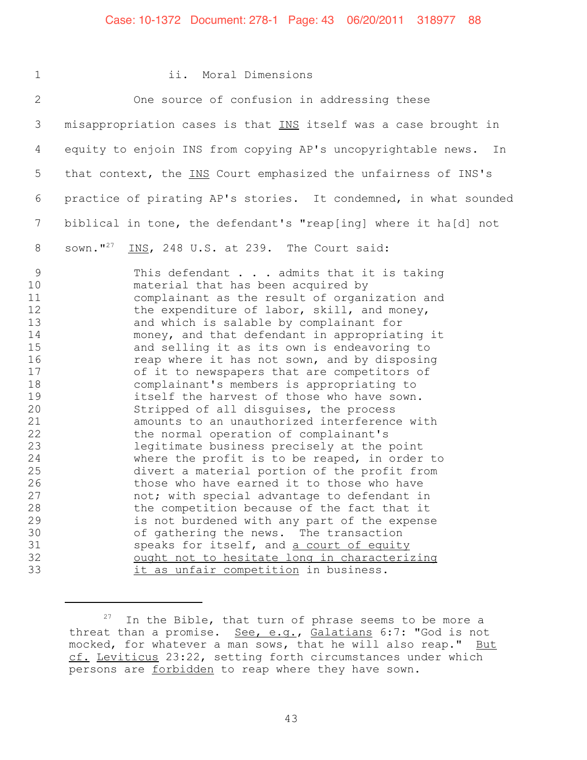#### Case: 10-1372 Document: 278-1 Page: 43 06/20/2011 318977 88

#### 1 ii. Moral Dimensions

2 One source of confusion in addressing these 3 misappropriation cases is that INS itself was a case brought in 4 equity to enjoin INS from copying AP's uncopyrightable news. In 5 that context, the INS Court emphasized the unfairness of INS's 6 practice of pirating AP's stories. It condemned, in what sounded 7 biblical in tone, the defendant's "reap[ing] where it ha[d] not 8 sown."<sup>27</sup> INS, 248 U.S. at 239. The Court said: 9 This defendant . . . admits that it is taking<br>10 material that has been acquired by material that has been acquired by 11 complainant as the result of organization and 12 the expenditure of labor, skill, and money, 13 and which is salable by complainant for 14 money, and that defendant in appropriating it 15 and selling it as its own is endeavoring to<br>16 16 have the same it has not sown, and by disposing reap where it has not sown, and by disposing 17 of it to newspapers that are competitors of 18 complainant's members is appropriating to<br>19 itself the harvest of those who have sown. 19 itself the harvest of those who have sown.<br>20 Stripped of all disquises, the process 20 Stripped of all disguises, the process<br>21 amounts to an unauthorized interference amounts to an unauthorized interference with 22 the normal operation of complainant's 23 legitimate business precisely at the point<br>24 where the profit is to be reaped, in order 24 where the profit is to be reaped, in order to<br>25 divert a material portion of the profit from 25 divert a material portion of the profit from<br>26 those who have earned it to those who have those who have earned it to those who have 27 not; with special advantage to defendant in 28 the competition because of the fact that it<br>29 is not burdened with any part of the expense 29 is not burdened with any part of the expense<br>30 of qathering the news. The transaction 30 of gathering the news. The transaction<br>31 speaks for itself, and a court of equity speaks for itself, and a court of equity 32 ought not to hesitate long in characterizing 33 it as unfair competition in business.

 $27$  In the Bible, that turn of phrase seems to be more a threat than a promise. See, e.g., Galatians 6:7: "God is not mocked, for whatever a man sows, that he will also reap." But cf. Leviticus 23:22, setting forth circumstances under which persons are forbidden to reap where they have sown.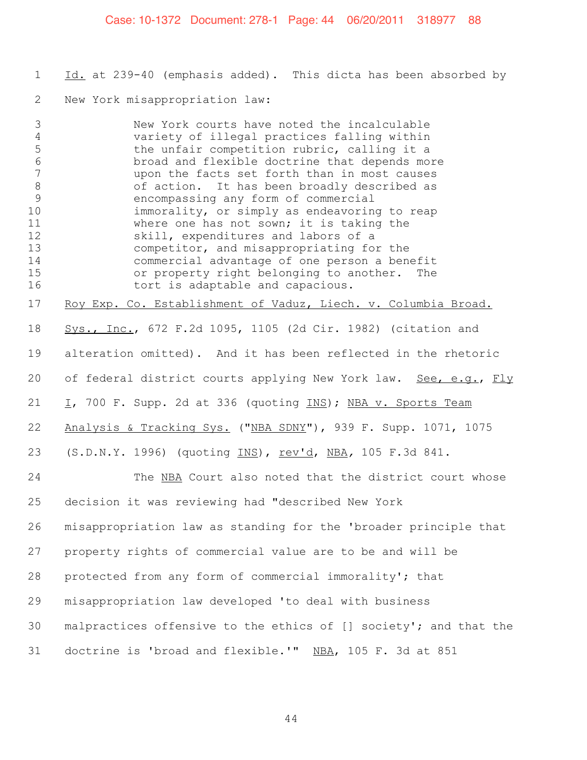#### Case: 10-1372 Document: 278-1 Page: 44 06/20/2011 318977 88

1 Id. at 239-40 (emphasis added). This dicta has been absorbed by

New York misappropriation law:

 New York courts have noted the incalculable variety of illegal practices falling within the unfair competition rubric, calling it a broad and flexible doctrine that depends more upon the facts set forth than in most causes of action. It has been broadly described as 9 encompassing any form of commercial<br>10 immorality, or simply as endeavoring immorality, or simply as endeavoring to reap where one has not sown; it is taking the 12 Skill, expenditures and labors of a<br>13 competitor, and misappropriating for competitor, and misappropriating for the 14 commercial advantage of one person a benefit<br>15 or property right belonging to another. The 15 or property right belonging to another. The<br>16 tort is adaptable and capacious. tort is adaptable and capacious. Roy Exp. Co. Establishment of Vaduz, Liech. v. Columbia Broad. Sys., Inc., 672 F.2d 1095, 1105 (2d Cir. 1982) (citation and alteration omitted). And it has been reflected in the rhetoric 20 of federal district courts applying New York law. See, e.g., Fly 21 I, 700 F. Supp. 2d at 336 (quoting INS); NBA v. Sports Team Analysis & Tracking Sys. ("NBA SDNY"), 939 F. Supp. 1071, 1075 (S.D.N.Y. 1996) (quoting INS), rev'd, NBA*,* 105 F.3d 841. The NBA Court also noted that the district court whose decision it was reviewing had "described New York misappropriation law as standing for the 'broader principle that property rights of commercial value are to be and will be protected from any form of commercial immorality'; that misappropriation law developed 'to deal with business malpractices offensive to the ethics of [] society'; and that the doctrine is 'broad and flexible.'" NBA, 105 F. 3d at 851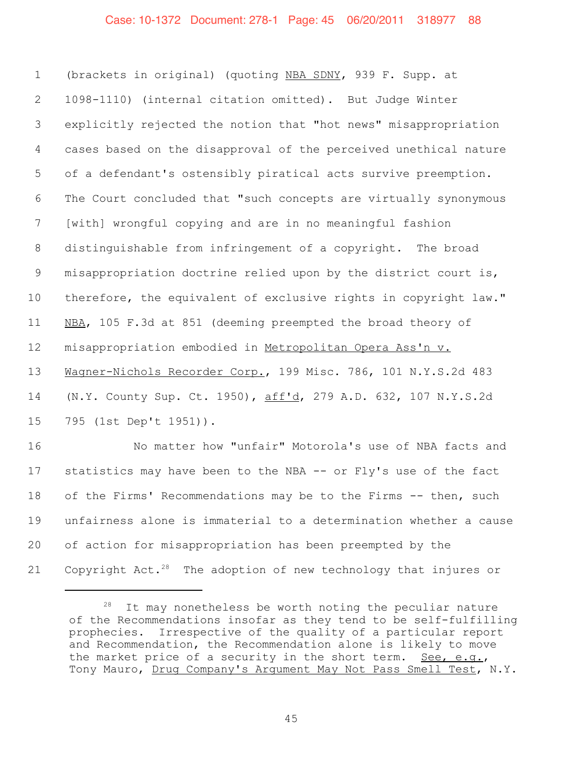#### Case: 10-1372 Document: 278-1 Page: 45 06/20/2011 318977 88

 (brackets in original) (quoting NBA SDNY, 939 F. Supp. at 1098-1110) (internal citation omitted). But Judge Winter explicitly rejected the notion that "hot news" misappropriation cases based on the disapproval of the perceived unethical nature of a defendant's ostensibly piratical acts survive preemption. The Court concluded that "such concepts are virtually synonymous [with] wrongful copying and are in no meaningful fashion distinguishable from infringement of a copyright. The broad misappropriation doctrine relied upon by the district court is, 10 therefore, the equivalent of exclusive rights in copyright law." NBA, 105 F.3d at 851 (deeming preempted the broad theory of misappropriation embodied in Metropolitan Opera Ass'n v. Wagner-Nichols Recorder Corp., 199 Misc. 786, 101 N.Y.S.2d 483 (N.Y. County Sup. Ct. 1950), aff'd, 279 A.D. 632, 107 N.Y.S.2d 795 (1st Dep't 1951)). No matter how "unfair" Motorola's use of NBA facts and statistics may have been to the NBA -- or Fly's use of the fact of the Firms' Recommendations may be to the Firms -- then, such unfairness alone is immaterial to a determination whether a cause of action for misappropriation has been preempted by the 21 Copyright Act.<sup>28</sup> The adoption of new technology that injures or

 It may nonetheless be worth noting the peculiar nature of the Recommendations insofar as they tend to be self-fulfilling prophecies. Irrespective of the quality of a particular report and Recommendation, the Recommendation alone is likely to move the market price of a security in the short term. See, e.g., Tony Mauro, Drug Company's Argument May Not Pass Smell Test, N.Y.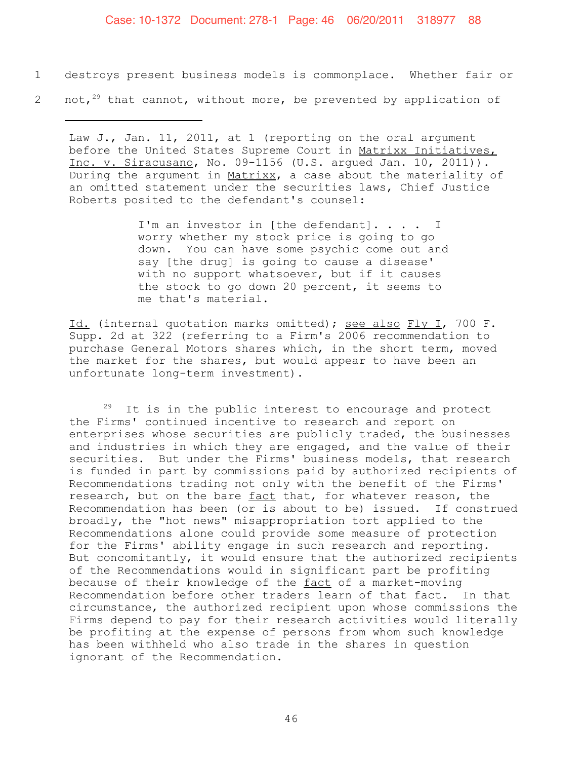#### Case: 10-1372 Document: 278-1 Page: 46 06/20/2011 318977 88

- 1 destroys present business models is commonplace. Whether fair or
- 2 not, $2^{9}$  that cannot, without more, be prevented by application of

Law J., Jan. 11, 2011, at 1 (reporting on the oral argument before the United States Supreme Court in Matrixx Initiatives, Inc. v. Siracusano, No. 09-1156 (U.S. argued Jan. 10, 2011)). During the argument in Matrixx, a case about the materiality of an omitted statement under the securities laws, Chief Justice Roberts posited to the defendant's counsel:

> I'm an investor in [the defendant]. . . . I worry whether my stock price is going to go down. You can have some psychic come out and say [the drug] is going to cause a disease' with no support whatsoever, but if it causes the stock to go down 20 percent, it seems to me that's material.

Id. (internal quotation marks omitted); see also Fly I, 700 F. Supp. 2d at 322 (referring to a Firm's 2006 recommendation to purchase General Motors shares which, in the short term, moved the market for the shares, but would appear to have been an unfortunate long-term investment).

 $29$  It is in the public interest to encourage and protect the Firms' continued incentive to research and report on enterprises whose securities are publicly traded, the businesses and industries in which they are engaged, and the value of their securities. But under the Firms' business models, that research is funded in part by commissions paid by authorized recipients of Recommendations trading not only with the benefit of the Firms' research, but on the bare fact that, for whatever reason, the Recommendation has been (or is about to be) issued. If construed broadly, the "hot news" misappropriation tort applied to the Recommendations alone could provide some measure of protection for the Firms' ability engage in such research and reporting. But concomitantly, it would ensure that the authorized recipients of the Recommendations would in significant part be profiting because of their knowledge of the fact of a market-moving Recommendation before other traders learn of that fact. In that circumstance, the authorized recipient upon whose commissions the Firms depend to pay for their research activities would literally be profiting at the expense of persons from whom such knowledge has been withheld who also trade in the shares in question ignorant of the Recommendation.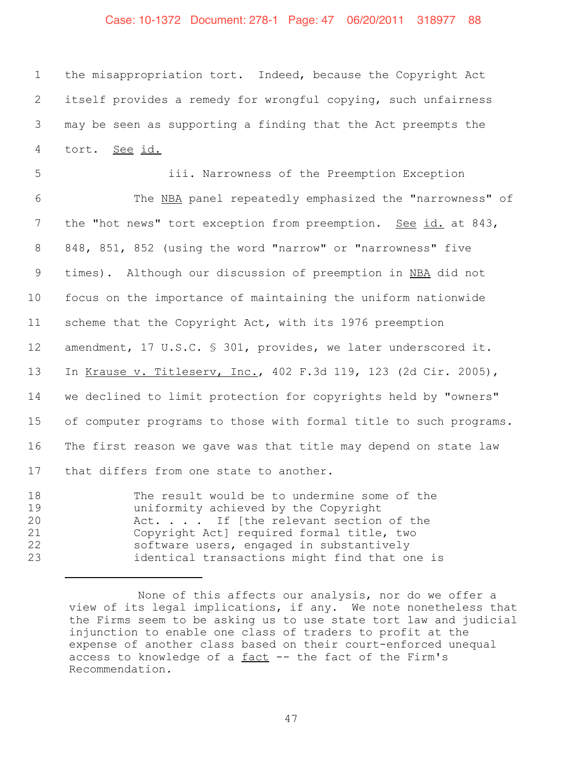## Case: 10-1372 Document: 278-1 Page: 47 06/20/2011 318977 88

 the misappropriation tort. Indeed, because the Copyright Act itself provides a remedy for wrongful copying, such unfairness may be seen as supporting a finding that the Act preempts the tort. See id.

 iii. Narrowness of the Preemption Exception The NBA panel repeatedly emphasized the "narrowness" of 7 the "hot news" tort exception from preemption. See id. at 843, 848, 851, 852 (using the word "narrow" or "narrowness" five 9 times). Although our discussion of preemption in NBA did not focus on the importance of maintaining the uniform nationwide scheme that the Copyright Act, with its 1976 preemption amendment, 17 U.S.C. § 301, provides, we later underscored it. In Krause v. Titleserv, Inc., 402 F.3d 119, 123 (2d Cir. 2005), we declined to limit protection for copyrights held by "owners" of computer programs to those with formal title to such programs. The first reason we gave was that title may depend on state law 17 that differs from one state to another.

18 The result would be to undermine some of the 19 uniformity achieved by the Copyright 20 Act.... If [the relevant section of the<br>21 Copyright Act] required formal title, two 21 Copyright Act] required formal title, two<br>22 Software users, engaged in substantively software users, engaged in substantively 23 identical transactions might find that one is

None of this affects our analysis, nor do we offer a view of its legal implications, if any. We note nonetheless that the Firms seem to be asking us to use state tort law and judicial injunction to enable one class of traders to profit at the expense of another class based on their court-enforced unequal access to knowledge of a  $fact -- the fact of the Firm's$ </u> Recommendation.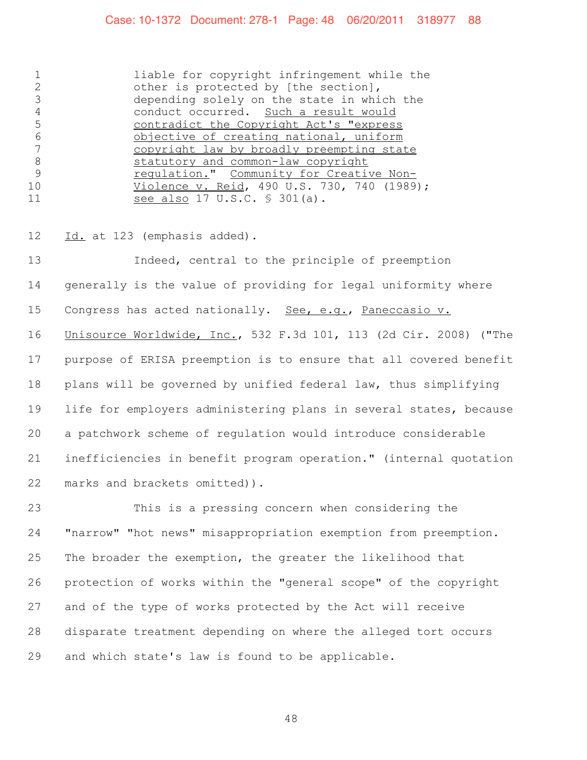#### Case: 10-1372 Document: 278-1 Page: 48 06/20/2011 318977 88

 liable for copyright infringement while the other is protected by [the section], 3 depending solely on the state in which the<br>4 conduct occurred. Such a result would conduct occurred. Such a result would contradict the Copyright Act's "express 6 **objective of creating national, uniform**<br>7 copyright law by broadly preempting stat 7 copyright law by broadly preempting state<br>8 statutory and common-law copyright 8 statutory and common-law copyright<br>9 regulation." Community for Creative regulation." Community for Creative Non- Violence v. Reid, 490 U.S. 730, 740 (1989); 11 see also 17 U.S.C. \$ 301(a).

12 Id. at 123 (emphasis added).

 Indeed, central to the principle of preemption generally is the value of providing for legal uniformity where 15 Congress has acted nationally. See, e.g., Paneccasio v. Unisource Worldwide, Inc., 532 F.3d 101, 113 (2d Cir. 2008) ("The purpose of ERISA preemption is to ensure that all covered benefit plans will be governed by unified federal law, thus simplifying life for employers administering plans in several states, because a patchwork scheme of regulation would introduce considerable inefficiencies in benefit program operation." (internal quotation marks and brackets omitted)).

 This is a pressing concern when considering the "narrow" "hot news" misappropriation exemption from preemption. The broader the exemption, the greater the likelihood that protection of works within the "general scope" of the copyright and of the type of works protected by the Act will receive disparate treatment depending on where the alleged tort occurs and which state's law is found to be applicable.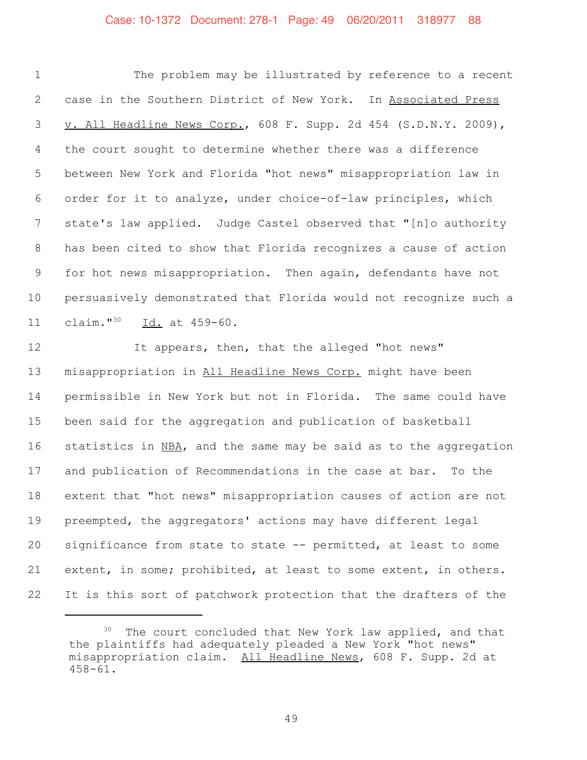#### Case: 10-1372 Document: 278-1 Page: 49 06/20/2011 318977 88

 The problem may be illustrated by reference to a recent 2 case in the Southern District of New York. In Associated Press v. All Headline News Corp., 608 F. Supp. 2d 454 (S.D.N.Y. 2009), the court sought to determine whether there was a difference between New York and Florida "hot news" misappropriation law in order for it to analyze, under choice-of-law principles, which state's law applied. Judge Castel observed that "[n]o authority has been cited to show that Florida recognizes a cause of action for hot news misappropriation. Then again, defendants have not persuasively demonstrated that Florida would not recognize such a 11 claim."<sup>30</sup> Id. at 459-60.

12 12 It appears, then, that the alleged "hot news" misappropriation in All Headline News Corp. might have been permissible in New York but not in Florida. The same could have been said for the aggregation and publication of basketball statistics in NBA, and the same may be said as to the aggregation and publication of Recommendations in the case at bar. To the extent that "hot news" misappropriation causes of action are not preempted, the aggregators' actions may have different legal significance from state to state -- permitted, at least to some extent, in some; prohibited, at least to some extent, in others. It is this sort of patchwork protection that the drafters of the

<sup>&</sup>lt;sup>30</sup> The court concluded that New York law applied, and that the plaintiffs had adequately pleaded a New York "hot news" misappropriation claim. All Headline News, 608 F. Supp. 2d at 458-61.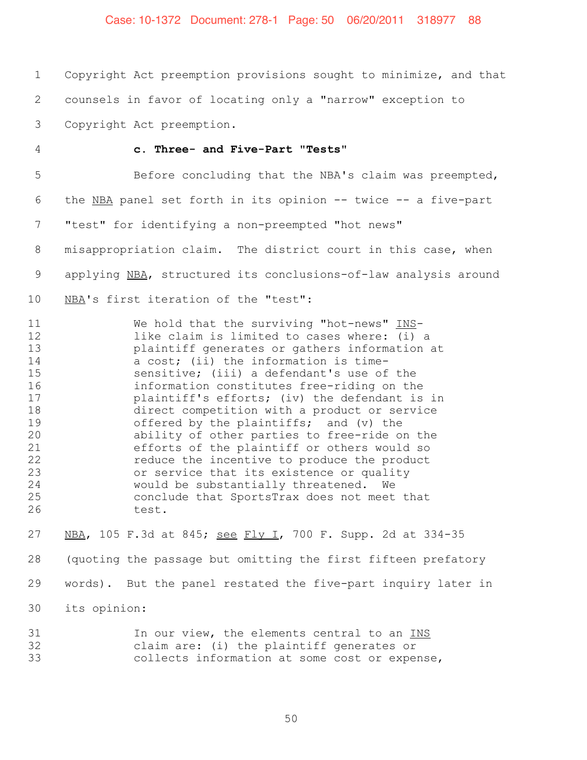#### Case: 10-1372 Document: 278-1 Page: 50 06/20/2011 318977 88

 Copyright Act preemption provisions sought to minimize, and that counsels in favor of locating only a "narrow" exception to

- Copyright Act preemption.
- 

#### **c. Three- and Five-Part "Tests"**

 Before concluding that the NBA's claim was preempted, the NBA panel set forth in its opinion -- twice -- a five-part "test" for identifying a non-preempted "hot news" misappropriation claim. The district court in this case, when 9 applying NBA, structured its conclusions-of-law analysis around NBA's first iteration of the "test":

11 We hold that the surviving "hot-news" INS-12 12 like claim is limited to cases where: (i) a<br>13 blaintiff generates or gathers information 13 plaintiff generates or gathers information at<br>14 a cost: (ii) the information is timea cost; (ii) the information is time- sensitive; (iii) a defendant's use of the information constitutes free-riding on the plaintiff's efforts; (iv) the defendant is in 18 direct competition with a product or service<br>19 offered by the plaintiffs; and (v) the offered by the plaintiffs; and  $(v)$  the ability of other parties to free-ride on the efforts of the plaintiff or others would so 22 reduce the incentive to produce the product<br>23 or service that its existence or quality or service that its existence or quality would be substantially threatened. We conclude that SportsTrax does not meet that test.

 NBA, 105 F.3d at 845; see Fly I, 700 F. Supp. 2d at 334-35 (quoting the passage but omitting the first fifteen prefatory words). But the panel restated the five-part inquiry later in its opinion:

31 In our view, the elements central to an INS 32 claim are: (i) the plaintiff generates or<br>33 collects information at some cost or exper collects information at some cost or expense,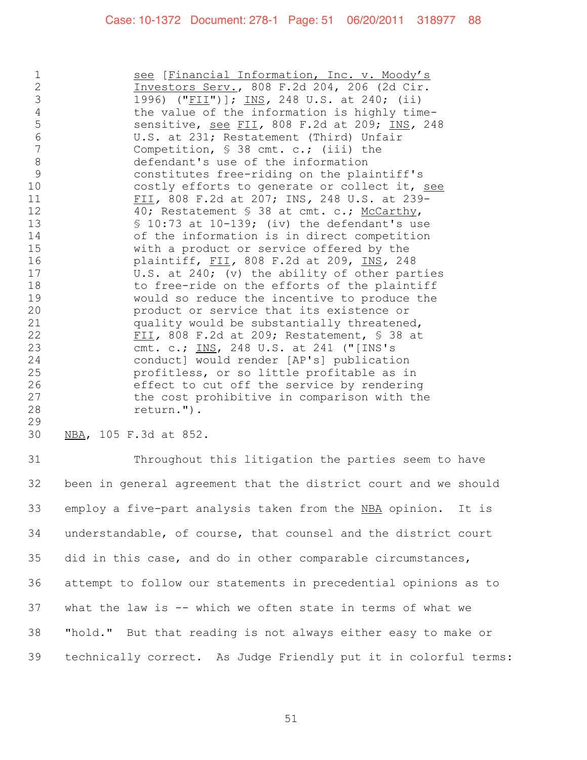1 500 See [Financial Information, Inc. v. Moody's 2 Investors Serv., 808 F.2d 204, 206 (2d Cir. 3 1996) ("FII")]; INS*,* 248 U.S. at 240; (ii) 4 the value of the information is highly time-5 sensitive, see FII*,* 808 F.2d at 209; INS*,* 248 6 U.S. at 231; Restatement (Third) Unfair<br>7 Competition. \$ 38 cmt. c.: (iii) the Competition, § 38 cmt. c.; (iii) the 8 defendant's use of the information<br>9 constitutes free-riding on the pla: constitutes free-riding on the plaintiff's 10 costly efforts to generate or collect it, see 11 FII*,* 808 F.2d at 207; INS*,* 248 U.S. at 239- 40; Restatement § 38 at cmt. c.; McCarthy, 13 § 10:73 at 10-139; (iv) the defendant's use 14 of the information is in direct competition<br>15 with a product or service offered by the with a product or service offered by the 16 plaintiff, FII*,* 808 F.2d at 209, INS*,* 248 17 U.S. at 240; (v) the ability of other parties 18 to free-ride on the efforts of the plaintiff<br>19 would so reduce the incentive to produce the would so reduce the incentive to produce the 20 **120** product or service that its existence or<br>21 **product or service that its existence** quality would be substantially threatened, 22 FII*,* 808 F.2d at 209; Restatement, § 38 at 23 cmt. c.; <u>INS</u>, 248 U.S. at 241 ("[INS's<br>24 conductl would render [AP's] publication conduct] would render [AP's] publication 25 profitless, or so little profitable as in 26 effect to cut off the service by rendering 27 the cost prohibitive in comparison with the 28 the return."). return.").

29<br>30 NBA, 105 F.3d at 852.

 Throughout this litigation the parties seem to have been in general agreement that the district court and we should employ a five-part analysis taken from the NBA opinion. It is understandable, of course, that counsel and the district court did in this case, and do in other comparable circumstances, attempt to follow our statements in precedential opinions as to what the law is -- which we often state in terms of what we "hold." But that reading is not always either easy to make or technically correct. As Judge Friendly put it in colorful terms: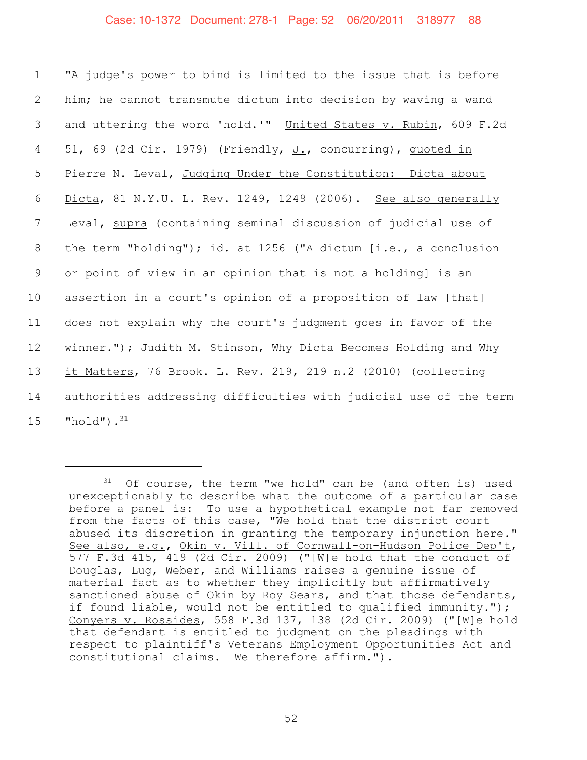"A judge's power to bind is limited to the issue that is before him; he cannot transmute dictum into decision by waving a wand 3 and uttering the word 'hold.'" United States v. Rubin, 609 F.2d 51, 69 (2d Cir. 1979) (Friendly, J., concurring), quoted in Pierre N. Leval, Judging Under the Constitution: Dicta about Dicta, 81 N.Y.U. L. Rev. 1249, 1249 (2006). See also generally Leval, supra (containing seminal discussion of judicial use of 8 the term "holding"); id. at 1256 ("A dictum [i.e., a conclusion or point of view in an opinion that is not a holding] is an assertion in a court's opinion of a proposition of law [that] does not explain why the court's judgment goes in favor of the 12 winner."); Judith M. Stinson, Why Dicta Becomes Holding and Why it Matters, 76 Brook. L. Rev. 219, 219 n.2 (2010) (collecting authorities addressing difficulties with judicial use of the term "hold"). $^{31}$ 

 $31$  Of course, the term "we hold" can be (and often is) used unexceptionably to describe what the outcome of a particular case before a panel is: To use a hypothetical example not far removed from the facts of this case, "We hold that the district court abused its discretion in granting the temporary injunction here." See also, e.g., Okin v. Vill. of Cornwall-on-Hudson Police Dep't, 577 F.3d 415, 419 (2d Cir. 2009) ("[W]e hold that the conduct of Douglas, Lug, Weber, and Williams raises a genuine issue of material fact as to whether they implicitly but affirmatively sanctioned abuse of Okin by Roy Sears, and that those defendants, if found liable, would not be entitled to qualified immunity."); Conyers v. Rossides, 558 F.3d 137, 138 (2d Cir. 2009) ("[W]e hold that defendant is entitled to judgment on the pleadings with respect to plaintiff's Veterans Employment Opportunities Act and constitutional claims. We therefore affirm.").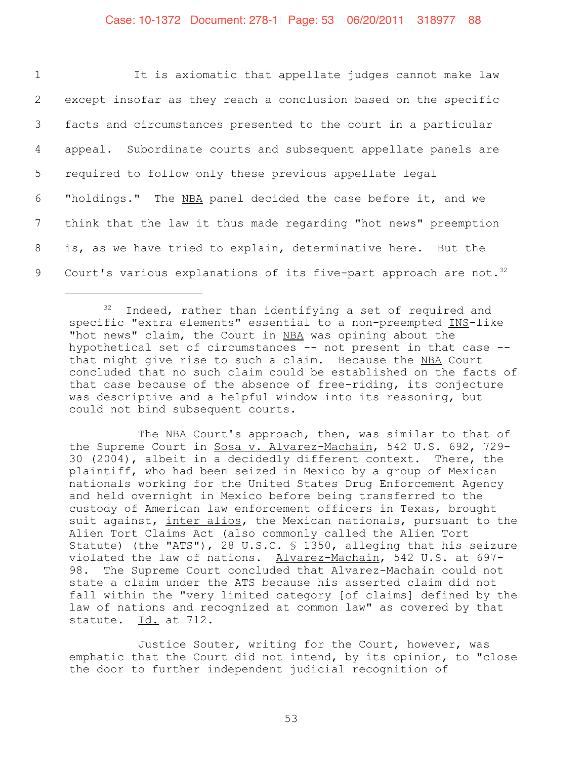| $\mathbf{1}$    | It is axiomatic that appellate judges cannot make law                         |
|-----------------|-------------------------------------------------------------------------------|
| $\overline{2}$  | except insofar as they reach a conclusion based on the specific               |
| 3 <sup>7</sup>  | facts and circumstances presented to the court in a particular                |
| $4\overline{ }$ | appeal. Subordinate courts and subsequent appellate panels are                |
| 5 <sub>5</sub>  | required to follow only these previous appellate legal                        |
| 6               | "holdings." The NBA panel decided the case before it, and we                  |
| $7\overline{ }$ | think that the law it thus made regarding "hot news" preemption               |
| 8               | is, as we have tried to explain, determinative here. But the                  |
| 9               | Court's various explanations of its five-part approach are not. <sup>32</sup> |

 $32$  Indeed, rather than identifying a set of required and specific "extra elements" essential to a non-preempted INS-like "hot news" claim, the Court in NBA was opining about the hypothetical set of circumstances -- not present in that case - that might give rise to such a claim. Because the NBA Court concluded that no such claim could be established on the facts of that case because of the absence of free-riding, its conjecture was descriptive and a helpful window into its reasoning, but could not bind subsequent courts.

The NBA Court's approach, then, was similar to that of the Supreme Court in Sosa v. Alvarez-Machain, 542 U.S. 692, 729- 30 (2004), albeit in a decidedly different context. There, the plaintiff, who had been seized in Mexico by a group of Mexican nationals working for the United States Drug Enforcement Agency and held overnight in Mexico before being transferred to the custody of American law enforcement officers in Texas, brought suit against, inter alios, the Mexican nationals, pursuant to the Alien Tort Claims Act (also commonly called the Alien Tort Statute) (the "ATS"), 28 U.S.C. § 1350, alleging that his seizure violated the law of nations. Alvarez-Machain, 542 U.S. at 697- 98. The Supreme Court concluded that Alvarez-Machain could not state a claim under the ATS because his asserted claim did not fall within the "very limited category [of claims] defined by the law of nations and recognized at common law" as covered by that statute. Id. at 712.

Justice Souter, writing for the Court, however, was emphatic that the Court did not intend, by its opinion, to "close the door to further independent judicial recognition of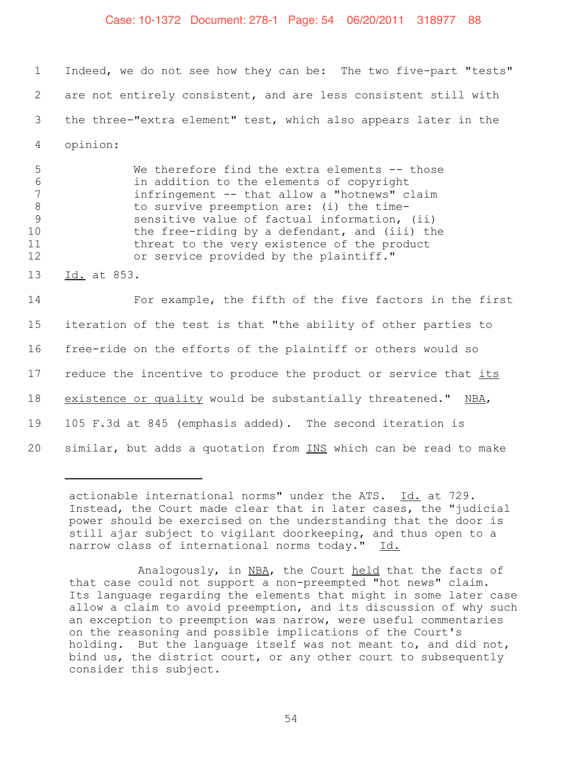#### Case: 10-1372 Document: 278-1 Page: 54 06/20/2011 318977 88

 Indeed, we do not see how they can be: The two five-part "tests" are not entirely consistent, and are less consistent still with the three-"extra element" test, which also appears later in the 4 opinion:

 We therefore find the extra elements -- those in addition to the elements of copyright infringement -- that allow a "hotnews" claim 8 to survive preemption are: (i) the time- sensitive value of factual information, (ii) the free-riding by a defendant, and (iii) the threat to the very existence of the product or service provided by the plaintiff."

13 Id. at 853.

14 For example, the fifth of the five factors in the first 15 iteration of the test is that "the ability of other parties to 16 free-ride on the efforts of the plaintiff or others would so 17 reduce the incentive to produce the product or service that its 18 existence or quality would be substantially threatened." NBA, 19 105 F.3d at 845 (emphasis added). The second iteration is 20 similar, but adds a quotation from INS which can be read to make

actionable international norms" under the ATS. Id. at 729. Instead, the Court made clear that in later cases, the "judicial power should be exercised on the understanding that the door is still ajar subject to vigilant doorkeeping, and thus open to a narrow class of international norms today." Id.

Analogously, in NBA, the Court held that the facts of that case could not support a non-preempted "hot news" claim. Its language regarding the elements that might in some later case allow a claim to avoid preemption, and its discussion of why such an exception to preemption was narrow, were useful commentaries on the reasoning and possible implications of the Court's holding. But the language itself was not meant to, and did not, bind us, the district court, or any other court to subsequently consider this subject.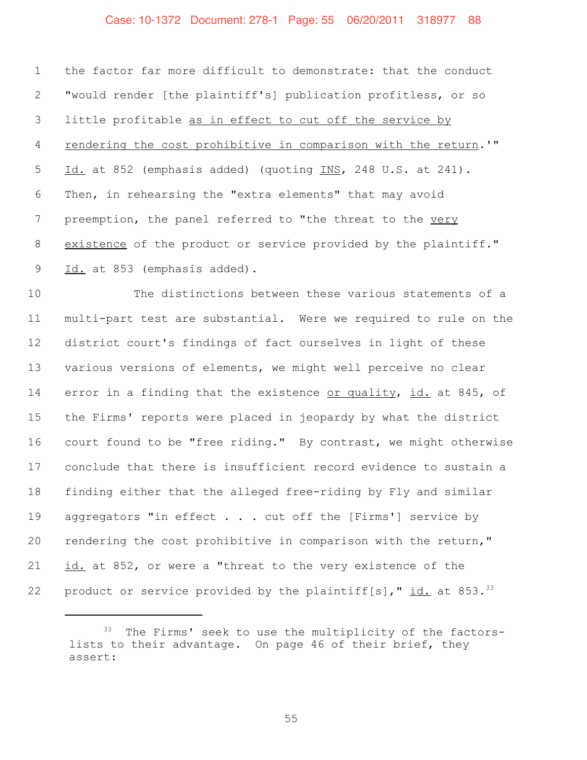#### Case: 10-1372 Document: 278-1 Page: 55 06/20/2011 318977 88

 the factor far more difficult to demonstrate: that the conduct "would render [the plaintiff's] publication profitless, or so little profitable as in effect to cut off the service by rendering the cost prohibitive in comparison with the return.'" Id. at 852 (emphasis added) (quoting INS, 248 U.S. at 241). Then, in rehearsing the "extra elements" that may avoid 7 preemption, the panel referred to "the threat to the very existence of the product or service provided by the plaintiff." 9 Id. at 853 (emphasis added).

 The distinctions between these various statements of a multi-part test are substantial. Were we required to rule on the district court's findings of fact ourselves in light of these various versions of elements, we might well perceive no clear error in a finding that the existence or quality, id. at 845, of the Firms' reports were placed in jeopardy by what the district court found to be "free riding." By contrast, we might otherwise conclude that there is insufficient record evidence to sustain a finding either that the alleged free-riding by Fly and similar 19 aggregators "in effect . . . cut off the [Firms'] service by rendering the cost prohibitive in comparison with the return," *id.* at 852, or were a "threat to the very existence of the 22 product or service provided by the plaintiff[s],"  $id.$  at 853.<sup>33</sup>

<sup>&</sup>lt;sup>33</sup> The Firms' seek to use the multiplicity of the factorslists to their advantage. On page 46 of their brief, they assert: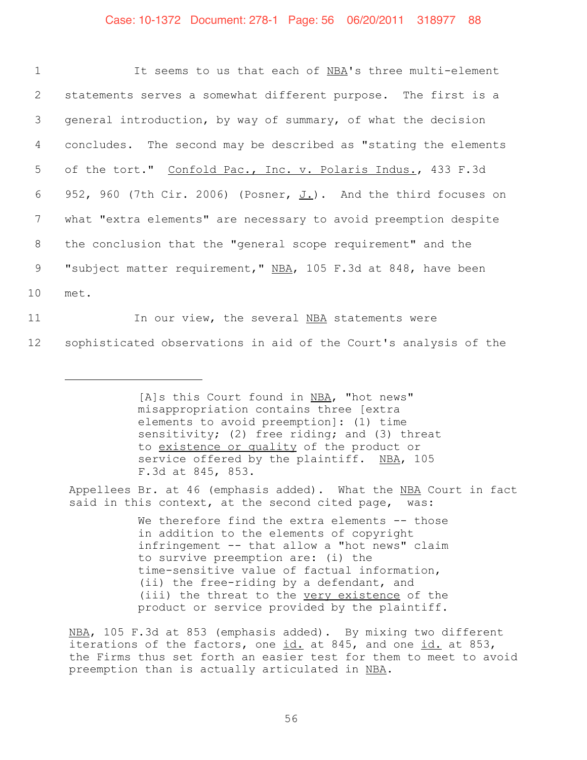| $\mathbf 1$  | It seems to us that each of NBA's three multi-element               |
|--------------|---------------------------------------------------------------------|
| $\mathbf{2}$ | statements serves a somewhat different purpose. The first is a      |
| 3            | general introduction, by way of summary, of what the decision       |
| 4            | concludes. The second may be described as "stating the elements     |
| 5            | of the tort." Confold Pac., Inc. v. Polaris Indus., 433 F.3d        |
| 6            | 952, 960 (7th Cir. 2006) (Posner, $J_L$ ). And the third focuses on |
| 7            | what "extra elements" are necessary to avoid preemption despite     |
| 8            | the conclusion that the "general scope requirement" and the         |
| 9            | "subject matter requirement," NBA, 105 F.3d at 848, have been       |
| 10           | met.                                                                |
| 11           | In our view, the several NBA statements were                        |

12 sophisticated observations in aid of the Court's analysis of the

[A]s this Court found in NBA, "hot news" misappropriation contains three [extra elements to avoid preemption]: (1) time sensitivity; (2) free riding; and (3) threat to existence or quality of the product or service offered by the plaintiff. NBA, 105 F.3d at 845, 853.

Appellees Br. at 46 (emphasis added). What the NBA Court in fact said in this context, at the second cited page, was:

> We therefore find the extra elements -- those in addition to the elements of copyright infringement -- that allow a "hot news" claim to survive preemption are: (i) the time-sensitive value of factual information, (ii) the free-riding by a defendant, and (iii) the threat to the very existence of the product or service provided by the plaintiff.

NBA, 105 F.3d at 853 (emphasis added). By mixing two different iterations of the factors, one id. at 845, and one id. at 853, the Firms thus set forth an easier test for them to meet to avoid preemption than is actually articulated in NBA.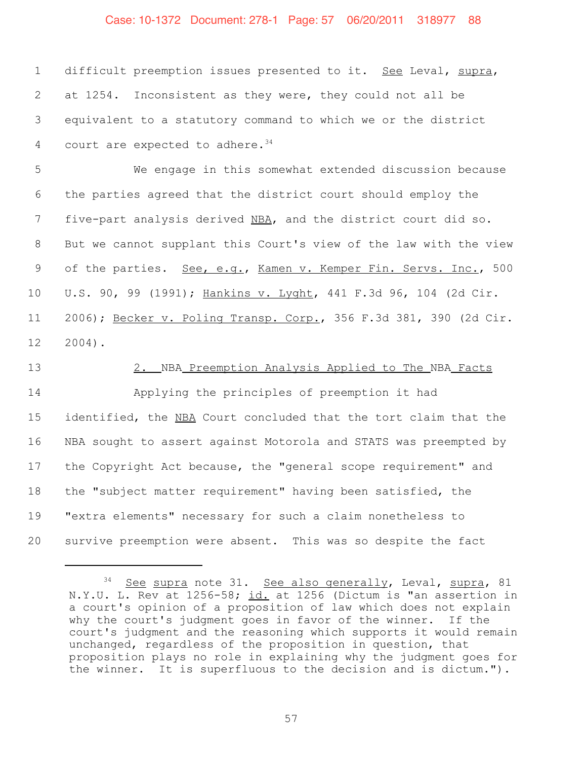#### Case: 10-1372 Document: 278-1 Page: 57 06/20/2011 318977 88

 difficult preemption issues presented to it. See Leval, supra, at 1254. Inconsistent as they were, they could not all be equivalent to a statutory command to which we or the district 4 court are expected to adhere.

 We engage in this somewhat extended discussion because the parties agreed that the district court should employ the 7 five-part analysis derived NBA, and the district court did so. But we cannot supplant this Court's view of the law with the view 9 of the parties. See, e.g., Kamen v. Kemper Fin. Servs. Inc., 500 U.S. 90, 99 (1991); Hankins v. Lyght, 441 F.3d 96, 104 (2d Cir. 2006); Becker v. Poling Transp. Corp., 356 F.3d 381, 390 (2d Cir. 2004).

#### 2. NBA Preemption Analysis Applied to The NBA Facts

 Applying the principles of preemption it had identified, the NBA Court concluded that the tort claim that the NBA sought to assert against Motorola and STATS was preempted by the Copyright Act because, the "general scope requirement" and the "subject matter requirement" having been satisfied, the "extra elements" necessary for such a claim nonetheless to survive preemption were absent. This was so despite the fact

<sup>&</sup>lt;sup>34</sup> See supra note 31. See also generally, Leval, supra, 81 N.Y.U. L. Rev at 1256-58; id. at 1256 (Dictum is "an assertion in a court's opinion of a proposition of law which does not explain why the court's judgment goes in favor of the winner. If the court's judgment and the reasoning which supports it would remain unchanged, regardless of the proposition in question, that proposition plays no role in explaining why the judgment goes for the winner. It is superfluous to the decision and is dictum.").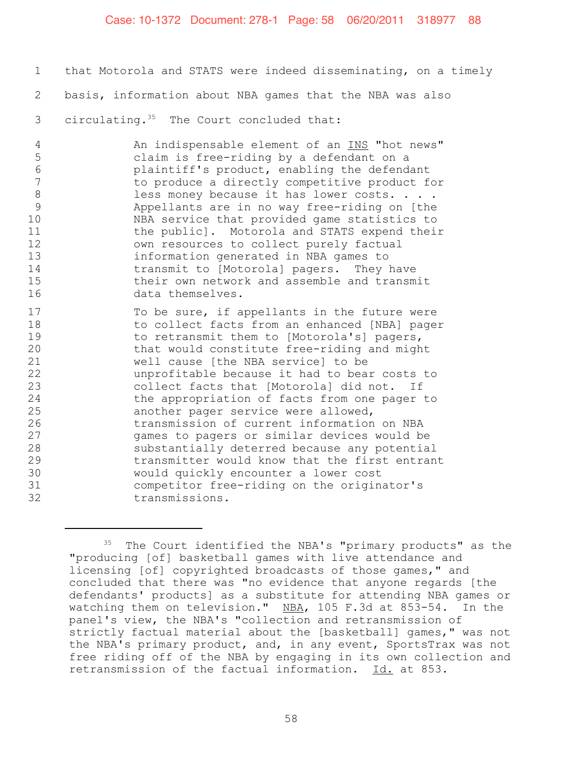#### Case: 10-1372 Document: 278-1 Page: 58 06/20/2011 318977 88

1 that Motorola and STATS were indeed disseminating, on a timely 2 basis, information about NBA games that the NBA was also 3 circulating. $35$  The Court concluded that:

4 An indispensable element of an INS "hot news" 5 claim is free-riding by a defendant on a 6 blaintiff's product, enabling the defendant<br>7 bland to produce a directly competitive product for to produce a directly competitive product for 8 less money because it has lower costs. . . .<br>9 Appellants are in no way free-riding on [the 9 Appellants are in no way free-riding on [the<br>10 MBA service that provided game statistics to NBA service that provided game statistics to 11 the public]. Motorola and STATS expend their 12 own resources to collect purely factual 13 information generated in NBA games to 14 transmit to [Motorola] pagers. They have<br>15 their own network and assemble and transm their own network and assemble and transmit 16 data themselves.

17 To be sure, if appellants in the future were 18 to collect facts from an enhanced [NBA] pager 19 to retransmit them to [Motorola's] pagers, 20 that would constitute free-riding and might<br>21 well cause [the NBA service] to be well cause [the NBA service] to be 22 unprofitable because it had to bear costs to 23 collect facts that [Motorola] did not. If 24 the appropriation of facts from one pager to 25 another pager service were allowed,<br>26 transmission of current information 26 transmission of current information on NBA<br>27 cames to pagers or similar devices would be games to pagers or similar devices would be 28 substantially deterred because any potential 29 transmitter would know that the first entrant 30 would quickly encounter a lower cost<br>31 competitor free-riding on the origina 31 competitor free-riding on the originator's<br>32 transmissions. transmissions.

<sup>&</sup>lt;sup>35</sup> The Court identified the NBA's "primary products" as the "producing [of] basketball games with live attendance and licensing [of] copyrighted broadcasts of those games," and concluded that there was "no evidence that anyone regards [the defendants' products] as a substitute for attending NBA games or watching them on television." NBA, 105 F.3d at 853-54. In the panel's view, the NBA's "collection and retransmission of strictly factual material about the [basketball] games," was not the NBA's primary product, and, in any event, SportsTrax was not free riding off of the NBA by engaging in its own collection and retransmission of the factual information. Id. at 853.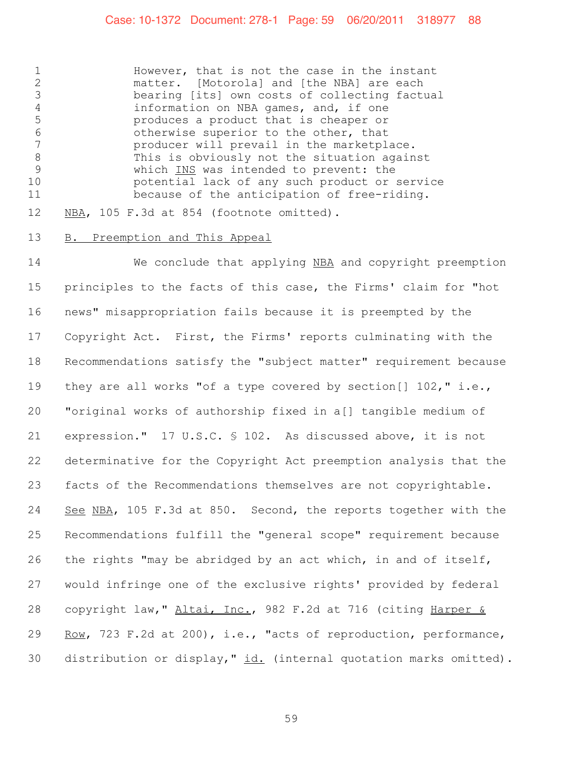#### Case: 10-1372 Document: 278-1 Page: 59 06/20/2011 318977 88

 However, that is not the case in the instant 2 matter. [Motorola] and [the NBA] are each<br>3 bearing [its] own costs of collecting facts bearing [its] own costs of collecting factual information on NBA games, and, if one produces a product that is cheaper or 6 otherwise superior to the other, that<br>7 conducer will prevail in the marketpla producer will prevail in the marketplace. 8 This is obviously not the situation against<br>9 Which INS was intended to prevent: the which INS was intended to prevent: the potential lack of any such product or service because of the anticipation of free-riding.

12 NBA, 105 F.3d at 854 (footnote omitted).

#### B. Preemption and This Appeal

 We conclude that applying NBA and copyright preemption principles to the facts of this case, the Firms' claim for "hot news" misappropriation fails because it is preempted by the Copyright Act. First, the Firms' reports culminating with the Recommendations satisfy the "subject matter" requirement because they are all works "of a type covered by section[] 102," i.e., "original works of authorship fixed in a[] tangible medium of expression." 17 U.S.C. § 102. As discussed above, it is not determinative for the Copyright Act preemption analysis that the facts of the Recommendations themselves are not copyrightable. 24 See NBA, 105 F.3d at 850. Second, the reports together with the Recommendations fulfill the "general scope" requirement because the rights "may be abridged by an act which, in and of itself, would infringe one of the exclusive rights' provided by federal 28 copyright law, " Altai, Inc., 982 F.2d at 716 (citing Harper & Row, 723 F.2d at 200), i.e., "acts of reproduction, performance, 30 distribution or display,"  $id.$  (internal quotation marks omitted).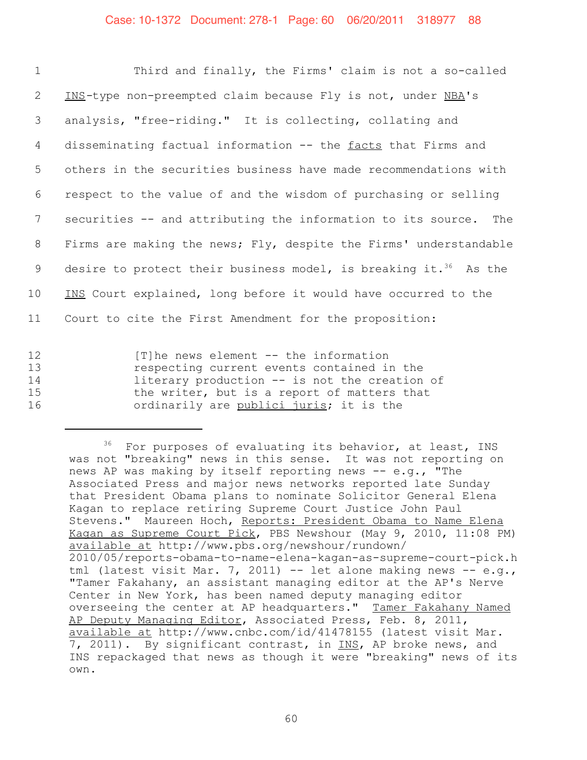| $\mathbf 1$     | Third and finally, the Firms' claim is not a so-called                       |
|-----------------|------------------------------------------------------------------------------|
| $\mathbf{2}$    | INS-type non-preempted claim because Fly is not, under NBA's                 |
| 3               | analysis, "free-riding." It is collecting, collating and                     |
| $\overline{4}$  | disseminating factual information -- the facts that Firms and                |
| 5               | others in the securities business have made recommendations with             |
| 6               | respect to the value of and the wisdom of purchasing or selling              |
| $7\phantom{.0}$ | securities -- and attributing the information to its source. The             |
| 8               | Firms are making the news; Fly, despite the Firms' understandable            |
| 9               | desire to protect their business model, is breaking it. <sup>36</sup> As the |
| 10              | INS Court explained, long before it would have occurred to the               |
| 11              | Court to cite the First Amendment for the proposition:                       |
|                 |                                                                              |

12 [T]he news element -- the information 13 13 respecting current events contained in the<br>14 14 11 literary production -- is not the creation 14 11 literary production -- is not the creation of<br>15 the writer, but is a report of matters that the writer, but is a report of matters that 16 ordinarily are publici juris; it is the

<sup>&</sup>lt;sup>36</sup> For purposes of evaluating its behavior, at least, INS was not "breaking" news in this sense. It was not reporting on news AP was making by itself reporting news -- e.g., "The Associated Press and major news networks reported late Sunday that President Obama plans to nominate Solicitor General Elena Kagan to replace retiring Supreme Court Justice John Paul Stevens." Maureen Hoch, Reports: President Obama to Name Elena Kagan as Supreme Court Pick, PBS Newshour (May 9, 2010, 11:08 PM) available at http://www.pbs.org/newshour/rundown/ 2010/05/reports-obama-to-name-elena-kagan-as-supreme-court-pick.h tml (latest visit Mar. 7, 2011) -- let alone making news -- e.g., "Tamer Fakahany, an assistant managing editor at the AP's Nerve Center in New York, has been named deputy managing editor overseeing the center at AP headquarters." Tamer Fakahany Named AP Deputy Managing Editor, Associated Press, Feb. 8, 2011, available at http://www.cnbc.com/id/41478155 (latest visit Mar. 7, 2011). By significant contrast, in INS, AP broke news, and INS repackaged that news as though it were "breaking" news of its own.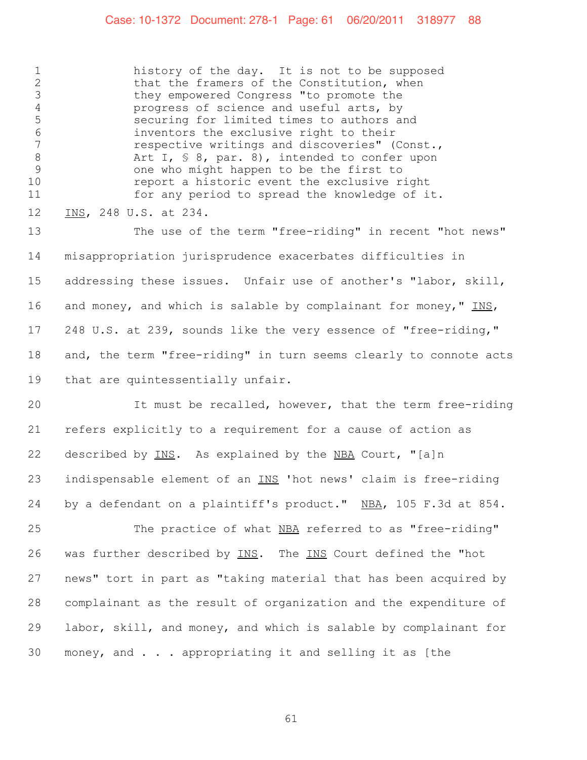#### Case: 10-1372 Document: 278-1 Page: 61 06/20/2011 318977 88

 history of the day. It is not to be supposed 2 that the framers of the Constitution, when<br>3 they empowered Congress "to promote the they empowered Congress "to promote the progress of science and useful arts, by securing for limited times to authors and 6 inventors the exclusive right to their<br>7 cespective writings and discoveries" ( respective writings and discoveries" (Const., 8 Art I, § 8, par. 8), intended to confer upon<br>9 one who might happen to be the first to one who might happen to be the first to report a historic event the exclusive right for any period to spread the knowledge of it. INS, 248 U.S. at 234.

 The use of the term "free-riding" in recent "hot news" misappropriation jurisprudence exacerbates difficulties in addressing these issues. Unfair use of another's "labor, skill, 16 and money, and which is salable by complainant for money," INS, 248 U.S. at 239, sounds like the very essence of "free-riding," and, the term "free-riding" in turn seems clearly to connote acts that are quintessentially unfair.

 It must be recalled, however, that the term free-riding refers explicitly to a requirement for a cause of action as 22 described by INS. As explained by the NBA Court, "[a]n indispensable element of an INS 'hot news' claim is free-riding by a defendant on a plaintiff's product." NBA, 105 F.3d at 854.

 The practice of what NBA referred to as "free-riding" 26 was further described by INS. The INS Court defined the "hot news" tort in part as "taking material that has been acquired by complainant as the result of organization and the expenditure of labor, skill, and money, and which is salable by complainant for money, and . . . appropriating it and selling it as [the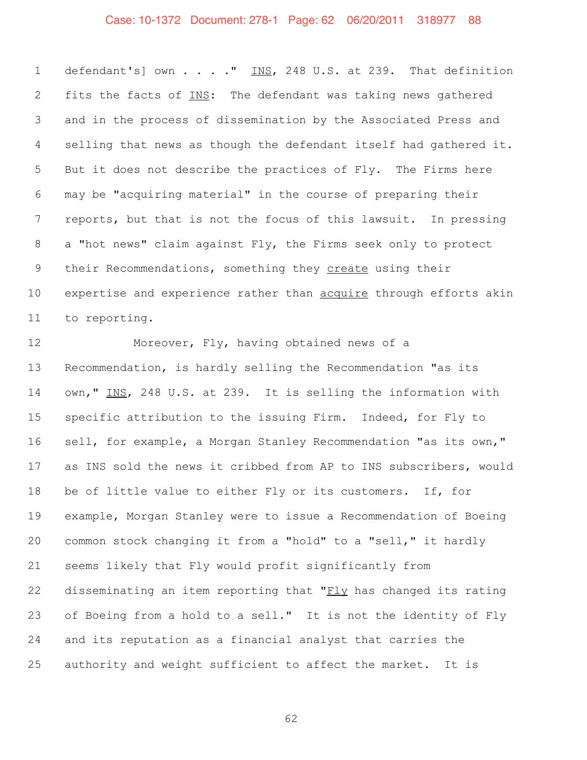## Case: 10-1372 Document: 278-1 Page: 62 06/20/2011 318977 88

1 defendant's] own . . . . " INS, 248 U.S. at 239. That definition 2 fits the facts of INS: The defendant was taking news gathered and in the process of dissemination by the Associated Press and selling that news as though the defendant itself had gathered it. But it does not describe the practices of Fly. The Firms here may be "acquiring material" in the course of preparing their reports, but that is not the focus of this lawsuit. In pressing a "hot news" claim against Fly, the Firms seek only to protect their Recommendations, something they create using their 10 expertise and experience rather than acquire through efforts akin to reporting.

 Moreover, Fly, having obtained news of a Recommendation, is hardly selling the Recommendation "as its own," INS, 248 U.S. at 239. It is selling the information with specific attribution to the issuing Firm. Indeed, for Fly to sell, for example, a Morgan Stanley Recommendation "as its own," as INS sold the news it cribbed from AP to INS subscribers, would be of little value to either Fly or its customers. If, for example, Morgan Stanley were to issue a Recommendation of Boeing common stock changing it from a "hold" to a "sell," it hardly seems likely that Fly would profit significantly from 22 disseminating an item reporting that " $FLy$  has changed its rating of Boeing from a hold to a sell." It is not the identity of Fly and its reputation as a financial analyst that carries the authority and weight sufficient to affect the market. It is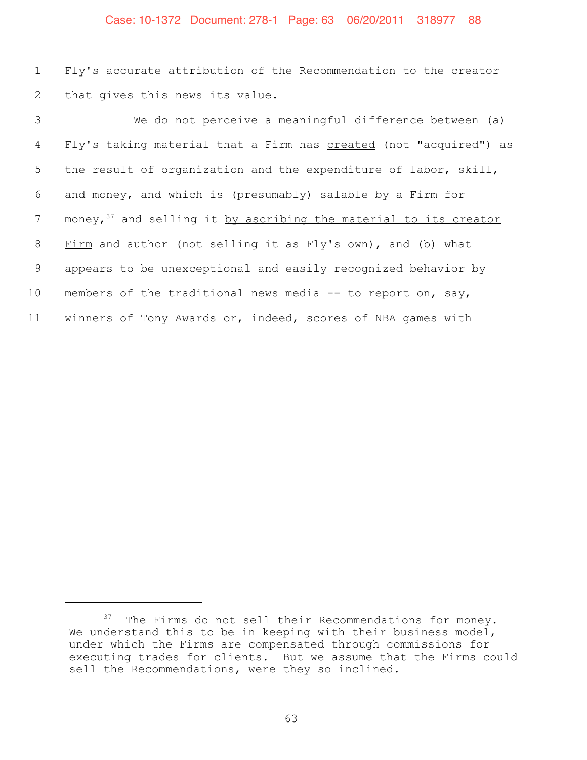#### Case: 10-1372 Document: 278-1 Page: 63 06/20/2011 318977 88

 Fly's accurate attribution of the Recommendation to the creator that gives this news its value.

 We do not perceive a meaningful difference between (a) Fly's taking material that a Firm has created (not "acquired") as the result of organization and the expenditure of labor, skill, and money, and which is (presumably) salable by a Firm for 7 money, and selling it by ascribing the material to its creator Firm and author (not selling it as Fly's own), and (b) what appears to be unexceptional and easily recognized behavior by members of the traditional news media -- to report on, say, winners of Tony Awards or, indeed, scores of NBA games with

The Firms do not sell their Recommendations for money. We understand this to be in keeping with their business model, under which the Firms are compensated through commissions for executing trades for clients. But we assume that the Firms could sell the Recommendations, were they so inclined.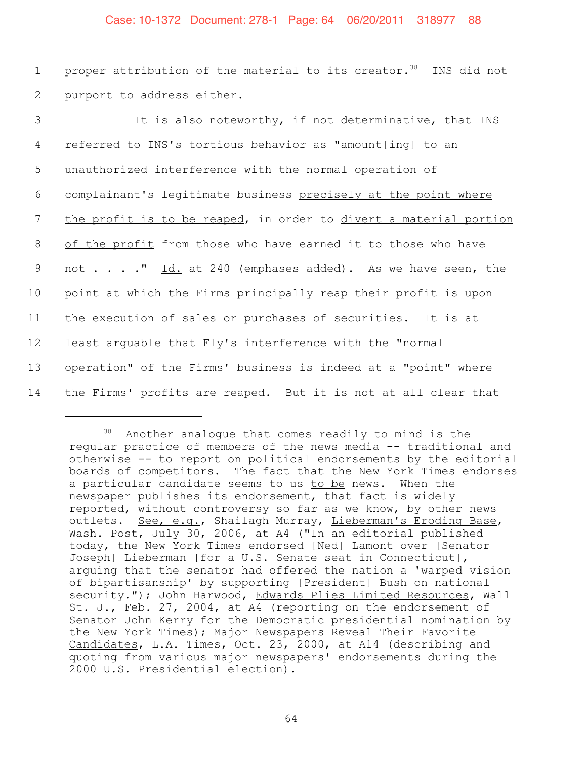#### Case: 10-1372 Document: 278-1 Page: 64 06/20/2011 318977 88

1 proper attribution of the material to its creator.<sup>38</sup> INS did not 2 purport to address either.

3 It is also noteworthy, if not determinative, that INS referred to INS's tortious behavior as "amount[ing] to an unauthorized interference with the normal operation of complainant's legitimate business precisely at the point where 7 the profit is to be reaped, in order to divert a material portion of the profit from those who have earned it to those who have 9 not . . . . " Id. at 240 (emphases added). As we have seen, the point at which the Firms principally reap their profit is upon the execution of sales or purchases of securities. It is at least arguable that Fly's interference with the "normal operation" of the Firms' business is indeed at a "point" where the Firms' profits are reaped. But it is not at all clear that

<sup>38</sup> Another analogue that comes readily to mind is the regular practice of members of the news media -- traditional and otherwise -- to report on political endorsements by the editorial boards of competitors. The fact that the New York Times endorses a particular candidate seems to us to be news. When the newspaper publishes its endorsement, that fact is widely reported, without controversy so far as we know, by other news outlets. See, e.g., Shailagh Murray, Lieberman's Eroding Base, Wash. Post, July 30, 2006, at A4 ("In an editorial published today, the New York Times endorsed [Ned] Lamont over [Senator Joseph] Lieberman [for a U.S. Senate seat in Connecticut], arguing that the senator had offered the nation a 'warped vision of bipartisanship' by supporting [President] Bush on national security."); John Harwood, Edwards Plies Limited Resources, Wall St. J., Feb. 27, 2004, at A4 (reporting on the endorsement of Senator John Kerry for the Democratic presidential nomination by the New York Times); Major Newspapers Reveal Their Favorite Candidates, L.A. Times, Oct. 23, 2000, at A14 (describing and quoting from various major newspapers' endorsements during the 2000 U.S. Presidential election).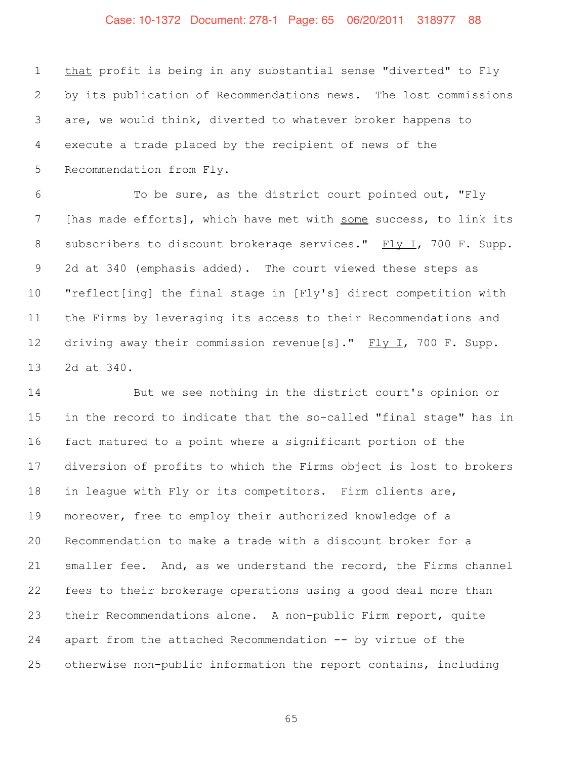## Case: 10-1372 Document: 278-1 Page: 65 06/20/2011 318977 88

1 that profit is being in any substantial sense "diverted" to Fly by its publication of Recommendations news. The lost commissions are, we would think, diverted to whatever broker happens to execute a trade placed by the recipient of news of the Recommendation from Fly.

 To be sure, as the district court pointed out, "Fly 7 [has made efforts], which have met with some success, to link its 8 subscribers to discount brokerage services." Fly I, 700 F. Supp. 2d at 340 (emphasis added). The court viewed these steps as "reflect[ing] the final stage in [Fly's] direct competition with the Firms by leveraging its access to their Recommendations and 12 driving away their commission revenue[s]." Fly I, 700 F. Supp. 2d at 340.

 But we see nothing in the district court's opinion or in the record to indicate that the so-called "final stage" has in fact matured to a point where a significant portion of the diversion of profits to which the Firms object is lost to brokers in league with Fly or its competitors. Firm clients are, moreover, free to employ their authorized knowledge of a Recommendation to make a trade with a discount broker for a smaller fee. And, as we understand the record, the Firms channel fees to their brokerage operations using a good deal more than their Recommendations alone. A non-public Firm report, quite apart from the attached Recommendation -- by virtue of the otherwise non-public information the report contains, including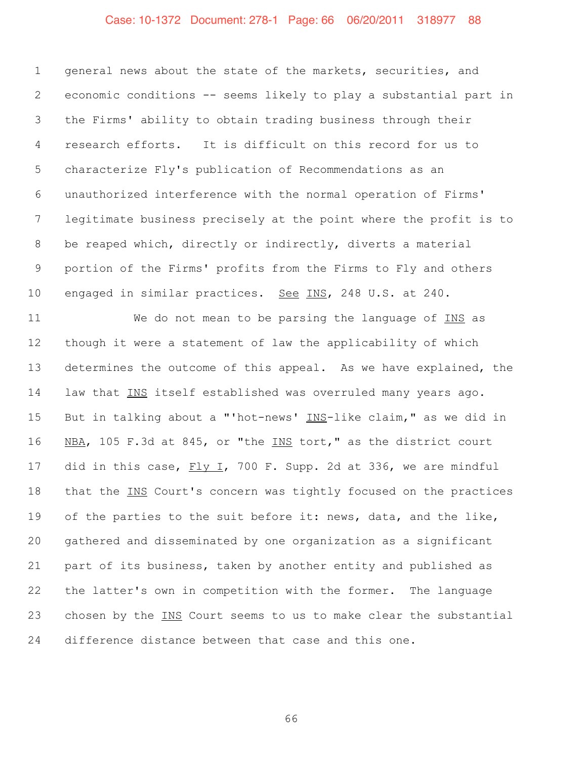## Case: 10-1372 Document: 278-1 Page: 66 06/20/2011 318977 88

 general news about the state of the markets, securities, and economic conditions -- seems likely to play a substantial part in the Firms' ability to obtain trading business through their research efforts. It is difficult on this record for us to characterize Fly's publication of Recommendations as an unauthorized interference with the normal operation of Firms' legitimate business precisely at the point where the profit is to be reaped which, directly or indirectly, diverts a material portion of the Firms' profits from the Firms to Fly and others engaged in similar practices. See INS, 248 U.S. at 240.

 We do not mean to be parsing the language of INS as though it were a statement of law the applicability of which determines the outcome of this appeal. As we have explained, the law that INS itself established was overruled many years ago. But in talking about a "'hot-news' INS-like claim," as we did in 16 NBA, 105 F.3d at 845, or "the INS tort," as the district court 17 did in this case, Fly I, 700 F. Supp. 2d at 336, we are mindful that the INS Court's concern was tightly focused on the practices of the parties to the suit before it: news, data, and the like, gathered and disseminated by one organization as a significant part of its business, taken by another entity and published as the latter's own in competition with the former. The language chosen by the INS Court seems to us to make clear the substantial difference distance between that case and this one.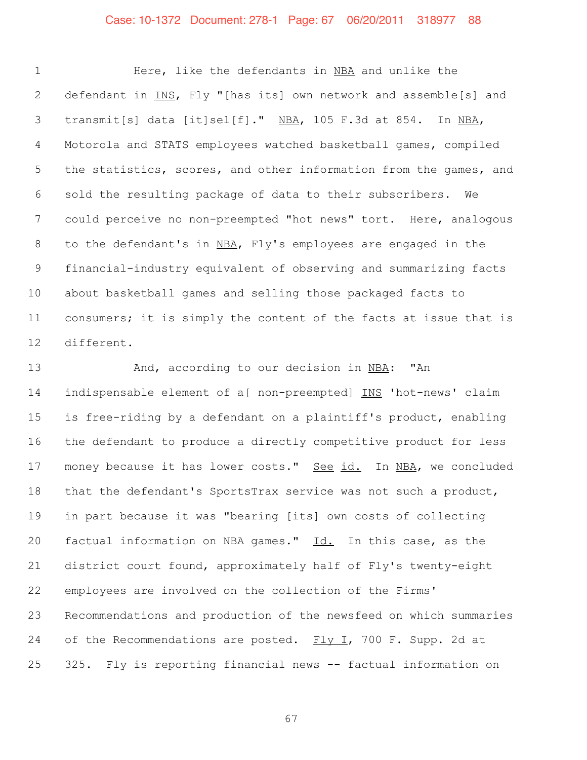## Case: 10-1372 Document: 278-1 Page: 67 06/20/2011 318977 88

 Here, like the defendants in NBA and unlike the 2 defendant in INS, Fly "[has its] own network and assemble[s] and 3 transmit[s] data [it]sel[f]." NBA, 105 F.3d at 854. In NBA, Motorola and STATS employees watched basketball games, compiled 5 the statistics, scores, and other information from the games, and sold the resulting package of data to their subscribers. We could perceive no non-preempted "hot news" tort. Here, analogous to the defendant's in NBA, Fly's employees are engaged in the financial-industry equivalent of observing and summarizing facts about basketball games and selling those packaged facts to consumers; it is simply the content of the facts at issue that is different.

13 And, according to our decision in NBA: "An indispensable element of a[ non-preempted] INS 'hot-news' claim is free-riding by a defendant on a plaintiff's product, enabling the defendant to produce a directly competitive product for less 17 money because it has lower costs." See id. In NBA, we concluded that the defendant's SportsTrax service was not such a product, in part because it was "bearing [its] own costs of collecting factual information on NBA games." Id. In this case, as the district court found, approximately half of Fly's twenty-eight employees are involved on the collection of the Firms' Recommendations and production of the newsfeed on which summaries 24 of the Recommendations are posted. Fly I, 700 F. Supp. 2d at 325. Fly is reporting financial news -- factual information on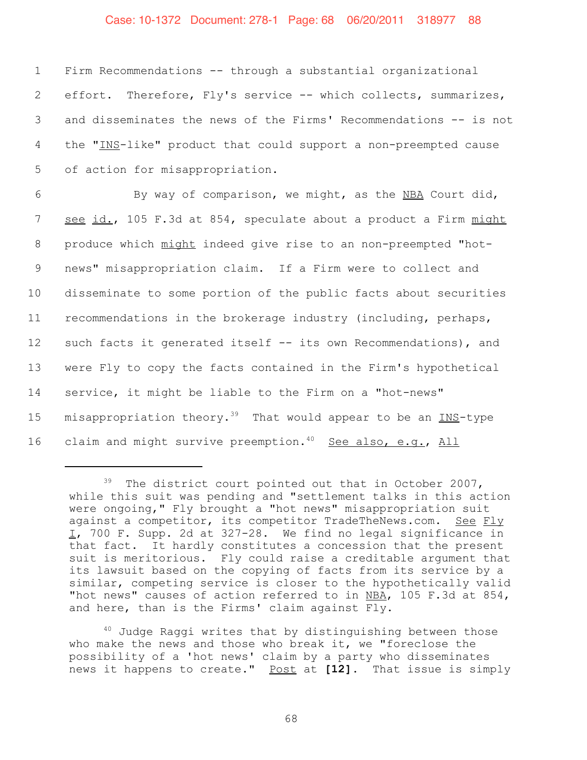#### Case: 10-1372 Document: 278-1 Page: 68 06/20/2011 318977 88

 Firm Recommendations -- through a substantial organizational effort. Therefore, Fly's service -- which collects, summarizes, and disseminates the news of the Firms' Recommendations -- is not 4 the "INS-like" product that could support a non-preempted cause of action for misappropriation.

6 By way of comparison, we might, as the NBA Court did, 7 see id., 105 F.3d at 854, speculate about a product a Firm might produce which might indeed give rise to an non-preempted "hot- news" misappropriation claim. If a Firm were to collect and disseminate to some portion of the public facts about securities recommendations in the brokerage industry (including, perhaps, such facts it generated itself -- its own Recommendations), and were Fly to copy the facts contained in the Firm's hypothetical service, it might be liable to the Firm on a "hot-news" 15 misappropriation theory.<sup>39</sup> That would appear to be an INS-type 16 claim and might survive preemption.<sup>40</sup> See also, e.g., All

<sup>40</sup> Judge Raggi writes that by distinguishing between those who make the news and those who break it, we "foreclose the possibility of a 'hot news' claim by a party who disseminates news it happens to create." Post at **[12]**. That issue is simply

<sup>&</sup>lt;sup>39</sup> The district court pointed out that in October 2007, while this suit was pending and "settlement talks in this action were ongoing," Fly brought a "hot news" misappropriation suit against a competitor, its competitor TradeTheNews.com. See Fly I, 700 F. Supp. 2d at 327-28. We find no legal significance in that fact. It hardly constitutes a concession that the present suit is meritorious. Fly could raise a creditable argument that its lawsuit based on the copying of facts from its service by a similar, competing service is closer to the hypothetically valid "hot news" causes of action referred to in NBA, 105 F.3d at 854, and here, than is the Firms' claim against Fly.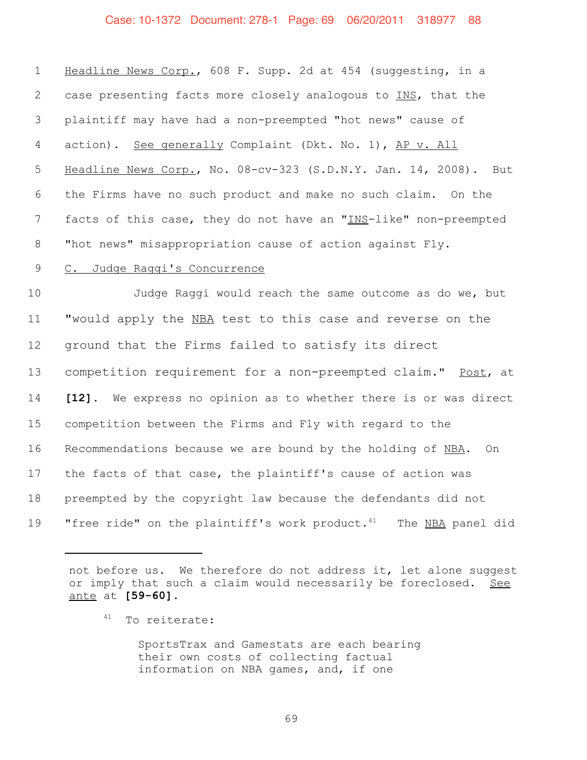## Case: 10-1372 Document: 278-1 Page: 69 06/20/2011 318977 88

| $\mathbf 1$    | Headline News Corp., 608 F. Supp. 2d at 454 (suggesting, in a                   |  |  |  |  |  |
|----------------|---------------------------------------------------------------------------------|--|--|--|--|--|
| $\overline{2}$ | case presenting facts more closely analogous to INS, that the                   |  |  |  |  |  |
| 3              | plaintiff may have had a non-preempted "hot news" cause of                      |  |  |  |  |  |
| 4              | action). See generally Complaint (Dkt. No. 1), AP v. All                        |  |  |  |  |  |
| 5              | Headline News Corp., No. 08-cv-323 (S.D.N.Y. Jan. 14, 2008). But                |  |  |  |  |  |
| 6              | the Firms have no such product and make no such claim. On the                   |  |  |  |  |  |
| 7              | facts of this case, they do not have an "INS-like" non-preempted                |  |  |  |  |  |
| 8              | "hot news" misappropriation cause of action against Fly.                        |  |  |  |  |  |
| $\mathsf 9$    | C. Judge Raggi's Concurrence                                                    |  |  |  |  |  |
| 10             | Judge Raggi would reach the same outcome as do we, but                          |  |  |  |  |  |
| 11             | "would apply the NBA test to this case and reverse on the                       |  |  |  |  |  |
| 12             | ground that the Firms failed to satisfy its direct                              |  |  |  |  |  |
| 13             | competition requirement for a non-preempted claim." Post, at                    |  |  |  |  |  |
| 14             | [12]. We express no opinion as to whether there is or was direct                |  |  |  |  |  |
| 15             | competition between the Firms and Fly with regard to the                        |  |  |  |  |  |
| 16             | Recommendations because we are bound by the holding of NBA.<br>On               |  |  |  |  |  |
| 17             | the facts of that case, the plaintiff's cause of action was                     |  |  |  |  |  |
| 18             | preempted by the copyright law because the defendants did not                   |  |  |  |  |  |
| 19             | "free ride" on the plaintiff's work product. <sup>41</sup><br>The NBA panel did |  |  |  |  |  |

not before us. We therefore do not address it, let alone suggest or imply that such a claim would necessarily be foreclosed. See ante at **[59-60]**.

SportsTrax and Gamestats are each bearing their own costs of collecting factual information on NBA games, and, if one

<sup>&</sup>lt;sup>41</sup> To reiterate: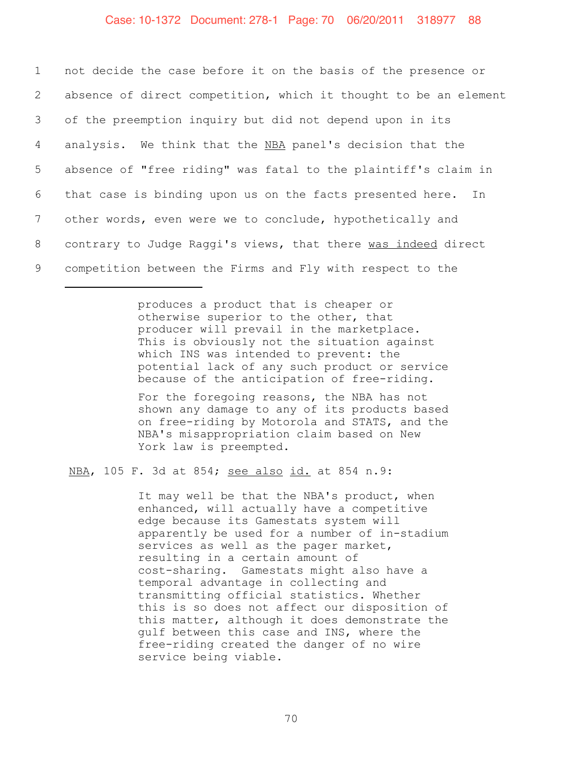not decide the case before it on the basis of the presence or absence of direct competition, which it thought to be an element of the preemption inquiry but did not depend upon in its 4 analysis. We think that the NBA panel's decision that the absence of "free riding" was fatal to the plaintiff's claim in that case is binding upon us on the facts presented here. In other words, even were we to conclude, hypothetically and 8 contrary to Judge Raggi's views, that there was indeed direct competition between the Firms and Fly with respect to the

> produces a product that is cheaper or otherwise superior to the other, that producer will prevail in the marketplace. This is obviously not the situation against which INS was intended to prevent: the potential lack of any such product or service because of the anticipation of free-riding.

> For the foregoing reasons, the NBA has not shown any damage to any of its products based on free-riding by Motorola and STATS, and the NBA's misappropriation claim based on New York law is preempted.

NBA, 105 F. 3d at 854; see also id. at 854 n.9:

It may well be that the NBA's product, when enhanced, will actually have a competitive edge because its Gamestats system will apparently be used for a number of in-stadium services as well as the pager market, resulting in a certain amount of cost-sharing. Gamestats might also have a temporal advantage in collecting and transmitting official statistics. Whether this is so does not affect our disposition of this matter, although it does demonstrate the gulf between this case and INS, where the free-riding created the danger of no wire service being viable.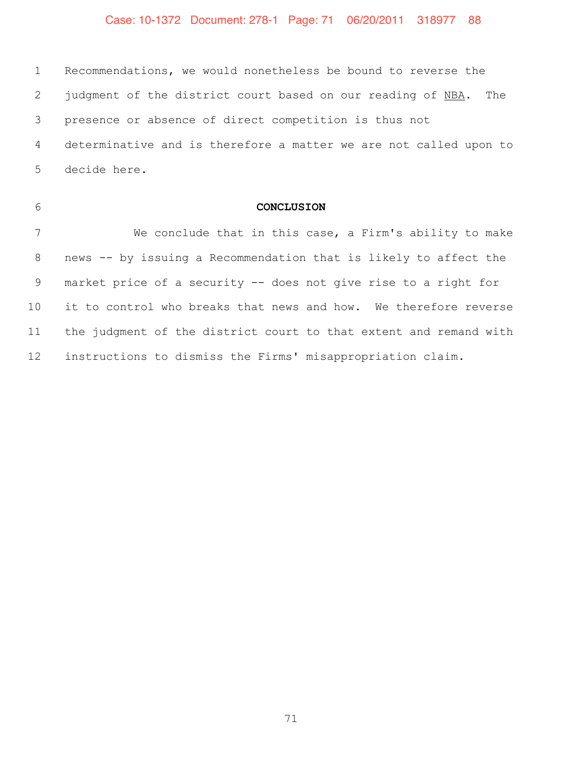## Case: 10-1372 Document: 278-1 Page: 71 06/20/2011 318977 88

 Recommendations, we would nonetheless be bound to reverse the 2 judgment of the district court based on our reading of NBA. The presence or absence of direct competition is thus not determinative and is therefore a matter we are not called upon to decide here.

|  |   | ۰.<br>정도 시 |
|--|---|------------|
|  |   | ۰.         |
|  | × |            |
|  |   | ۰,         |

#### **CONCLUSION**

 We conclude that in this case, a Firm's ability to make news -- by issuing a Recommendation that is likely to affect the market price of a security -- does not give rise to a right for it to control who breaks that news and how. We therefore reverse the judgment of the district court to that extent and remand with instructions to dismiss the Firms' misappropriation claim.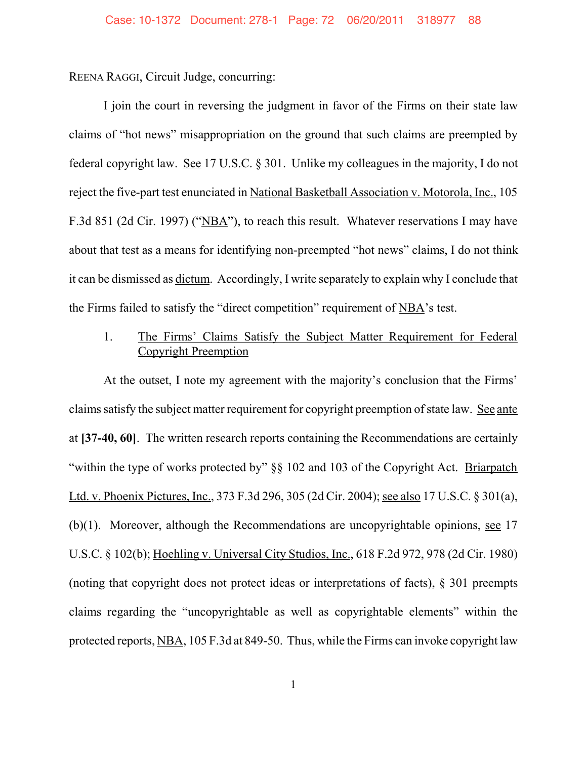REENA RAGGI, Circuit Judge, concurring:

I join the court in reversing the judgment in favor of the Firms on their state law claims of "hot news" misappropriation on the ground that such claims are preempted by federal copyright law. See 17 U.S.C. § 301. Unlike my colleagues in the majority, I do not reject the five-part test enunciated in National Basketball Association v. Motorola, Inc., 105 F.3d 851 (2d Cir. 1997) ("NBA"), to reach this result. Whatever reservations I may have about that test as a means for identifying non-preempted "hot news" claims, I do not think it can be dismissed as dictum. Accordingly, I write separately to explain why I conclude that the Firms failed to satisfy the "direct competition" requirement of NBA's test.

## 1. The Firms' Claims Satisfy the Subject Matter Requirement for Federal Copyright Preemption

At the outset, I note my agreement with the majority's conclusion that the Firms' claims satisfy the subject matter requirement for copyright preemption of state law. See ante at **[37-40, 60]**.The written research reports containing the Recommendations are certainly "within the type of works protected by" §§ 102 and 103 of the Copyright Act. Briarpatch Ltd. v. Phoenix Pictures, Inc., 373 F.3d 296, 305 (2d Cir. 2004); see also 17 U.S.C. § 301(a), (b)(1). Moreover, although the Recommendations are uncopyrightable opinions, see 17 U.S.C. § 102(b); Hoehling v. Universal City Studios, Inc., 618 F.2d 972, 978 (2d Cir. 1980) (noting that copyright does not protect ideas or interpretations of facts), § 301 preempts claims regarding the "uncopyrightable as well as copyrightable elements" within the protected reports, NBA, 105 F.3d at 849-50. Thus, while the Firms can invoke copyright law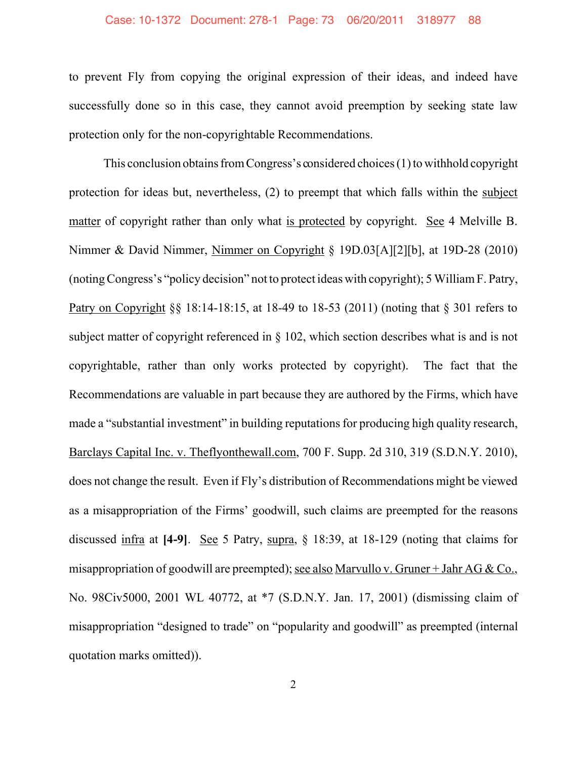### Case: 10-1372 Document: 278-1 Page: 73 06/20/2011 318977 88

to prevent Fly from copying the original expression of their ideas, and indeed have successfully done so in this case, they cannot avoid preemption by seeking state law protection only for the non-copyrightable Recommendations.

This conclusion obtains from Congress's considered choices (1) to withhold copyright protection for ideas but, nevertheless, (2) to preempt that which falls within the subject matter of copyright rather than only what is protected by copyright. See 4 Melville B. Nimmer & David Nimmer, Nimmer on Copyright § 19D.03[A][2][b], at 19D-28 (2010) (noting Congress's "policy decision" not to protect ideas with copyright); 5 William F. Patry, Patry on Copyright §§ 18:14-18:15, at 18-49 to 18-53 (2011) (noting that § 301 refers to subject matter of copyright referenced in § 102, which section describes what is and is not copyrightable, rather than only works protected by copyright). The fact that the Recommendations are valuable in part because they are authored by the Firms, which have made a "substantial investment" in building reputations for producing high quality research, Barclays Capital Inc. v. Theflyonthewall.com, 700 F. Supp. 2d 310, 319 (S.D.N.Y. 2010), does not change the result. Even if Fly's distribution of Recommendations might be viewed as a misappropriation of the Firms' goodwill, such claims are preempted for the reasons discussed infra at **[4-9]**. See 5 Patry, supra, § 18:39, at 18-129 (noting that claims for misappropriation of goodwill are preempted); see also Marvullo v. Gruner + Jahr AG & Co., No. 98Civ5000, 2001 WL 40772, at \*7 (S.D.N.Y. Jan. 17, 2001) (dismissing claim of misappropriation "designed to trade" on "popularity and goodwill" as preempted (internal quotation marks omitted)).

2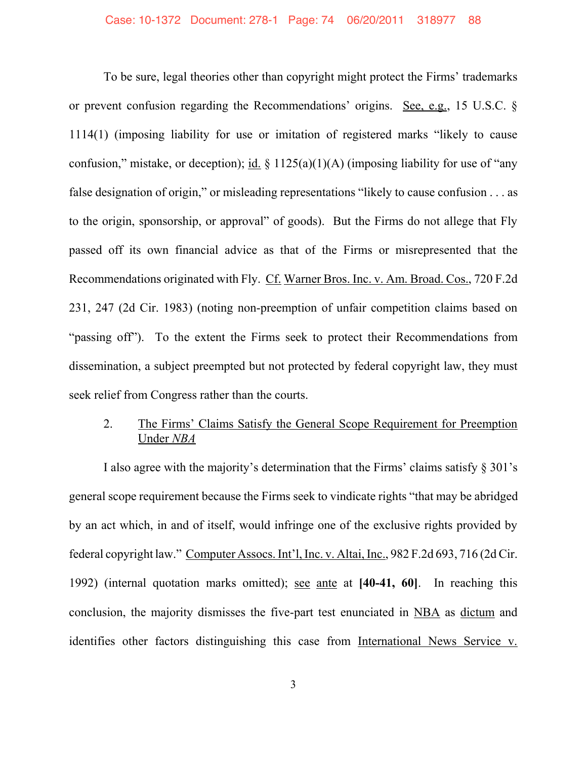To be sure, legal theories other than copyright might protect the Firms' trademarks or prevent confusion regarding the Recommendations' origins. See, e.g., 15 U.S.C. § 1114(1) (imposing liability for use or imitation of registered marks "likely to cause confusion," mistake, or deception); id.  $\S 1125(a)(1)(A)$  (imposing liability for use of "any false designation of origin," or misleading representations "likely to cause confusion . . . as to the origin, sponsorship, or approval" of goods). But the Firms do not allege that Fly passed off its own financial advice as that of the Firms or misrepresented that the Recommendations originated with Fly. Cf. Warner Bros. Inc. v. Am. Broad. Cos., 720 F.2d 231, 247 (2d Cir. 1983) (noting non-preemption of unfair competition claims based on "passing off"). To the extent the Firms seek to protect their Recommendations from dissemination, a subject preempted but not protected by federal copyright law, they must seek relief from Congress rather than the courts.

## 2. The Firms' Claims Satisfy the General Scope Requirement for Preemption Under *NBA*

I also agree with the majority's determination that the Firms' claims satisfy § 301's general scope requirement because the Firms seek to vindicate rights "that may be abridged by an act which, in and of itself, would infringe one of the exclusive rights provided by federal copyright law." Computer Assocs. Int'l, Inc. v. Altai, Inc., 982 F.2d 693, 716 (2d Cir. 1992) (internal quotation marks omitted); see ante at **[40-41, 60]**. In reaching this conclusion, the majority dismisses the five-part test enunciated in NBA as dictum and identifies other factors distinguishing this case from International News Service v.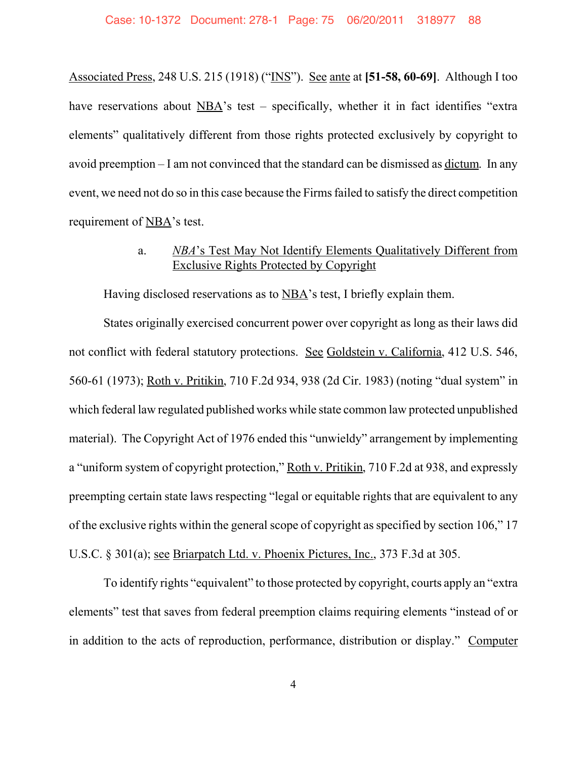Associated Press, 248 U.S. 215 (1918) ("INS"). See ante at **[51-58, 60-69]**. Although I too have reservations about NBA's test – specifically, whether it in fact identifies "extra elements" qualitatively different from those rights protected exclusively by copyright to avoid preemption – I am not convinced that the standard can be dismissed as dictum. In any event, we need not do so in this case because the Firms failed to satisfy the direct competition requirement of NBA's test.

# a. *NBA*'s Test May Not Identify Elements Qualitatively Different from Exclusive Rights Protected by Copyright

Having disclosed reservations as to NBA's test, I briefly explain them.

States originally exercised concurrent power over copyright as long as their laws did not conflict with federal statutory protections. See Goldstein v. California, 412 U.S. 546, 560-61 (1973); Roth v. Pritikin, 710 F.2d 934, 938 (2d Cir. 1983) (noting "dual system" in which federal law regulated published works while state common law protected unpublished material). The Copyright Act of 1976 ended this "unwieldy" arrangement by implementing a "uniform system of copyright protection," Roth v. Pritikin, 710 F.2d at 938, and expressly preempting certain state laws respecting "legal or equitable rights that are equivalent to any of the exclusive rights within the general scope of copyright as specified by section 106," 17 U.S.C. § 301(a); see Briarpatch Ltd. v. Phoenix Pictures, Inc., 373 F.3d at 305.

To identify rights "equivalent" to those protected by copyright, courts apply an "extra elements" test that saves from federal preemption claims requiring elements "instead of or in addition to the acts of reproduction, performance, distribution or display." Computer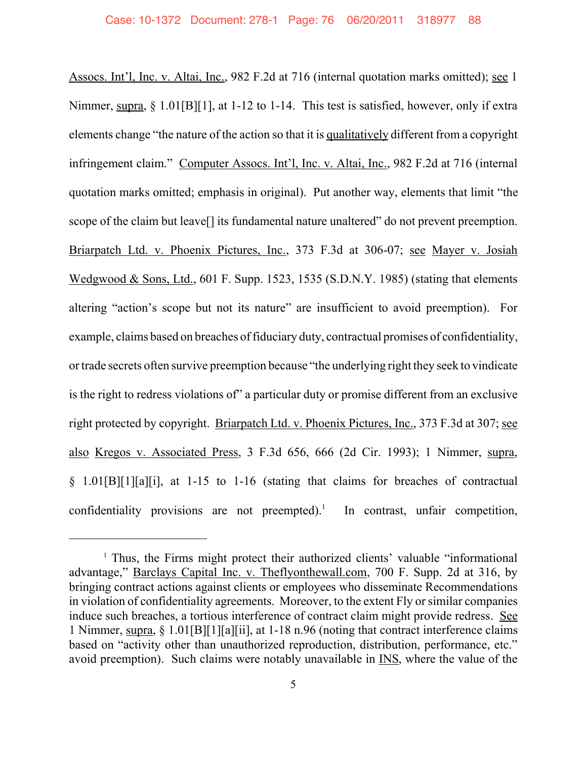Assocs. Int'l, Inc. v. Altai, Inc., 982 F.2d at 716 (internal quotation marks omitted); see 1 Nimmer, supra, § 1.01[B][1], at 1-12 to 1-14. This test is satisfied, however, only if extra elements change "the nature of the action so that it is qualitatively different from a copyright infringement claim." Computer Assocs. Int'l, Inc. v. Altai, Inc., 982 F.2d at 716 (internal quotation marks omitted; emphasis in original). Put another way, elements that limit "the scope of the claim but leave<sup>[]</sup> its fundamental nature unaltered" do not prevent preemption. Briarpatch Ltd. v. Phoenix Pictures, Inc., 373 F.3d at 306-07; see Mayer v. Josiah Wedgwood & Sons, Ltd., 601 F. Supp. 1523, 1535 (S.D.N.Y. 1985) (stating that elements altering "action's scope but not its nature" are insufficient to avoid preemption). For example, claims based on breaches of fiduciary duty, contractual promises of confidentiality, or trade secrets often survive preemption because "the underlying right they seek to vindicate is the right to redress violations of" a particular duty or promise different from an exclusive right protected by copyright. Briarpatch Ltd. v. Phoenix Pictures, Inc., 373 F.3d at 307; see also Kregos v. Associated Press, 3 F.3d 656, 666 (2d Cir. 1993); 1 Nimmer, supra, § 1.01[B][1][a][i], at 1-15 to 1-16 (stating that claims for breaches of contractual confidentiality provisions are not preempted).<sup>1</sup> In contrast, unfair competition,

<sup>&</sup>lt;sup>1</sup> Thus, the Firms might protect their authorized clients' valuable "informational" advantage," Barclays Capital Inc. v. Theflyonthewall.com, 700 F. Supp. 2d at 316, by bringing contract actions against clients or employees who disseminate Recommendations in violation of confidentiality agreements. Moreover, to the extent Fly or similar companies induce such breaches, a tortious interference of contract claim might provide redress. See 1 Nimmer, supra, § 1.01[B][1][a][ii], at 1-18 n.96 (noting that contract interference claims based on "activity other than unauthorized reproduction, distribution, performance, etc." avoid preemption). Such claims were notably unavailable in INS, where the value of the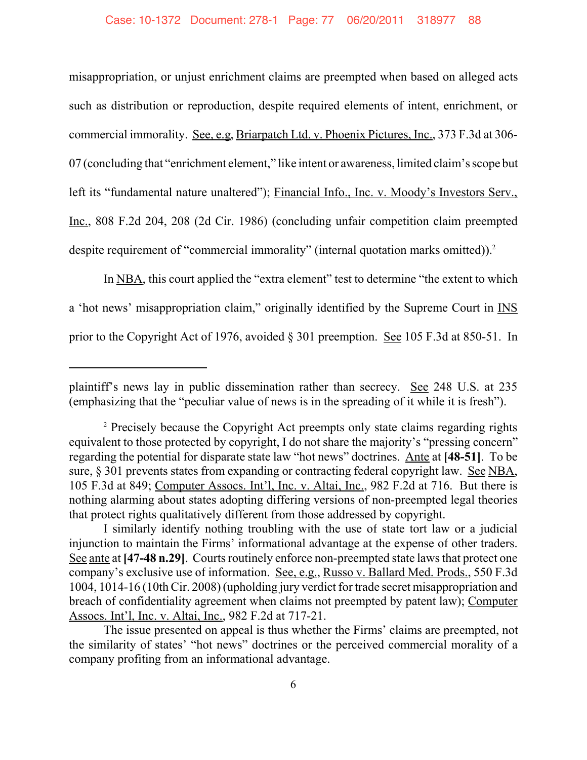misappropriation, or unjust enrichment claims are preempted when based on alleged acts such as distribution or reproduction, despite required elements of intent, enrichment, or commercial immorality. See, e.g, Briarpatch Ltd. v. Phoenix Pictures, Inc., 373 F.3d at 306- 07 (concluding that "enrichment element," like intent or awareness, limited claim's scope but left its "fundamental nature unaltered"); Financial Info., Inc. v. Moody's Investors Serv., Inc., 808 F.2d 204, 208 (2d Cir. 1986) (concluding unfair competition claim preempted despite requirement of "commercial immorality" (internal quotation marks omitted)).<sup>2</sup>

In NBA, this court applied the "extra element" test to determine "the extent to which a 'hot news' misappropriation claim," originally identified by the Supreme Court in INS prior to the Copyright Act of 1976, avoided § 301 preemption. <u>See</u> 105 F.3d at 850-51. In

plaintiff's news lay in public dissemination rather than secrecy. See 248 U.S. at 235 (emphasizing that the "peculiar value of news is in the spreading of it while it is fresh").

<sup>&</sup>lt;sup>2</sup> Precisely because the Copyright Act preempts only state claims regarding rights equivalent to those protected by copyright, I do not share the majority's "pressing concern" regarding the potential for disparate state law "hot news" doctrines. Ante at **[48-51]**.To be sure, § 301 prevents states from expanding or contracting federal copyright law. See NBA, 105 F.3d at 849; Computer Assocs. Int'l, Inc. v. Altai, Inc., 982 F.2d at 716. But there is nothing alarming about states adopting differing versions of non-preempted legal theories that protect rights qualitatively different from those addressed by copyright.

I similarly identify nothing troubling with the use of state tort law or a judicial injunction to maintain the Firms' informational advantage at the expense of other traders. See ante at [47-48 n.29]. Courts routinely enforce non-preempted state laws that protect one company's exclusive use of information. See, e.g., Russo v. Ballard Med. Prods., 550 F.3d 1004, 1014-16 (10th Cir. 2008) (upholding jury verdict for trade secret misappropriation and breach of confidentiality agreement when claims not preempted by patent law); Computer Assocs. Int'l, Inc. v. Altai, Inc., 982 F.2d at 717-21.

The issue presented on appeal is thus whether the Firms' claims are preempted, not the similarity of states' "hot news" doctrines or the perceived commercial morality of a company profiting from an informational advantage.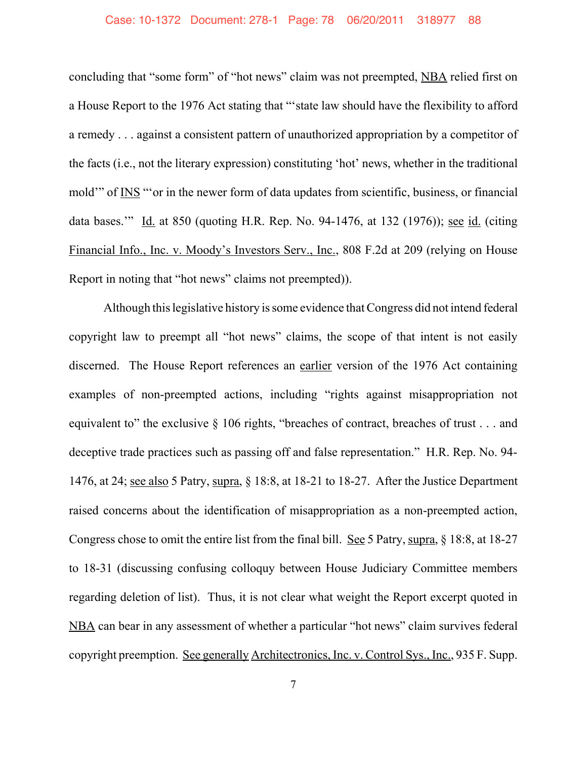## Case: 10-1372 Document: 278-1 Page: 78 06/20/2011 318977 88

concluding that "some form" of "hot news" claim was not preempted, NBA relied first on a House Report to the 1976 Act stating that "'state law should have the flexibility to afford a remedy . . . against a consistent pattern of unauthorized appropriation by a competitor of the facts (i.e., not the literary expression) constituting 'hot' news, whether in the traditional mold'" of INS "'or in the newer form of data updates from scientific, business, or financial data bases." Id. at 850 (quoting H.R. Rep. No. 94-1476, at 132 (1976)); see id. (citing Financial Info., Inc. v. Moody's Investors Serv., Inc., 808 F.2d at 209 (relying on House Report in noting that "hot news" claims not preempted)).

Although this legislative history is some evidence that Congress did not intend federal copyright law to preempt all "hot news" claims, the scope of that intent is not easily discerned. The House Report references an earlier version of the 1976 Act containing examples of non-preempted actions, including "rights against misappropriation not equivalent to" the exclusive  $\S$  106 rights, "breaches of contract, breaches of trust . . . and deceptive trade practices such as passing off and false representation." H.R. Rep. No. 94- 1476, at 24; see also 5 Patry, supra, § 18:8, at 18-21 to 18-27. After the Justice Department raised concerns about the identification of misappropriation as a non-preempted action, Congress chose to omit the entire list from the final bill. See 5 Patry, supra, § 18:8, at 18-27 to 18-31 (discussing confusing colloquy between House Judiciary Committee members regarding deletion of list). Thus, it is not clear what weight the Report excerpt quoted in NBA can bear in any assessment of whether a particular "hot news" claim survives federal copyright preemption. See generally Architectronics, Inc. v. Control Sys., Inc., 935 F. Supp.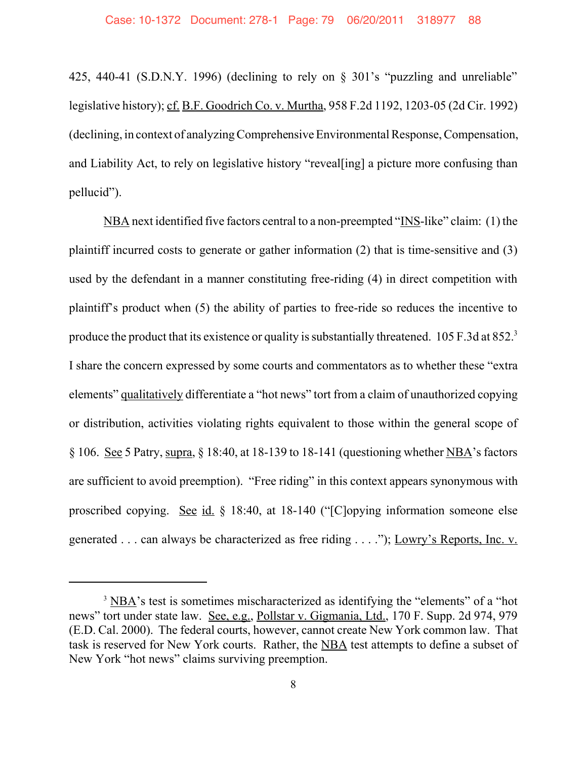425, 440-41 (S.D.N.Y. 1996) (declining to rely on § 301's "puzzling and unreliable" legislative history); cf. B.F. Goodrich Co. v. Murtha, 958 F.2d 1192, 1203-05 (2d Cir. 1992) (declining, in context of analyzing Comprehensive Environmental Response, Compensation, and Liability Act, to rely on legislative history "reveal[ing] a picture more confusing than pellucid").

NBA next identified five factors central to a non-preempted "INS-like" claim: (1) the plaintiff incurred costs to generate or gather information (2) that is time-sensitive and (3) used by the defendant in a manner constituting free-riding (4) in direct competition with plaintiff's product when (5) the ability of parties to free-ride so reduces the incentive to produce the product that its existence or quality is substantially threatened. 105 F.3d at 852.<sup>3</sup> I share the concern expressed by some courts and commentators as to whether these "extra elements" qualitatively differentiate a "hot news" tort from a claim of unauthorized copying or distribution, activities violating rights equivalent to those within the general scope of § 106. See 5 Patry, supra, § 18:40, at 18-139 to 18-141 (questioning whether NBA's factors are sufficient to avoid preemption). "Free riding" in this context appears synonymous with proscribed copying. See id. § 18:40, at 18-140 ("[C]opying information someone else generated . . . can always be characterized as free riding . . . ."); Lowry's Reports, Inc. v.

 $3 \overline{\text{NBA}}$ 's test is sometimes mischaracterized as identifying the "elements" of a "hot news" tort under state law. See, e.g., Pollstar v. Gigmania, Ltd., 170 F. Supp. 2d 974, 979 (E.D. Cal. 2000). The federal courts, however, cannot create New York common law. That task is reserved for New York courts. Rather, the NBA test attempts to define a subset of New York "hot news" claims surviving preemption.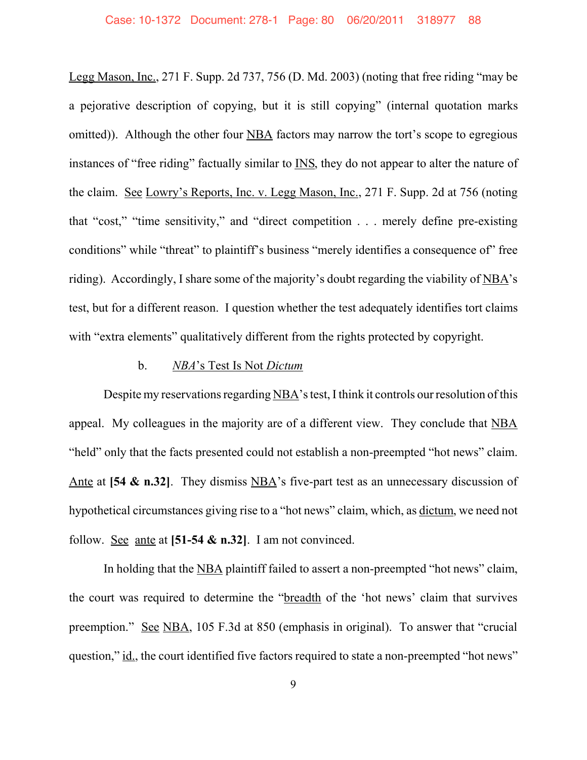Legg Mason, Inc., 271 F. Supp. 2d 737, 756 (D. Md. 2003) (noting that free riding "may be a pejorative description of copying, but it is still copying" (internal quotation marks omitted)). Although the other four NBA factors may narrow the tort's scope to egregious instances of "free riding" factually similar to INS, they do not appear to alter the nature of the claim. See Lowry's Reports, Inc. v. Legg Mason, Inc., 271 F. Supp. 2d at 756 (noting that "cost," "time sensitivity," and "direct competition . . . merely define pre-existing conditions" while "threat" to plaintiff's business "merely identifies a consequence of" free riding). Accordingly, I share some of the majority's doubt regarding the viability of NBA's test, but for a different reason. I question whether the test adequately identifies tort claims with "extra elements" qualitatively different from the rights protected by copyright.

## b. *NBA*'s Test Is Not *Dictum*

Despite my reservations regarding NBA's test, I think it controls our resolution of this appeal. My colleagues in the majority are of a different view. They conclude that NBA "held" only that the facts presented could not establish a non-preempted "hot news" claim. Ante at [54 & n.32]. They dismiss NBA's five-part test as an unnecessary discussion of hypothetical circumstances giving rise to a "hot news" claim, which, as dictum, we need not follow. See ante at **[51-54 & n.32]**. I am not convinced.

In holding that the NBA plaintiff failed to assert a non-preempted "hot news" claim, the court was required to determine the "breadth of the 'hot news' claim that survives preemption." See NBA, 105 F.3d at 850 (emphasis in original). To answer that "crucial question," id., the court identified five factors required to state a non-preempted "hot news"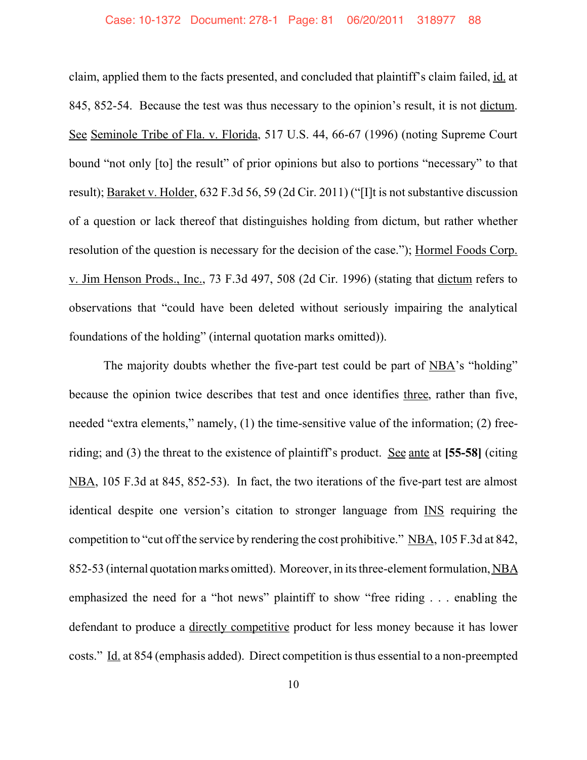claim, applied them to the facts presented, and concluded that plaintiff's claim failed, id. at 845, 852-54. Because the test was thus necessary to the opinion's result, it is not dictum. See Seminole Tribe of Fla. v. Florida, 517 U.S. 44, 66-67 (1996) (noting Supreme Court bound "not only [to] the result" of prior opinions but also to portions "necessary" to that result); Baraket v. Holder, 632 F.3d 56, 59 (2d Cir. 2011) ("[I]t is not substantive discussion of a question or lack thereof that distinguishes holding from dictum, but rather whether resolution of the question is necessary for the decision of the case."); Hormel Foods Corp. v. Jim Henson Prods., Inc., 73 F.3d 497, 508 (2d Cir. 1996) (stating that dictum refers to observations that "could have been deleted without seriously impairing the analytical foundations of the holding" (internal quotation marks omitted)).

The majority doubts whether the five-part test could be part of NBA's "holding" because the opinion twice describes that test and once identifies three, rather than five, needed "extra elements," namely, (1) the time-sensitive value of the information; (2) freeriding; and (3) the threat to the existence of plaintiff's product. See ante at **[55-58]** (citing NBA, 105 F.3d at 845, 852-53). In fact, the two iterations of the five-part test are almost identical despite one version's citation to stronger language from INS requiring the competition to "cut off the service by rendering the cost prohibitive." NBA, 105 F.3d at 842, 852-53 (internal quotation marks omitted). Moreover, in its three-element formulation, NBA emphasized the need for a "hot news" plaintiff to show "free riding . . . enabling the defendant to produce a directly competitive product for less money because it has lower costs." Id. at 854 (emphasis added). Direct competition is thus essential to a non-preempted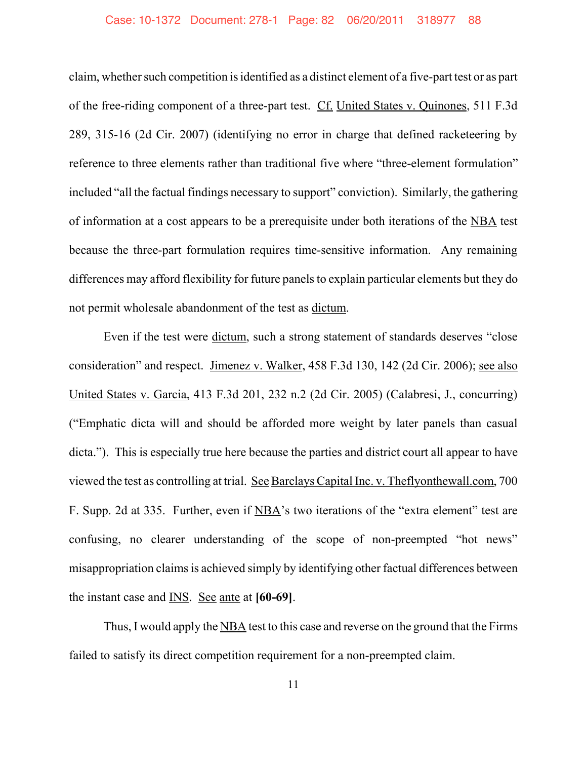claim, whether such competition is identified as a distinct element of a five-part test or as part of the free-riding component of a three-part test. Cf. United States v. Quinones, 511 F.3d 289, 315-16 (2d Cir. 2007) (identifying no error in charge that defined racketeering by reference to three elements rather than traditional five where "three-element formulation" included "all the factual findings necessary to support" conviction). Similarly, the gathering of information at a cost appears to be a prerequisite under both iterations of the NBA test because the three-part formulation requires time-sensitive information. Any remaining differences may afford flexibility for future panels to explain particular elements but they do not permit wholesale abandonment of the test as dictum.

Even if the test were dictum, such a strong statement of standards deserves "close consideration" and respect. Jimenez v. Walker, 458 F.3d 130, 142 (2d Cir. 2006); see also United States v. Garcia, 413 F.3d 201, 232 n.2 (2d Cir. 2005) (Calabresi, J., concurring) ("Emphatic dicta will and should be afforded more weight by later panels than casual dicta."). This is especially true here because the parties and district court all appear to have viewed the test as controlling at trial. See Barclays Capital Inc. v. Theflyonthewall.com, 700 F. Supp. 2d at 335. Further, even if NBA's two iterations of the "extra element" test are confusing, no clearer understanding of the scope of non-preempted "hot news" misappropriation claims is achieved simply by identifying other factual differences between the instant case and INS. See ante at **[60-69]**.

Thus, I would apply the NBA test to this case and reverse on the ground that the Firms failed to satisfy its direct competition requirement for a non-preempted claim.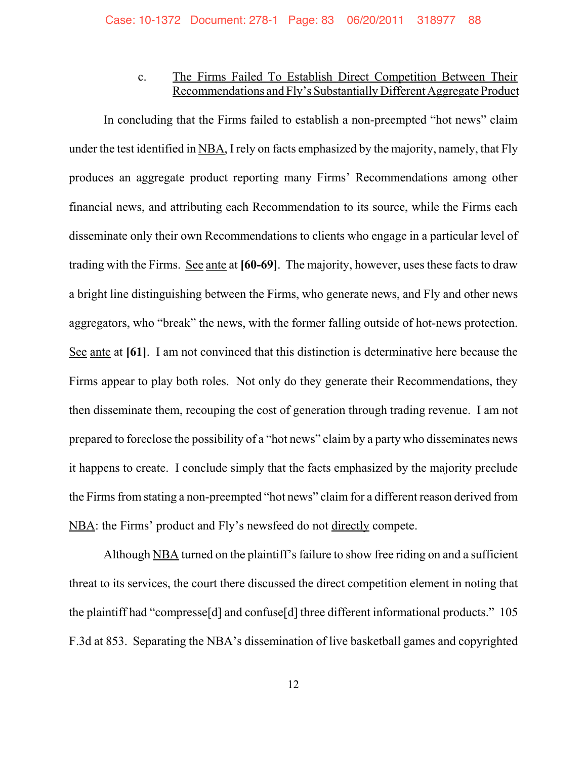# c. The Firms Failed To Establish Direct Competition Between Their Recommendations and Fly's Substantially Different Aggregate Product

In concluding that the Firms failed to establish a non-preempted "hot news" claim under the test identified in NBA, I rely on facts emphasized by the majority, namely, that Fly produces an aggregate product reporting many Firms' Recommendations among other financial news, and attributing each Recommendation to its source, while the Firms each disseminate only their own Recommendations to clients who engage in a particular level of trading with the Firms. See ante at **[60-69]**. The majority, however, uses these facts to draw a bright line distinguishing between the Firms, who generate news, and Fly and other news aggregators, who "break" the news, with the former falling outside of hot-news protection. See ante at **[61]**. I am not convinced that this distinction is determinative here because the Firms appear to play both roles. Not only do they generate their Recommendations, they then disseminate them, recouping the cost of generation through trading revenue. I am not prepared to foreclose the possibility of a "hot news" claim by a party who disseminates news it happens to create. I conclude simply that the facts emphasized by the majority preclude the Firms from stating a non-preempted "hot news" claim for a different reason derived from NBA: the Firms' product and Fly's newsfeed do not directly compete.

Although NBA turned on the plaintiff's failure to show free riding on and a sufficient threat to its services, the court there discussed the direct competition element in noting that the plaintiff had "compresse[d] and confuse[d] three different informational products." 105 F.3d at 853. Separating the NBA's dissemination of live basketball games and copyrighted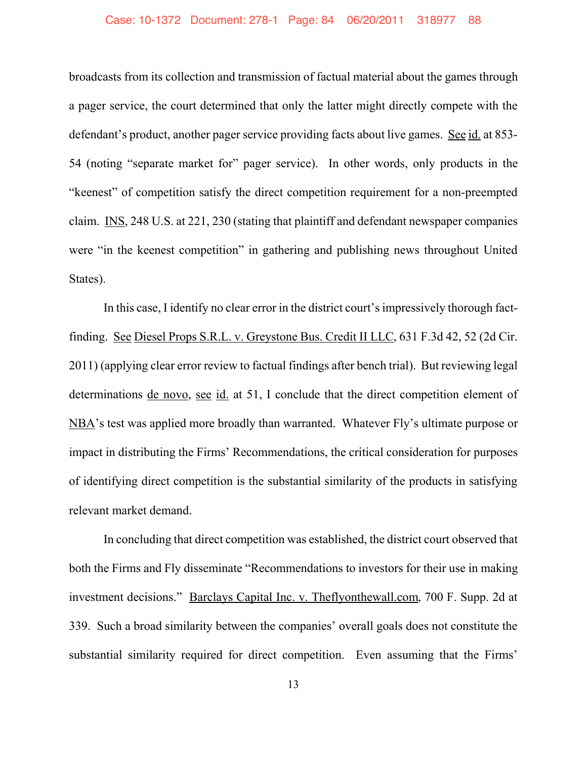### Case: 10-1372 Document: 278-1 Page: 84 06/20/2011 318977 88

broadcasts from its collection and transmission of factual material about the games through a pager service, the court determined that only the latter might directly compete with the defendant's product, another pager service providing facts about live games. See id. at 853- 54 (noting "separate market for" pager service). In other words, only products in the "keenest" of competition satisfy the direct competition requirement for a non-preempted claim. INS, 248 U.S. at 221, 230 (stating that plaintiff and defendant newspaper companies were "in the keenest competition" in gathering and publishing news throughout United States).

In this case, I identify no clear error in the district court's impressively thorough factfinding. See Diesel Props S.R.L. v. Greystone Bus. Credit II LLC, 631 F.3d 42, 52 (2d Cir. 2011) (applying clear error review to factual findings after bench trial). But reviewing legal determinations de novo, see id. at 51, I conclude that the direct competition element of NBA's test was applied more broadly than warranted. Whatever Fly's ultimate purpose or impact in distributing the Firms' Recommendations, the critical consideration for purposes of identifying direct competition is the substantial similarity of the products in satisfying relevant market demand.

In concluding that direct competition was established, the district court observed that both the Firms and Fly disseminate "Recommendations to investors for their use in making investment decisions." Barclays Capital Inc. v. Theflyonthewall.com, 700 F. Supp. 2d at 339. Such a broad similarity between the companies' overall goals does not constitute the substantial similarity required for direct competition. Even assuming that the Firms'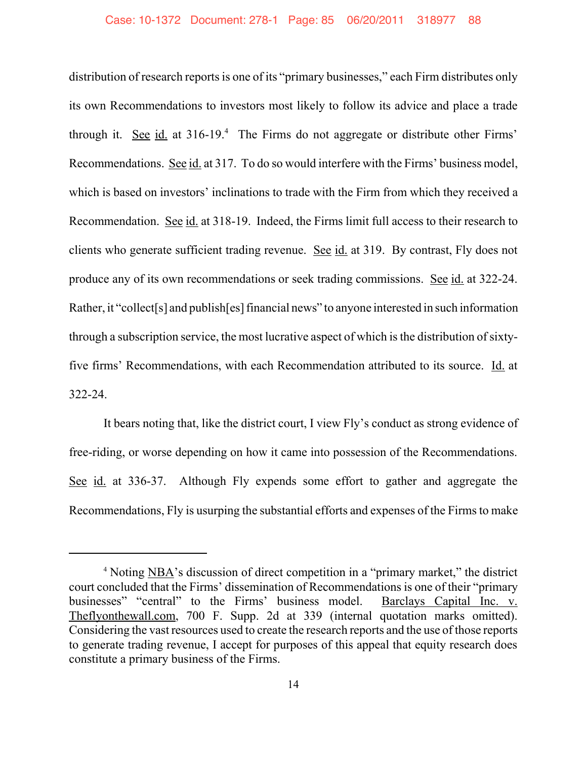distribution of research reports is one of its "primary businesses," each Firm distributes only its own Recommendations to investors most likely to follow its advice and place a trade through it. See  $id$  at 316-19.<sup>4</sup> The Firms do not aggregate or distribute other Firms' Recommendations. See id. at 317. To do so would interfere with the Firms' business model, which is based on investors' inclinations to trade with the Firm from which they received a Recommendation. See id. at 318-19. Indeed, the Firms limit full access to their research to clients who generate sufficient trading revenue. See id. at 319. By contrast, Fly does not produce any of its own recommendations or seek trading commissions. See id. at 322-24. Rather, it "collect[s] and publish[es] financial news" to anyone interested in such information through a subscription service, the most lucrative aspect of which is the distribution of sixtyfive firms' Recommendations, with each Recommendation attributed to its source. Id. at 322-24.

It bears noting that, like the district court, I view Fly's conduct as strong evidence of free-riding, or worse depending on how it came into possession of the Recommendations. See id. at 336-37. Although Fly expends some effort to gather and aggregate the Recommendations, Fly is usurping the substantial efforts and expenses of the Firms to make

<sup>4</sup> Noting NBA's discussion of direct competition in a "primary market," the district court concluded that the Firms' dissemination of Recommendations is one of their "primary businesses" "central" to the Firms' business model. Barclays Capital Inc. v. Theflyonthewall.com, 700 F. Supp. 2d at 339 (internal quotation marks omitted). Considering the vast resources used to create the research reports and the use of those reports to generate trading revenue, I accept for purposes of this appeal that equity research does constitute a primary business of the Firms.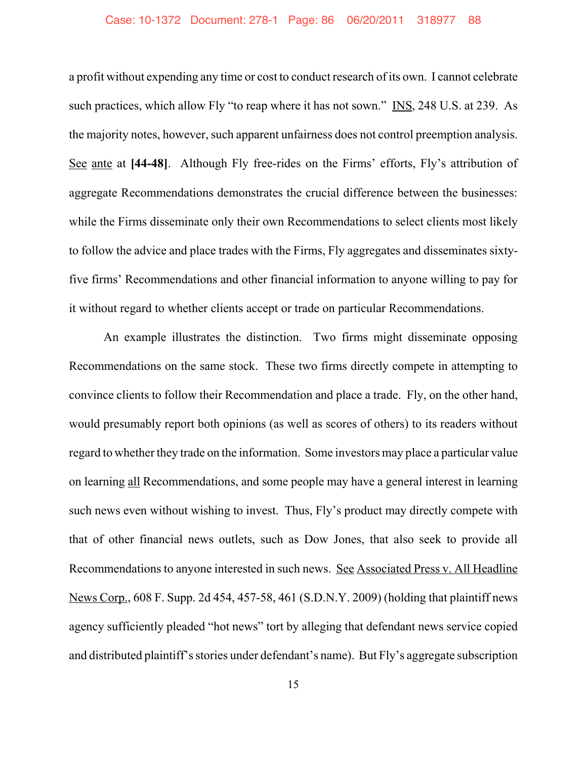### Case: 10-1372 Document: 278-1 Page: 86 06/20/2011 318977 88

a profit without expending any time or cost to conduct research of its own. I cannot celebrate such practices, which allow Fly "to reap where it has not sown." INS, 248 U.S. at 239. As the majority notes, however, such apparent unfairness does not control preemption analysis. See ante at **[44-48]**. Although Fly free-rides on the Firms' efforts, Fly's attribution of aggregate Recommendations demonstrates the crucial difference between the businesses: while the Firms disseminate only their own Recommendations to select clients most likely to follow the advice and place trades with the Firms, Fly aggregates and disseminates sixtyfive firms' Recommendations and other financial information to anyone willing to pay for it without regard to whether clients accept or trade on particular Recommendations.

An example illustrates the distinction. Two firms might disseminate opposing Recommendations on the same stock. These two firms directly compete in attempting to convince clients to follow their Recommendation and place a trade. Fly, on the other hand, would presumably report both opinions (as well as scores of others) to its readers without regard to whether they trade on the information. Some investors may place a particular value on learning all Recommendations, and some people may have a general interest in learning such news even without wishing to invest. Thus, Fly's product may directly compete with that of other financial news outlets, such as Dow Jones, that also seek to provide all Recommendations to anyone interested in such news. See Associated Press v. All Headline News Corp., 608 F. Supp. 2d 454, 457-58, 461 (S.D.N.Y. 2009) (holding that plaintiff news agency sufficiently pleaded "hot news" tort by alleging that defendant news service copied and distributed plaintiff's stories under defendant's name). But Fly's aggregate subscription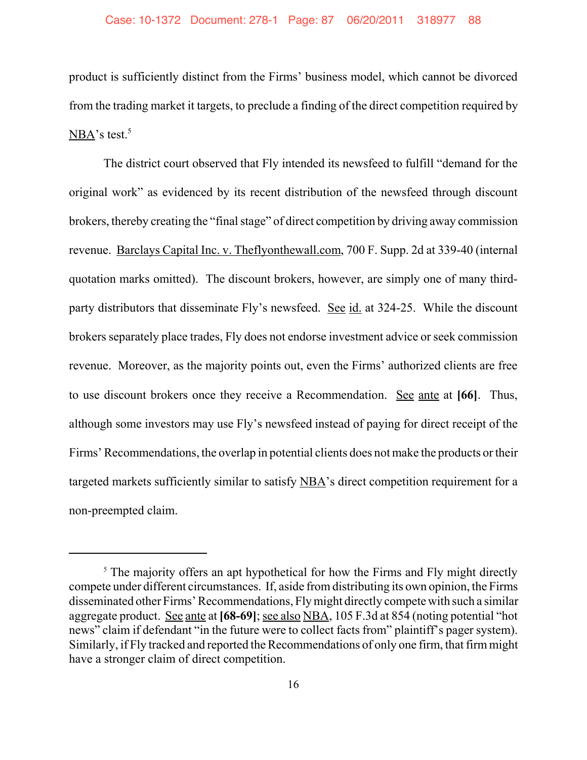product is sufficiently distinct from the Firms' business model, which cannot be divorced from the trading market it targets, to preclude a finding of the direct competition required by  $NBA's test.<sup>5</sup>$ 

The district court observed that Fly intended its newsfeed to fulfill "demand for the original work" as evidenced by its recent distribution of the newsfeed through discount brokers, thereby creating the "final stage" of direct competition by driving away commission revenue. Barclays Capital Inc. v. Theflyonthewall.com, 700 F. Supp. 2d at 339-40 (internal quotation marks omitted). The discount brokers, however, are simply one of many thirdparty distributors that disseminate Fly's newsfeed. See id. at 324-25. While the discount brokers separately place trades, Fly does not endorse investment advice or seek commission revenue. Moreover, as the majority points out, even the Firms' authorized clients are free to use discount brokers once they receive a Recommendation. See ante at **[66]**. Thus, although some investors may use Fly's newsfeed instead of paying for direct receipt of the Firms' Recommendations, the overlap in potential clients does not make the products or their targeted markets sufficiently similar to satisfy NBA's direct competition requirement for a non-preempted claim.

 $5$  The majority offers an apt hypothetical for how the Firms and Fly might directly compete under different circumstances. If, aside from distributing its own opinion, the Firms disseminated other Firms' Recommendations, Fly might directly compete with such a similar aggregate product. See ante at **[68-69]**; see also NBA, 105 F.3d at 854 (noting potential "hot news" claim if defendant "in the future were to collect facts from" plaintiff's pager system). Similarly, if Fly tracked and reported the Recommendations of only one firm, that firm might have a stronger claim of direct competition.